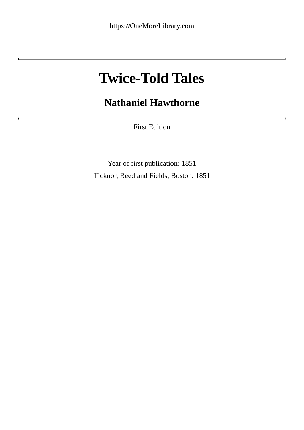# **Twice-Told Tales**

## **Nathaniel Hawthorne**

First Edition

Year of first publication: 1851 Ticknor, Reed and Fields, Boston, 1851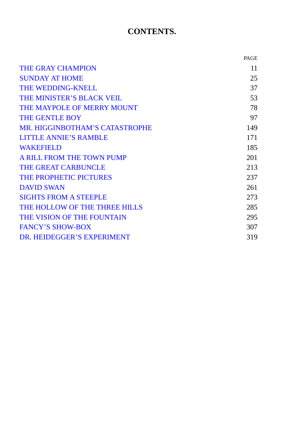## **CONTENTS.**

|                                       | PAGE |
|---------------------------------------|------|
| <b>THE GRAY CHAMPION</b>              | 11   |
| <b>SUNDAY AT HOME</b>                 | 25   |
| <b>THE WEDDING-KNELL</b>              | 37   |
| THE MINISTER'S BLACK VEIL             | 53   |
| THE MAYPOLE OF MERRY MOUNT            | 78   |
| THE GENTLE BOY                        | 97   |
| <b>MR. HIGGINBOTHAM'S CATASTROPHE</b> | 149  |
| <b>LITTLE ANNIE'S RAMBLE</b>          | 171  |
| <b>WAKEFIELD</b>                      | 185  |
| A RILL FROM THE TOWN PUMP             | 201  |
| <b>THE GREAT CARBUNCLE</b>            | 213  |
| THE PROPHETIC PICTURES                | 237  |
| <b>DAVID SWAN</b>                     | 261  |
| <b>SIGHTS FROM A STEEPLE</b>          | 273  |
| THE HOLLOW OF THE THREE HILLS         | 285  |
| THE VISION OF THE FOUNTAIN            | 295  |
| <b>FANCY'S SHOW-BOX</b>               | 307  |
| DR. HEIDEGGER'S EXPERIMENT            | 319  |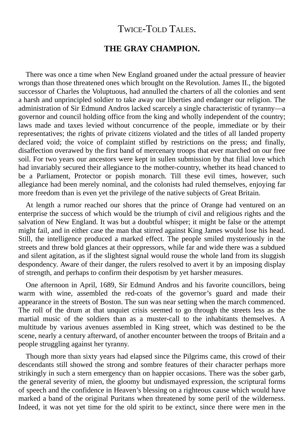### TWICE-TOLD TALES.

#### **THE GRAY CHAMPION.**

<span id="page-2-0"></span>There was once a time when New England groaned under the actual pressure of heavier wrongs than those threatened ones which brought on the Revolution. James II., the bigoted successor of Charles the Voluptuous, had annulled the charters of all the colonies and sent a harsh and unprincipled soldier to take away our liberties and endanger our religion. The administration of Sir Edmund Andros lacked scarcely a single characteristic of tyranny—a governor and council holding office from the king and wholly independent of the country; laws made and taxes levied without concurrence of the people, immediate or by their representatives; the rights of private citizens violated and the titles of all landed property declared void; the voice of complaint stifled by restrictions on the press; and finally, disaffection overawed by the first band of mercenary troops that ever marched on our free soil. For two years our ancestors were kept in sullen submission by that filial love which had invariably secured their allegiance to the mother-country, whether its head chanced to be a Parliament, Protector or popish monarch. Till these evil times, however, such allegiance had been merely nominal, and the colonists had ruled themselves, enjoying far more freedom than is even yet the privilege of the native subjects of Great Britain.

At length a rumor reached our shores that the prince of Orange had ventured on an enterprise the success of which would be the triumph of civil and religious rights and the salvation of New England. It was but a doubtful whisper; it might be false or the attempt might fail, and in either case the man that stirred against King James would lose his head. Still, the intelligence produced a marked effect. The people smiled mysteriously in the streets and threw bold glances at their oppressors, while far and wide there was a subdued and silent agitation, as if the slightest signal would rouse the whole land from its sluggish despondency. Aware of their danger, the rulers resolved to avert it by an imposing display of strength, and perhaps to confirm their despotism by yet harsher measures.

One afternoon in April, 1689, Sir Edmund Andros and his favorite councillors, being warm with wine, assembled the red-coats of the governor's guard and made their appearance in the streets of Boston. The sun was near setting when the march commenced. The roll of the drum at that unquiet crisis seemed to go through the streets less as the martial music of the soldiers than as a muster-call to the inhabitants themselves. A multitude by various avenues assembled in King street, which was destined to be the scene, nearly a century afterward, of another encounter between the troops of Britain and a people struggling against her tyranny.

Though more than sixty years had elapsed since the Pilgrims came, this crowd of their descendants still showed the strong and sombre features of their character perhaps more strikingly in such a stern emergency than on happier occasions. There was the sober garb, the general severity of mien, the gloomy but undismayed expression, the scriptural forms of speech and the confidence in Heaven's blessing on a righteous cause which would have marked a band of the original Puritans when threatened by some peril of the wilderness. Indeed, it was not yet time for the old spirit to be extinct, since there were men in the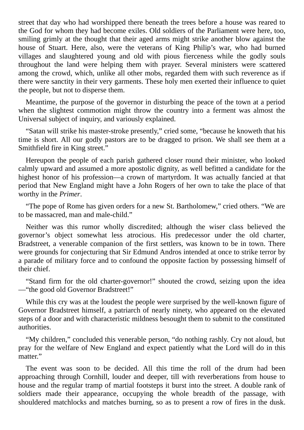street that day who had worshipped there beneath the trees before a house was reared to the God for whom they had become exiles. Old soldiers of the Parliament were here, too, smiling grimly at the thought that their aged arms might strike another blow against the house of Stuart. Here, also, were the veterans of King Philip's war, who had burned villages and slaughtered young and old with pious fierceness while the godly souls throughout the land were helping them with prayer. Several ministers were scattered among the crowd, which, unlike all other mobs, regarded them with such reverence as if there were sanctity in their very garments. These holy men exerted their influence to quiet the people, but not to disperse them.

Meantime, the purpose of the governor in disturbing the peace of the town at a period when the slightest commotion might throw the country into a ferment was almost the Universal subject of inquiry, and variously explained.

"Satan will strike his master-stroke presently," cried some, "because he knoweth that his time is short. All our godly pastors are to be dragged to prison. We shall see them at a Smithfield fire in King street."

Hereupon the people of each parish gathered closer round their minister, who looked calmly upward and assumed a more apostolic dignity, as well befitted a candidate for the highest honor of his profession—a crown of martyrdom. It was actually fancied at that period that New England might have a John Rogers of her own to take the place of that worthy in the *Primer*.

"The pope of Rome has given orders for a new St. Bartholomew," cried others. "We are to be massacred, man and male-child."

Neither was this rumor wholly discredited; although the wiser class believed the governor's object somewhat less atrocious. His predecessor under the old charter, Bradstreet, a venerable companion of the first settlers, was known to be in town. There were grounds for conjecturing that Sir Edmund Andros intended at once to strike terror by a parade of military force and to confound the opposite faction by possessing himself of their chief.

"Stand firm for the old charter-governor!" shouted the crowd, seizing upon the idea —"the good old Governor Bradstreet!"

While this cry was at the loudest the people were surprised by the well-known figure of Governor Bradstreet himself, a patriarch of nearly ninety, who appeared on the elevated steps of a door and with characteristic mildness besought them to submit to the constituted authorities.

"My children," concluded this venerable person, "do nothing rashly. Cry not aloud, but pray for the welfare of New England and expect patiently what the Lord will do in this matter."

The event was soon to be decided. All this time the roll of the drum had been approaching through Cornhill, louder and deeper, till with reverberations from house to house and the regular tramp of martial footsteps it burst into the street. A double rank of soldiers made their appearance, occupying the whole breadth of the passage, with shouldered matchlocks and matches burning, so as to present a row of fires in the dusk.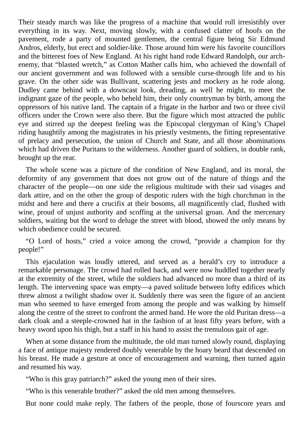Their steady march was like the progress of a machine that would roll irresistibly over everything in its way. Next, moving slowly, with a confused clatter of hoofs on the pavement, rode a party of mounted gentlemen, the central figure being Sir Edmund Andros, elderly, but erect and soldier-like. Those around him were his favorite councillors and the bitterest foes of New England. At his right hand rode Edward Randolph, our archenemy, that "blasted wretch," as Cotton Mather calls him, who achieved the downfall of our ancient government and was followed with a sensible curse-through life and to his grave. On the other side was Bullivant, scattering jests and mockery as he rode along. Dudley came behind with a downcast look, dreading, as well he might, to meet the indignant gaze of the people, who beheld him, their only countryman by birth, among the oppressors of his native land. The captain of a frigate in the harbor and two or three civil officers under the Crown were also there. But the figure which most attracted the public eye and stirred up the deepest feeling was the Episcopal clergyman of King's Chapel riding haughtily among the magistrates in his priestly vestments, the fitting representative of prelacy and persecution, the union of Church and State, and all those abominations which had driven the Puritans to the wilderness. Another guard of soldiers, in double rank, brought up the rear.

The whole scene was a picture of the condition of New England, and its moral, the deformity of any government that does not grow out of the nature of things and the character of the people—on one side the religious multitude with their sad visages and dark attire, and on the other the group of despotic rulers with the high churchman in the midst and here and there a crucifix at their bosoms, all magnificently clad, flushed with wine, proud of unjust authority and scoffing at the universal groan. And the mercenary soldiers, waiting but the word to deluge the street with blood, showed the only means by which obedience could be secured.

"O Lord of hosts," cried a voice among the crowd, "provide a champion for thy people!"

This ejaculation was loudly uttered, and served as a herald's cry to introduce a remarkable personage. The crowd had rolled back, and were now huddled together nearly at the extremity of the street, while the soldiers had advanced no more than a third of its length. The intervening space was empty—a paved solitude between lofty edifices which threw almost a twilight shadow over it. Suddenly there was seen the figure of an ancient man who seemed to have emerged from among the people and was walking by himself along the centre of the street to confront the armed band. He wore the old Puritan dress—a dark cloak and a steeple-crowned hat in the fashion of at least fifty years before, with a heavy sword upon his thigh, but a staff in his hand to assist the tremulous gait of age.

When at some distance from the multitude, the old man turned slowly round, displaying a face of antique majesty rendered doubly venerable by the hoary beard that descended on his breast. He made a gesture at once of encouragement and warning, then turned again and resumed his way.

"Who is this gray patriarch?" asked the young men of their sires.

"Who is this venerable brother?" asked the old men among themselves.

But none could make reply. The fathers of the people, those of fourscore years and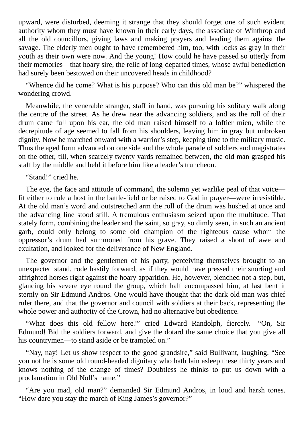upward, were disturbed, deeming it strange that they should forget one of such evident authority whom they must have known in their early days, the associate of Winthrop and all the old councillors, giving laws and making prayers and leading them against the savage. The elderly men ought to have remembered him, too, with locks as gray in their youth as their own were now. And the young! How could he have passed so utterly from their memories—that hoary sire, the relic of long-departed times, whose awful benediction had surely been bestowed on their uncovered heads in childhood?

"Whence did he come? What is his purpose? Who can this old man be?" whispered the wondering crowd.

Meanwhile, the venerable stranger, staff in hand, was pursuing his solitary walk along the centre of the street. As he drew near the advancing soldiers, and as the roll of their drum came full upon his ear, the old man raised himself to a loftier mien, while the decrepitude of age seemed to fall from his shoulders, leaving him in gray but unbroken dignity. Now he marched onward with a warrior's step, keeping time to the military music. Thus the aged form advanced on one side and the whole parade of soldiers and magistrates on the other, till, when scarcely twenty yards remained between, the old man grasped his staff by the middle and held it before him like a leader's truncheon.

"Stand!" cried he.

The eye, the face and attitude of command, the solemn yet warlike peal of that voice fit either to rule a host in the battle-field or be raised to God in prayer—were irresistible. At the old man's word and outstretched arm the roll of the drum was hushed at once and the advancing line stood still. A tremulous enthusiasm seized upon the multitude. That stately form, combining the leader and the saint, so gray, so dimly seen, in such an ancient garb, could only belong to some old champion of the righteous cause whom the oppressor's drum had summoned from his grave. They raised a shout of awe and exultation, and looked for the deliverance of New England.

The governor and the gentlemen of his party, perceiving themselves brought to an unexpected stand, rode hastily forward, as if they would have pressed their snorting and affrighted horses right against the hoary apparition. He, however, blenched not a step, but, glancing his severe eye round the group, which half encompassed him, at last bent it sternly on Sir Edmund Andros. One would have thought that the dark old man was chief ruler there, and that the governor and council with soldiers at their back, representing the whole power and authority of the Crown, had no alternative but obedience.

"What does this old fellow here?" cried Edward Randolph, fiercely.—"On, Sir Edmund! Bid the soldiers forward, and give the dotard the same choice that you give all his countrymen—to stand aside or be trampled on."

"Nay, nay! Let us show respect to the good grandsire," said Bullivant, laughing. "See you not he is some old round-headed dignitary who hath lain asleep these thirty years and knows nothing of the change of times? Doubtless he thinks to put us down with a proclamation in Old Noll's name."

"Are you mad, old man?" demanded Sir Edmund Andros, in loud and harsh tones. "How dare you stay the march of King James's governor?"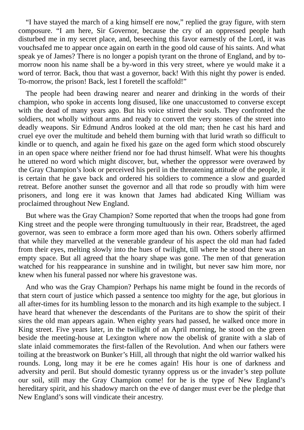"I have stayed the march of a king himself ere now," replied the gray figure, with stern composure. "I am here, Sir Governor, because the cry of an oppressed people hath disturbed me in my secret place, and, beseeching this favor earnestly of the Lord, it was vouchsafed me to appear once again on earth in the good old cause of his saints. And what speak ye of James? There is no longer a popish tyrant on the throne of England, and by tomorrow noon his name shall be a by-word in this very street, where ye would make it a word of terror. Back, thou that wast a governor, back! With this night thy power is ended. To-morrow, the prison! Back, lest I foretell the scaffold!"

The people had been drawing nearer and nearer and drinking in the words of their champion, who spoke in accents long disused, like one unaccustomed to converse except with the dead of many years ago. But his voice stirred their souls. They confronted the soldiers, not wholly without arms and ready to convert the very stones of the street into deadly weapons. Sir Edmund Andros looked at the old man; then he cast his hard and cruel eye over the multitude and beheld them burning with that lurid wrath so difficult to kindle or to quench, and again he fixed his gaze on the aged form which stood obscurely in an open space where neither friend nor foe had thrust himself. What were his thoughts he uttered no word which might discover, but, whether the oppressor were overawed by the Gray Champion's look or perceived his peril in the threatening attitude of the people, it is certain that he gave back and ordered his soldiers to commence a slow and guarded retreat. Before another sunset the governor and all that rode so proudly with him were prisoners, and long ere it was known that James had abdicated King William was proclaimed throughout New England.

But where was the Gray Champion? Some reported that when the troops had gone from King street and the people were thronging tumultuously in their rear, Bradstreet, the aged governor, was seen to embrace a form more aged than his own. Others soberly affirmed that while they marvelled at the venerable grandeur of his aspect the old man had faded from their eyes, melting slowly into the hues of twilight, till where he stood there was an empty space. But all agreed that the hoary shape was gone. The men of that generation watched for his reappearance in sunshine and in twilight, but never saw him more, nor knew when his funeral passed nor where his gravestone was.

And who was the Gray Champion? Perhaps his name might be found in the records of that stern court of justice which passed a sentence too mighty for the age, but glorious in all after-times for its humbling lesson to the monarch and its high example to the subject. I have heard that whenever the descendants of the Puritans are to show the spirit of their sires the old man appears again. When eighty years had passed, he walked once more in King street. Five years later, in the twilight of an April morning, he stood on the green beside the meeting-house at Lexington where now the obelisk of granite with a slab of slate inlaid commemorates the first-fallen of the Revolution. And when our fathers were toiling at the breastwork on Bunker's Hill, all through that night the old warrior walked his rounds. Long, long may it be ere he comes again! His hour is one of darkness and adversity and peril. But should domestic tyranny oppress us or the invader's step pollute our soil, still may the Gray Champion come! for he is the type of New England's hereditary spirit, and his shadowy march on the eve of danger must ever be the pledge that New England's sons will vindicate their ancestry.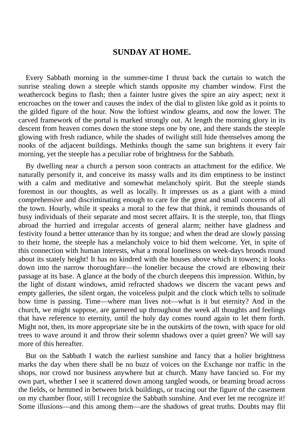#### **SUNDAY AT HOME.**

<span id="page-7-0"></span>Every Sabbath morning in the summer-time I thrust back the curtain to watch the sunrise stealing down a steeple which stands opposite my chamber window. First the weathercock begins to flash; then a fainter lustre gives the spire an airy aspect; next it encroaches on the tower and causes the index of the dial to glisten like gold as it points to the gilded figure of the hour. Now the loftiest window gleams, and now the lower. The carved framework of the portal is marked strongly out. At length the morning glory in its descent from heaven comes down the stone steps one by one, and there stands the steeple glowing with fresh radiance, while the shades of twilight still hide themselves among the nooks of the adjacent buildings. Methinks though the same sun brightens it every fair morning, yet the steeple has a peculiar robe of brightness for the Sabbath.

By dwelling near a church a person soon contracts an attachment for the edifice. We naturally personify it, and conceive its massy walls and its dim emptiness to be instinct with a calm and meditative and somewhat melancholy spirit. But the steeple stands foremost in our thoughts, as well as locally. It impresses us as a giant with a mind comprehensive and discriminating enough to care for the great and small concerns of all the town. Hourly, while it speaks a moral to the few that think, it reminds thousands of busy individuals of their separate and most secret affairs. It is the steeple, too, that flings abroad the hurried and irregular accents of general alarm; neither have gladness and festivity found a better utterance than by its tongue; and when the dead are slowly passing to their home, the steeple has a melancholy voice to bid them welcome. Yet, in spite of this connection with human interests, what a moral loneliness on week-days broods round about its stately height! It has no kindred with the houses above which it towers; it looks down into the narrow thoroughfare—the lonelier because the crowd are elbowing their passage at its base. A glance at the body of the church deepens this impression. Within, by the light of distant windows, amid refracted shadows we discern the vacant pews and empty galleries, the silent organ, the voiceless pulpit and the clock which tells to solitude how time is passing. Time—where man lives not—what is it but eternity? And in the church, we might suppose, are garnered up throughout the week all thoughts and feelings that have reference to eternity, until the holy day comes round again to let them forth. Might not, then, its more appropriate site be in the outskirts of the town, with space for old trees to wave around it and throw their solemn shadows over a quiet green? We will say more of this hereafter.

But on the Sabbath I watch the earliest sunshine and fancy that a holier brightness marks the day when there shall be no buzz of voices on the Exchange nor traffic in the shops, nor crowd nor business anywhere but at church. Many have fancied so. For my own part, whether I see it scattered down among tangled woods, or beaming broad across the fields, or hemmed in between brick buildings, or tracing out the figure of the casement on my chamber floor, still I recognize the Sabbath sunshine. And ever let me recognize it! Some illusions—and this among them—are the shadows of great truths. Doubts may flit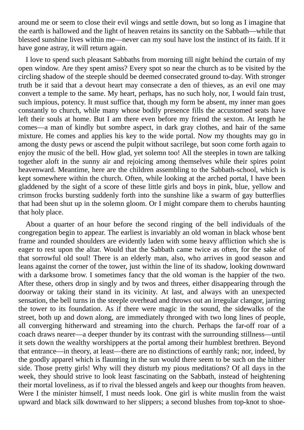around me or seem to close their evil wings and settle down, but so long as I imagine that the earth is hallowed and the light of heaven retains its sanctity on the Sabbath—while that blessed sunshine lives within me—never can my soul have lost the instinct of its faith. If it have gone astray, it will return again.

I love to spend such pleasant Sabbaths from morning till night behind the curtain of my open window. Are they spent amiss? Every spot so near the church as to be visited by the circling shadow of the steeple should be deemed consecrated ground to-day. With stronger truth be it said that a devout heart may consecrate a den of thieves, as an evil one may convert a temple to the same. My heart, perhaps, has no such holy, nor, I would fain trust, such impious, potency. It must suffice that, though my form be absent, my inner man goes constantly to church, while many whose bodily presence fills the accustomed seats have left their souls at home. But I am there even before my friend the sexton. At length he comes—a man of kindly but sombre aspect, in dark gray clothes, and hair of the same mixture. He comes and applies his key to the wide portal. Now my thoughts may go in among the dusty pews or ascend the pulpit without sacrilege, but soon come forth again to enjoy the music of the bell. How glad, yet solemn too! All the steeples in town are talking together aloft in the sunny air and rejoicing among themselves while their spires point heavenward. Meantime, here are the children assembling to the Sabbath-school, which is kept somewhere within the church. Often, while looking at the arched portal, I have been gladdened by the sight of a score of these little girls and boys in pink, blue, yellow and crimson frocks bursting suddenly forth into the sunshine like a swarm of gay butterflies that had been shut up in the solemn gloom. Or I might compare them to cherubs haunting that holy place.

About a quarter of an hour before the second ringing of the bell individuals of the congregation begin to appear. The earliest is invariably an old woman in black whose bent frame and rounded shoulders are evidently laden with some heavy affliction which she is eager to rest upon the altar. Would that the Sabbath came twice as often, for the sake of that sorrowful old soul! There is an elderly man, also, who arrives in good season and leans against the corner of the tower, just within the line of its shadow, looking downward with a darksome brow. I sometimes fancy that the old woman is the happier of the two. After these, others drop in singly and by twos and threes, either disappearing through the doorway or taking their stand in its vicinity. At last, and always with an unexpected sensation, the bell turns in the steeple overhead and throws out an irregular clangor, jarring the tower to its foundation. As if there were magic in the sound, the sidewalks of the street, both up and down along, are immediately thronged with two long lines of people, all converging hitherward and streaming into the church. Perhaps the far-off roar of a coach draws nearer—a deeper thunder by its contrast with the surrounding stillness—until it sets down the wealthy worshippers at the portal among their humblest brethren. Beyond that entrance—in theory, at least—there are no distinctions of earthly rank; nor, indeed, by the goodly apparel which is flaunting in the sun would there seem to be such on the hither side. Those pretty girls! Why will they disturb my pious meditations? Of all days in the week, they should strive to look least fascinating on the Sabbath, instead of heightening their mortal loveliness, as if to rival the blessed angels and keep our thoughts from heaven. Were I the minister himself, I must needs look. One girl is white muslin from the waist upward and black silk downward to her slippers; a second blushes from top-knot to shoe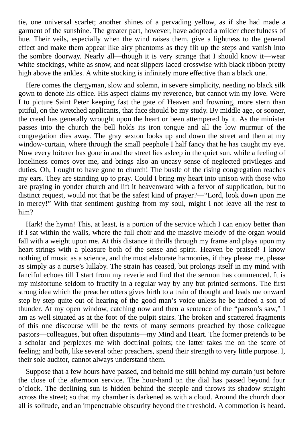tie, one universal scarlet; another shines of a pervading yellow, as if she had made a garment of the sunshine. The greater part, however, have adopted a milder cheerfulness of hue. Their veils, especially when the wind raises them, give a lightness to the general effect and make them appear like airy phantoms as they flit up the steps and vanish into the sombre doorway. Nearly all—though it is very strange that I should know it—wear white stockings, white as snow, and neat slippers laced crosswise with black ribbon pretty high above the ankles. A white stocking is infinitely more effective than a black one.

Here comes the clergyman, slow and solemn, in severe simplicity, needing no black silk gown to denote his office. His aspect claims my reverence, but cannot win my love. Were I to picture Saint Peter keeping fast the gate of Heaven and frowning, more stern than pitiful, on the wretched applicants, that face should be my study. By middle age, or sooner, the creed has generally wrought upon the heart or been attempered by it. As the minister passes into the church the bell holds its iron tongue and all the low murmur of the congregation dies away. The gray sexton looks up and down the street and then at my window-curtain, where through the small peephole I half fancy that he has caught my eye. Now every loiterer has gone in and the street lies asleep in the quiet sun, while a feeling of loneliness comes over me, and brings also an uneasy sense of neglected privileges and duties. Oh, I ought to have gone to church! The bustle of the rising congregation reaches my ears. They are standing up to pray. Could I bring my heart into unison with those who are praying in yonder church and lift it heavenward with a fervor of supplication, but no distinct request, would not that be the safest kind of prayer?—"Lord, look down upon me in mercy!" With that sentiment gushing from my soul, might I not leave all the rest to him?

Hark! the hymn! This, at least, is a portion of the service which I can enjoy better than if I sat within the walls, where the full choir and the massive melody of the organ would fall with a weight upon me. At this distance it thrills through my frame and plays upon my heart-strings with a pleasure both of the sense and spirit. Heaven be praised! I know nothing of music as a science, and the most elaborate harmonies, if they please me, please as simply as a nurse's lullaby. The strain has ceased, but prolongs itself in my mind with fanciful echoes till I start from my reverie and find that the sermon has commenced. It is my misfortune seldom to fructify in a regular way by any but printed sermons. The first strong idea which the preacher utters gives birth to a train of thought and leads me onward step by step quite out of hearing of the good man's voice unless he be indeed a son of thunder. At my open window, catching now and then a sentence of the "parson's saw," I am as well situated as at the foot of the pulpit stairs. The broken and scattered fragments of this one discourse will be the texts of many sermons preached by those colleague pastors—colleagues, but often disputants—my Mind and Heart. The former pretends to be a scholar and perplexes me with doctrinal points; the latter takes me on the score of feeling; and both, like several other preachers, spend their strength to very little purpose. I, their sole auditor, cannot always understand them.

Suppose that a few hours have passed, and behold me still behind my curtain just before the close of the afternoon service. The hour-hand on the dial has passed beyond four o'clock. The declining sun is hidden behind the steeple and throws its shadow straight across the street; so that my chamber is darkened as with a cloud. Around the church door all is solitude, and an impenetrable obscurity beyond the threshold. A commotion is heard.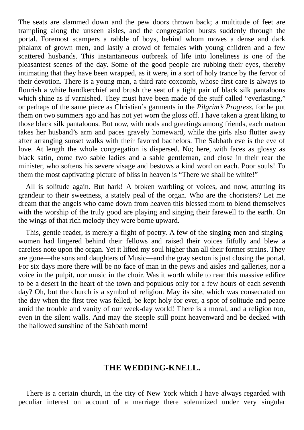The seats are slammed down and the pew doors thrown back; a multitude of feet are trampling along the unseen aisles, and the congregation bursts suddenly through the portal. Foremost scampers a rabble of boys, behind whom moves a dense and dark phalanx of grown men, and lastly a crowd of females with young children and a few scattered husbands. This instantaneous outbreak of life into loneliness is one of the pleasantest scenes of the day. Some of the good people are rubbing their eyes, thereby intimating that they have been wrapped, as it were, in a sort of holy trance by the fervor of their devotion. There is a young man, a third-rate coxcomb, whose first care is always to flourish a white handkerchief and brush the seat of a tight pair of black silk pantaloons which shine as if varnished. They must have been made of the stuff called "everlasting," or perhaps of the same piece as Christian's garments in the *Pilgrim's Progress*, for he put them on two summers ago and has not yet worn the gloss off. I have taken a great liking to those black silk pantaloons. But now, with nods and greetings among friends, each matron takes her husband's arm and paces gravely homeward, while the girls also flutter away after arranging sunset walks with their favored bachelors. The Sabbath eve is the eve of love. At length the whole congregation is dispersed. No; here, with faces as glossy as black satin, come two sable ladies and a sable gentleman, and close in their rear the minister, who softens his severe visage and bestows a kind word on each. Poor souls! To them the most captivating picture of bliss in heaven is "There we shall be white!"

All is solitude again. But hark! A broken warbling of voices, and now, attuning its grandeur to their sweetness, a stately peal of the organ. Who are the choristers? Let me dream that the angels who came down from heaven this blessed morn to blend themselves with the worship of the truly good are playing and singing their farewell to the earth. On the wings of that rich melody they were borne upward.

This, gentle reader, is merely a flight of poetry. A few of the singing-men and singingwomen had lingered behind their fellows and raised their voices fitfully and blew a careless note upon the organ. Yet it lifted my soul higher than all their former strains. They are gone—the sons and daughters of Music—and the gray sexton is just closing the portal. For six days more there will be no face of man in the pews and aisles and galleries, nor a voice in the pulpit, nor music in the choir. Was it worth while to rear this massive edifice to be a desert in the heart of the town and populous only for a few hours of each seventh day? Oh, but the church is a symbol of religion. May its site, which was consecrated on the day when the first tree was felled, be kept holy for ever, a spot of solitude and peace amid the trouble and vanity of our week-day world! There is a moral, and a religion too, even in the silent walls. And may the steeple still point heavenward and be decked with the hallowed sunshine of the Sabbath morn!

#### **THE WEDDING-KNELL.**

<span id="page-10-0"></span>There is a certain church, in the city of New York which I have always regarded with peculiar interest on account of a marriage there solemnized under very singular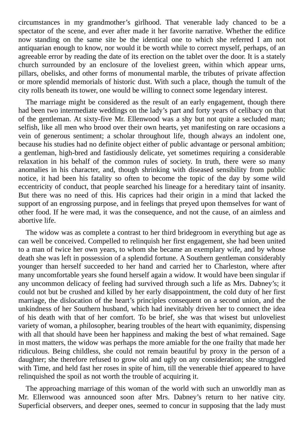circumstances in my grandmother's girlhood. That venerable lady chanced to be a spectator of the scene, and ever after made it her favorite narrative. Whether the edifice now standing on the same site be the identical one to which she referred I am not antiquarian enough to know, nor would it be worth while to correct myself, perhaps, of an agreeable error by reading the date of its erection on the tablet over the door. It is a stately church surrounded by an enclosure of the loveliest green, within which appear urns, pillars, obelisks, and other forms of monumental marble, the tributes of private affection or more splendid memorials of historic dust. With such a place, though the tumult of the city rolls beneath its tower, one would be willing to connect some legendary interest.

The marriage might be considered as the result of an early engagement, though there had been two intermediate weddings on the lady's part and forty years of celibacy on that of the gentleman. At sixty-five Mr. Ellenwood was a shy but not quite a secluded man; selfish, like all men who brood over their own hearts, yet manifesting on rare occasions a vein of generous sentiment; a scholar throughout life, though always an indolent one, because his studies had no definite object either of public advantage or personal ambition; a gentleman, high-bred and fastidiously delicate, yet sometimes requiring a considerable relaxation in his behalf of the common rules of society. In truth, there were so many anomalies in his character, and, though shrinking with diseased sensibility from public notice, it had been his fatality so often to become the topic of the day by some wild eccentricity of conduct, that people searched his lineage for a hereditary taint of insanity. But there was no need of this. His caprices had their origin in a mind that lacked the support of an engrossing purpose, and in feelings that preyed upon themselves for want of other food. If he were mad, it was the consequence, and not the cause, of an aimless and abortive life.

The widow was as complete a contrast to her third bridegroom in everything but age as can well be conceived. Compelled to relinquish her first engagement, she had been united to a man of twice her own years, to whom she became an exemplary wife, and by whose death she was left in possession of a splendid fortune. A Southern gentleman considerably younger than herself succeeded to her hand and carried her to Charleston, where after many uncomfortable years she found herself again a widow. It would have been singular if any uncommon delicacy of feeling had survived through such a life as Mrs. Dabney's; it could not but be crushed and killed by her early disappointment, the cold duty of her first marriage, the dislocation of the heart's principles consequent on a second union, and the unkindness of her Southern husband, which had inevitably driven her to connect the idea of his death with that of her comfort. To be brief, she was that wisest but unloveliest variety of woman, a philosopher, bearing troubles of the heart with equanimity, dispensing with all that should have been her happiness and making the best of what remained. Sage in most matters, the widow was perhaps the more amiable for the one frailty that made her ridiculous. Being childless, she could not remain beautiful by proxy in the person of a daughter; she therefore refused to grow old and ugly on any consideration; she struggled with Time, and held fast her roses in spite of him, till the venerable thief appeared to have relinquished the spoil as not worth the trouble of acquiring it.

The approaching marriage of this woman of the world with such an unworldly man as Mr. Ellenwood was announced soon after Mrs. Dabney's return to her native city. Superficial observers, and deeper ones, seemed to concur in supposing that the lady must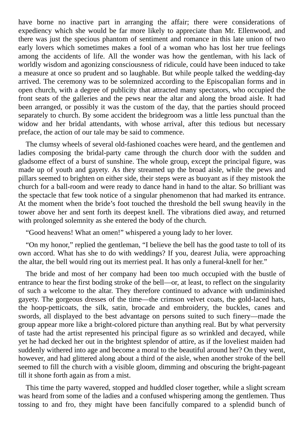have borne no inactive part in arranging the affair; there were considerations of expediency which she would be far more likely to appreciate than Mr. Ellenwood, and there was just the specious phantom of sentiment and romance in this late union of two early lovers which sometimes makes a fool of a woman who has lost her true feelings among the accidents of life. All the wonder was how the gentleman, with his lack of worldly wisdom and agonizing consciousness of ridicule, could have been induced to take a measure at once so prudent and so laughable. But while people talked the wedding-day arrived. The ceremony was to be solemnized according to the Episcopalian forms and in open church, with a degree of publicity that attracted many spectators, who occupied the front seats of the galleries and the pews near the altar and along the broad aisle. It had been arranged, or possibly it was the custom of the day, that the parties should proceed separately to church. By some accident the bridegroom was a little less punctual than the widow and her bridal attendants, with whose arrival, after this tedious but necessary preface, the action of our tale may be said to commence.

The clumsy wheels of several old-fashioned coaches were heard, and the gentlemen and ladies composing the bridal-party came through the church door with the sudden and gladsome effect of a burst of sunshine. The whole group, except the principal figure, was made up of youth and gayety. As they streamed up the broad aisle, while the pews and pillars seemed to brighten on either side, their steps were as buoyant as if they mistook the church for a ball-room and were ready to dance hand in hand to the altar. So brilliant was the spectacle that few took notice of a singular phenomenon that had marked its entrance. At the moment when the bride's foot touched the threshold the bell swung heavily in the tower above her and sent forth its deepest knell. The vibrations died away, and returned with prolonged solemnity as she entered the body of the church.

"Good heavens! What an omen!" whispered a young lady to her lover.

"On my honor," replied the gentleman, "I believe the bell has the good taste to toll of its own accord. What has she to do with weddings? If you, dearest Julia, were approaching the altar, the bell would ring out its merriest peal. It has only a funeral-knell for her."

The bride and most of her company had been too much occupied with the bustle of entrance to hear the first boding stroke of the bell—or, at least, to reflect on the singularity of such a welcome to the altar. They therefore continued to advance with undiminished gayety. The gorgeous dresses of the time—the crimson velvet coats, the gold-laced hats, the hoop-petticoats, the silk, satin, brocade and embroidery, the buckles, canes and swords, all displayed to the best advantage on persons suited to such finery—made the group appear more like a bright-colored picture than anything real. But by what perversity of taste had the artist represented his principal figure as so wrinkled and decayed, while yet he had decked her out in the brightest splendor of attire, as if the loveliest maiden had suddenly withered into age and become a moral to the beautiful around her? On they went, however, and had glittered along about a third of the aisle, when another stroke of the bell seemed to fill the church with a visible gloom, dimming and obscuring the bright-pageant till it shone forth again as from a mist.

This time the party wavered, stopped and huddled closer together, while a slight scream was heard from some of the ladies and a confused whispering among the gentlemen. Thus tossing to and fro, they might have been fancifully compared to a splendid bunch of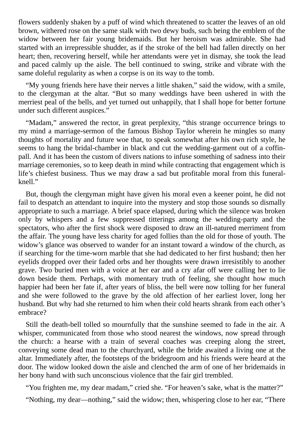flowers suddenly shaken by a puff of wind which threatened to scatter the leaves of an old brown, withered rose on the same stalk with two dewy buds, such being the emblem of the widow between her fair young bridemaids. But her heroism was admirable. She had started with an irrepressible shudder, as if the stroke of the bell had fallen directly on her heart; then, recovering herself, while her attendants were yet in dismay, she took the lead and paced calmly up the aisle. The bell continued to swing, strike and vibrate with the same doleful regularity as when a corpse is on its way to the tomb.

"My young friends here have their nerves a little shaken," said the widow, with a smile, to the clergyman at the altar. "But so many weddings have been ushered in with the merriest peal of the bells, and yet turned out unhappily, that I shall hope for better fortune under such different auspices."

"Madam," answered the rector, in great perplexity, "this strange occurrence brings to my mind a marriage-sermon of the famous Bishop Taylor wherein he mingles so many thoughts of mortality and future woe that, to speak somewhat after his own rich style, he seems to hang the bridal-chamber in black and cut the wedding-garment out of a coffinpall. And it has been the custom of divers nations to infuse something of sadness into their marriage ceremonies, so to keep death in mind while contracting that engagement which is life's chiefest business. Thus we may draw a sad but profitable moral from this funeralknell."

But, though the clergyman might have given his moral even a keener point, he did not fail to despatch an attendant to inquire into the mystery and stop those sounds so dismally appropriate to such a marriage. A brief space elapsed, during which the silence was broken only by whispers and a few suppressed titterings among the wedding-party and the spectators, who after the first shock were disposed to draw an ill-natured merriment from the affair. The young have less charity for aged follies than the old for those of youth. The widow's glance was observed to wander for an instant toward a window of the church, as if searching for the time-worn marble that she had dedicated to her first husband; then her eyelids dropped over their faded orbs and her thoughts were drawn irresistibly to another grave. Two buried men with a voice at her ear and a cry afar off were calling her to lie down beside them. Perhaps, with momentary truth of feeling, she thought how much happier had been her fate if, after years of bliss, the bell were now tolling for her funeral and she were followed to the grave by the old affection of her earliest lover, long her husband. But why had she returned to him when their cold hearts shrank from each other's embrace?

Still the death-bell tolled so mournfully that the sunshine seemed to fade in the air. A whisper, communicated from those who stood nearest the windows, now spread through the church: a hearse with a train of several coaches was creeping along the street, conveying some dead man to the churchyard, while the bride awaited a living one at the altar. Immediately after, the footsteps of the bridegroom and his friends were heard at the door. The widow looked down the aisle and clenched the arm of one of her bridemaids in her bony hand with such unconscious violence that the fair girl trembled.

"You frighten me, my dear madam," cried she. "For heaven's sake, what is the matter?"

"Nothing, my dear—nothing," said the widow; then, whispering close to her ear, "There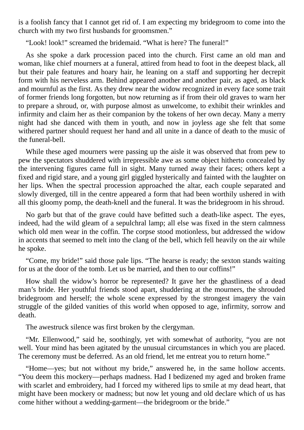is a foolish fancy that I cannot get rid of. I am expecting my bridegroom to come into the church with my two first husbands for groomsmen."

"Look! look!" screamed the bridemaid. "What is here? The funeral!"

As she spoke a dark procession paced into the church. First came an old man and woman, like chief mourners at a funeral, attired from head to foot in the deepest black, all but their pale features and hoary hair, he leaning on a staff and supporting her decrepit form with his nerveless arm. Behind appeared another and another pair, as aged, as black and mournful as the first. As they drew near the widow recognized in every face some trait of former friends long forgotten, but now returning as if from their old graves to warn her to prepare a shroud, or, with purpose almost as unwelcome, to exhibit their wrinkles and infirmity and claim her as their companion by the tokens of her own decay. Many a merry night had she danced with them in youth, and now in joyless age she felt that some withered partner should request her hand and all unite in a dance of death to the music of the funeral-bell.

While these aged mourners were passing up the aisle it was observed that from pew to pew the spectators shuddered with irrepressible awe as some object hitherto concealed by the intervening figures came full in sight. Many turned away their faces; others kept a fixed and rigid stare, and a young girl giggled hysterically and fainted with the laughter on her lips. When the spectral procession approached the altar, each couple separated and slowly diverged, till in the centre appeared a form that had been worthily ushered in with all this gloomy pomp, the death-knell and the funeral. It was the bridegroom in his shroud.

No garb but that of the grave could have befitted such a death-like aspect. The eyes, indeed, had the wild gleam of a sepulchral lamp; all else was fixed in the stern calmness which old men wear in the coffin. The corpse stood motionless, but addressed the widow in accents that seemed to melt into the clang of the bell, which fell heavily on the air while he spoke.

"Come, my bride!" said those pale lips. "The hearse is ready; the sexton stands waiting for us at the door of the tomb. Let us be married, and then to our coffins!"

How shall the widow's horror be represented? It gave her the ghastliness of a dead man's bride. Her youthful friends stood apart, shuddering at the mourners, the shrouded bridegroom and herself; the whole scene expressed by the strongest imagery the vain struggle of the gilded vanities of this world when opposed to age, infirmity, sorrow and death.

The awestruck silence was first broken by the clergyman.

"Mr. Ellenwood," said he, soothingly, yet with somewhat of authority, "you are not well. Your mind has been agitated by the unusual circumstances in which you are placed. The ceremony must be deferred. As an old friend, let me entreat you to return home."

"Home—yes; but not without my bride," answered he, in the same hollow accents. "You deem this mockery—perhaps madness. Had I bedizened my aged and broken frame with scarlet and embroidery, had I forced my withered lips to smile at my dead heart, that might have been mockery or madness; but now let young and old declare which of us has come hither without a wedding-garment—the bridegroom or the bride."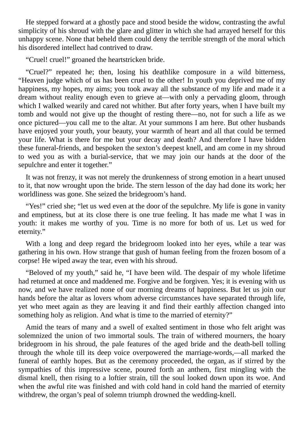He stepped forward at a ghostly pace and stood beside the widow, contrasting the awful simplicity of his shroud with the glare and glitter in which she had arrayed herself for this unhappy scene. None that beheld them could deny the terrible strength of the moral which his disordered intellect had contrived to draw.

"Cruel! cruel!" groaned the heartstricken bride.

"Cruel?" repeated he; then, losing his deathlike composure in a wild bitterness, "Heaven judge which of us has been cruel to the other! In youth you deprived me of my happiness, my hopes, my aims; you took away all the substance of my life and made it a dream without reality enough even to grieve at—with only a pervading gloom, through which I walked wearily and cared not whither. But after forty years, when I have built my tomb and would not give up the thought of resting there—no, not for such a life as we once pictured—you call me to the altar. At your summons I am here. But other husbands have enjoyed your youth, your beauty, your warmth of heart and all that could be termed your life. What is there for me but your decay and death? And therefore I have bidden these funeral-friends, and bespoken the sexton's deepest knell, and am come in my shroud to wed you as with a burial-service, that we may join our hands at the door of the sepulchre and enter it together."

It was not frenzy, it was not merely the drunkenness of strong emotion in a heart unused to it, that now wrought upon the bride. The stern lesson of the day had done its work; her worldliness was gone. She seized the bridegroom's hand.

"Yes!" cried she; "let us wed even at the door of the sepulchre. My life is gone in vanity and emptiness, but at its close there is one true feeling. It has made me what I was in youth: it makes me worthy of you. Time is no more for both of us. Let us wed for eternity."

With a long and deep regard the bridegroom looked into her eyes, while a tear was gathering in his own. How strange that gush of human feeling from the frozen bosom of a corpse! He wiped away the tear, even with his shroud.

"Beloved of my youth," said he, "I have been wild. The despair of my whole lifetime had returned at once and maddened me. Forgive and be forgiven. Yes; it is evening with us now, and we have realized none of our morning dreams of happiness. But let us join our hands before the altar as lovers whom adverse circumstances have separated through life, yet who meet again as they are leaving it and find their earthly affection changed into something holy as religion. And what is time to the married of eternity?"

Amid the tears of many and a swell of exalted sentiment in those who felt aright was solemnized the union of two immortal souls. The train of withered mourners, the hoary bridegroom in his shroud, the pale features of the aged bride and the death-bell tolling through the whole till its deep voice overpowered the marriage-words,—all marked the funeral of earthly hopes. But as the ceremony proceeded, the organ, as if stirred by the sympathies of this impressive scene, poured forth an anthem, first mingling with the dismal knell, then rising to a loftier strain, till the soul looked down upon its woe. And when the awful rite was finished and with cold hand in cold hand the married of eternity withdrew, the organ's peal of solemn triumph drowned the wedding-knell.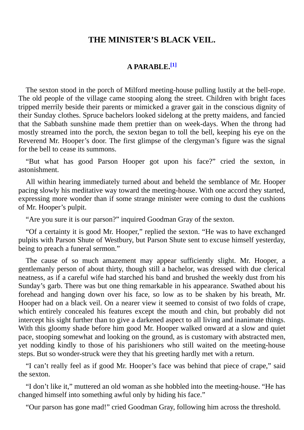#### **THE MINISTER'S BLACK VEIL.**

#### **A PARABLE. [1]**

<span id="page-16-0"></span>The sexton stood in the porch of Milford meeting-house pulling lustily at the bell-rope. The old people of the village came stooping along the street. Children with bright faces tripped merrily beside their parents or mimicked a graver gait in the conscious dignity of their Sunday clothes. Spruce bachelors looked sidelong at the pretty maidens, and fancied that the Sabbath sunshine made them prettier than on week-days. When the throng had mostly streamed into the porch, the sexton began to toll the bell, keeping his eye on the Reverend Mr. Hooper's door. The first glimpse of the clergyman's figure was the signal for the bell to cease its summons.

"But what has good Parson Hooper got upon his face?" cried the sexton, in astonishment.

All within hearing immediately turned about and beheld the semblance of Mr. Hooper pacing slowly his meditative way toward the meeting-house. With one accord they started, expressing more wonder than if some strange minister were coming to dust the cushions of Mr. Hooper's pulpit.

"Are you sure it is our parson?" inquired Goodman Gray of the sexton.

"Of a certainty it is good Mr. Hooper," replied the sexton. "He was to have exchanged pulpits with Parson Shute of Westbury, but Parson Shute sent to excuse himself yesterday, being to preach a funeral sermon."

The cause of so much amazement may appear sufficiently slight. Mr. Hooper, a gentlemanly person of about thirty, though still a bachelor, was dressed with due clerical neatness, as if a careful wife had starched his band and brushed the weekly dust from his Sunday's garb. There was but one thing remarkable in his appearance. Swathed about his forehead and hanging down over his face, so low as to be shaken by his breath, Mr. Hooper had on a black veil. On a nearer view it seemed to consist of two folds of crape, which entirely concealed his features except the mouth and chin, but probably did not intercept his sight further than to give a darkened aspect to all living and inanimate things. With this gloomy shade before him good Mr. Hooper walked onward at a slow and quiet pace, stooping somewhat and looking on the ground, as is customary with abstracted men, yet nodding kindly to those of his parishioners who still waited on the meeting-house steps. But so wonder-struck were they that his greeting hardly met with a return.

"I can't really feel as if good Mr. Hooper's face was behind that piece of crape," said the sexton.

"I don't like it," muttered an old woman as she hobbled into the meeting-house. "He has changed himself into something awful only by hiding his face."

"Our parson has gone mad!" cried Goodman Gray, following him across the threshold.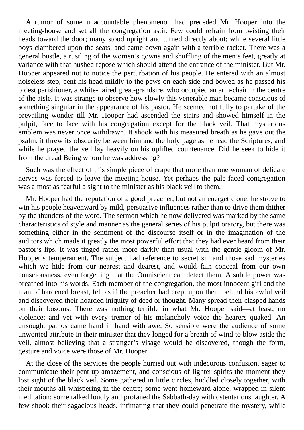A rumor of some unaccountable phenomenon had preceded Mr. Hooper into the meeting-house and set all the congregation astir. Few could refrain from twisting their heads toward the door; many stood upright and turned directly about; while several little boys clambered upon the seats, and came down again with a terrible racket. There was a general bustle, a rustling of the women's gowns and shuffling of the men's feet, greatly at variance with that hushed repose which should attend the entrance of the minister. But Mr. Hooper appeared not to notice the perturbation of his people. He entered with an almost noiseless step, bent his head mildly to the pews on each side and bowed as he passed his oldest parishioner, a white-haired great-grandsire, who occupied an arm-chair in the centre of the aisle. It was strange to observe how slowly this venerable man became conscious of something singular in the appearance of his pastor. He seemed not fully to partake of the prevailing wonder till Mr. Hooper had ascended the stairs and showed himself in the pulpit, face to face with his congregation except for the black veil. That mysterious emblem was never once withdrawn. It shook with his measured breath as he gave out the psalm, it threw its obscurity between him and the holy page as he read the Scriptures, and while he prayed the veil lay heavily on his uplifted countenance. Did he seek to hide it from the dread Being whom he was addressing?

Such was the effect of this simple piece of crape that more than one woman of delicate nerves was forced to leave the meeting-house. Yet perhaps the pale-faced congregation was almost as fearful a sight to the minister as his black veil to them.

Mr. Hooper had the reputation of a good preacher, but not an energetic one: he strove to win his people heavenward by mild, persuasive influences rather than to drive them thither by the thunders of the word. The sermon which he now delivered was marked by the same characteristics of style and manner as the general series of his pulpit oratory, but there was something either in the sentiment of the discourse itself or in the imagination of the auditors which made it greatly the most powerful effort that they had ever heard from their pastor's lips. It was tinged rather more darkly than usual with the gentle gloom of Mr. Hooper's temperament. The subject had reference to secret sin and those sad mysteries which we hide from our nearest and dearest, and would fain conceal from our own consciousness, even forgetting that the Omniscient can detect them. A subtle power was breathed into his words. Each member of the congregation, the most innocent girl and the man of hardened breast, felt as if the preacher had crept upon them behind his awful veil and discovered their hoarded iniquity of deed or thought. Many spread their clasped hands on their bosoms. There was nothing terrible in what Mr. Hooper said—at least, no violence; and yet with every tremor of his melancholy voice the hearers quaked. An unsought pathos came hand in hand with awe. So sensible were the audience of some unwonted attribute in their minister that they longed for a breath of wind to blow aside the veil, almost believing that a stranger's visage would be discovered, though the form, gesture and voice were those of Mr. Hooper.

At the close of the services the people hurried out with indecorous confusion, eager to communicate their pent-up amazement, and conscious of lighter spirits the moment they lost sight of the black veil. Some gathered in little circles, huddled closely together, with their mouths all whispering in the centre; some went homeward alone, wrapped in silent meditation; some talked loudly and profaned the Sabbath-day with ostentatious laughter. A few shook their sagacious heads, intimating that they could penetrate the mystery, while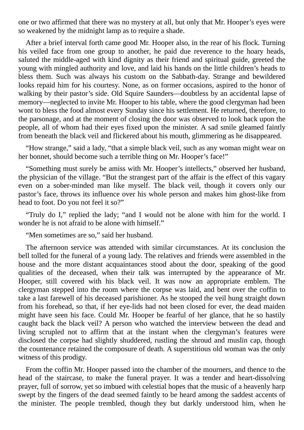one or two affirmed that there was no mystery at all, but only that Mr. Hooper's eyes were so weakened by the midnight lamp as to require a shade.

After a brief interval forth came good Mr. Hooper also, in the rear of his flock. Turning his veiled face from one group to another, he paid due reverence to the hoary heads, saluted the middle-aged with kind dignity as their friend and spiritual guide, greeted the young with mingled authority and love, and laid his hands on the little children's heads to bless them. Such was always his custom on the Sabbath-day. Strange and bewildered looks repaid him for his courtesy. None, as on former occasions, aspired to the honor of walking by their pastor's side. Old Squire Saunders—doubtless by an accidental lapse of memory—neglected to invite Mr. Hooper to his table, where the good clergyman had been wont to bless the food almost every Sunday since his settlement. He returned, therefore, to the parsonage, and at the moment of closing the door was observed to look back upon the people, all of whom had their eyes fixed upon the minister. A sad smile gleamed faintly from beneath the black veil and flickered about his mouth, glimmering as he disappeared.

"How strange," said a lady, "that a simple black veil, such as any woman might wear on her bonnet, should become such a terrible thing on Mr. Hooper's face!"

"Something must surely be amiss with Mr. Hooper's intellects," observed her husband, the physician of the village. "But the strangest part of the affair is the effect of this vagary even on a sober-minded man like myself. The black veil, though it covers only our pastor's face, throws its influence over his whole person and makes him ghost-like from head to foot. Do you not feel it so?"

"Truly do I," replied the lady; "and I would not be alone with him for the world. I wonder he is not afraid to be alone with himself."

"Men sometimes are so," said her husband.

The afternoon service was attended with similar circumstances. At its conclusion the bell tolled for the funeral of a young lady. The relatives and friends were assembled in the house and the more distant acquaintances stood about the door, speaking of the good qualities of the deceased, when their talk was interrupted by the appearance of Mr. Hooper, still covered with his black veil. It was now an appropriate emblem. The clergyman stepped into the room where the corpse was laid, and bent over the coffin to take a last farewell of his deceased parishioner. As he stooped the veil hung straight down from his forehead, so that, if her eye-lids had not been closed for ever, the dead maiden might have seen his face. Could Mr. Hooper be fearful of her glance, that he so hastily caught back the black veil? A person who watched the interview between the dead and living scrupled not to affirm that at the instant when the clergyman's features were disclosed the corpse had slightly shuddered, rustling the shroud and muslin cap, though the countenance retained the composure of death. A superstitious old woman was the only witness of this prodigy.

From the coffin Mr. Hooper passed into the chamber of the mourners, and thence to the head of the staircase, to make the funeral prayer. It was a tender and heart-dissolving prayer, full of sorrow, yet so imbued with celestial hopes that the music of a heavenly harp swept by the fingers of the dead seemed faintly to be heard among the saddest accents of the minister. The people trembled, though they but darkly understood him, when he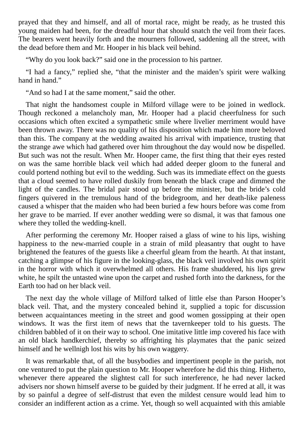prayed that they and himself, and all of mortal race, might be ready, as he trusted this young maiden had been, for the dreadful hour that should snatch the veil from their faces. The bearers went heavily forth and the mourners followed, saddening all the street, with the dead before them and Mr. Hooper in his black veil behind.

"Why do you look back?" said one in the procession to his partner.

"I had a fancy," replied she, "that the minister and the maiden's spirit were walking hand in hand."

"And so had I at the same moment," said the other.

That night the handsomest couple in Milford village were to be joined in wedlock. Though reckoned a melancholy man, Mr. Hooper had a placid cheerfulness for such occasions which often excited a sympathetic smile where livelier merriment would have been thrown away. There was no quality of his disposition which made him more beloved than this. The company at the wedding awaited his arrival with impatience, trusting that the strange awe which had gathered over him throughout the day would now be dispelled. But such was not the result. When Mr. Hooper came, the first thing that their eyes rested on was the same horrible black veil which had added deeper gloom to the funeral and could portend nothing but evil to the wedding. Such was its immediate effect on the guests that a cloud seemed to have rolled duskily from beneath the black crape and dimmed the light of the candles. The bridal pair stood up before the minister, but the bride's cold fingers quivered in the tremulous hand of the bridegroom, and her death-like paleness caused a whisper that the maiden who had been buried a few hours before was come from her grave to be married. If ever another wedding were so dismal, it was that famous one where they tolled the wedding-knell.

After performing the ceremony Mr. Hooper raised a glass of wine to his lips, wishing happiness to the new-married couple in a strain of mild pleasantry that ought to have brightened the features of the guests like a cheerful gleam from the hearth. At that instant, catching a glimpse of his figure in the looking-glass, the black veil involved his own spirit in the horror with which it overwhelmed all others. His frame shuddered, his lips grew white, he spilt the untasted wine upon the carpet and rushed forth into the darkness, for the Earth too had on her black veil.

The next day the whole village of Milford talked of little else than Parson Hooper's black veil. That, and the mystery concealed behind it, supplied a topic for discussion between acquaintances meeting in the street and good women gossipping at their open windows. It was the first item of news that the tavernkeeper told to his guests. The children babbled of it on their way to school. One imitative little imp covered his face with an old black handkerchief, thereby so affrighting his playmates that the panic seized himself and he wellnigh lost his wits by his own waggery.

It was remarkable that, of all the busybodies and impertinent people in the parish, not one ventured to put the plain question to Mr. Hooper wherefore he did this thing. Hitherto, whenever there appeared the slightest call for such interference, he had never lacked advisers nor shown himself averse to be guided by their judgment. If he erred at all, it was by so painful a degree of self-distrust that even the mildest censure would lead him to consider an indifferent action as a crime. Yet, though so well acquainted with this amiable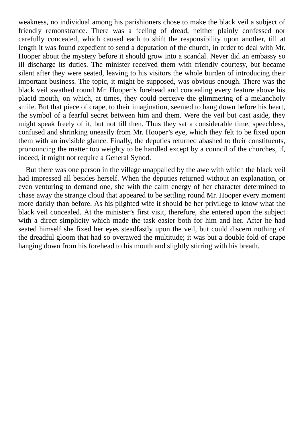weakness, no individual among his parishioners chose to make the black veil a subject of friendly remonstrance. There was a feeling of dread, neither plainly confessed nor carefully concealed, which caused each to shift the responsibility upon another, till at length it was found expedient to send a deputation of the church, in order to deal with Mr. Hooper about the mystery before it should grow into a scandal. Never did an embassy so ill discharge its duties. The minister received them with friendly courtesy, but became silent after they were seated, leaving to his visitors the whole burden of introducing their important business. The topic, it might be supposed, was obvious enough. There was the black veil swathed round Mr. Hooper's forehead and concealing every feature above his placid mouth, on which, at times, they could perceive the glimmering of a melancholy smile. But that piece of crape, to their imagination, seemed to hang down before his heart, the symbol of a fearful secret between him and them. Were the veil but cast aside, they might speak freely of it, but not till then. Thus they sat a considerable time, speechless, confused and shrinking uneasily from Mr. Hooper's eye, which they felt to be fixed upon them with an invisible glance. Finally, the deputies returned abashed to their constituents, pronouncing the matter too weighty to be handled except by a council of the churches, if, indeed, it might not require a General Synod.

But there was one person in the village unappalled by the awe with which the black veil had impressed all besides herself. When the deputies returned without an explanation, or even venturing to demand one, she with the calm energy of her character determined to chase away the strange cloud that appeared to be settling round Mr. Hooper every moment more darkly than before. As his plighted wife it should be her privilege to know what the black veil concealed. At the minister's first visit, therefore, she entered upon the subject with a direct simplicity which made the task easier both for him and her. After he had seated himself she fixed her eyes steadfastly upon the veil, but could discern nothing of the dreadful gloom that had so overawed the multitude; it was but a double fold of crape hanging down from his forehead to his mouth and slightly stirring with his breath.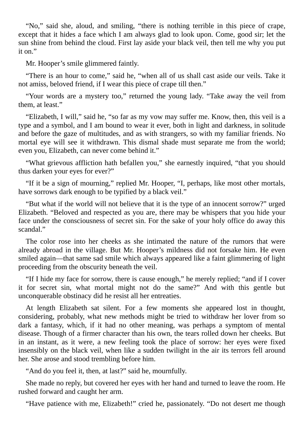"No," said she, aloud, and smiling, "there is nothing terrible in this piece of crape, except that it hides a face which I am always glad to look upon. Come, good sir; let the sun shine from behind the cloud. First lay aside your black veil, then tell me why you put it on."

Mr. Hooper's smile glimmered faintly.

"There is an hour to come," said he, "when all of us shall cast aside our veils. Take it not amiss, beloved friend, if I wear this piece of crape till then."

"Your words are a mystery too," returned the young lady. "Take away the veil from them, at least."

"Elizabeth, I will," said he, "so far as my vow may suffer me. Know, then, this veil is a type and a symbol, and I am bound to wear it ever, both in light and darkness, in solitude and before the gaze of multitudes, and as with strangers, so with my familiar friends. No mortal eye will see it withdrawn. This dismal shade must separate me from the world; even you, Elizabeth, can never come behind it."

"What grievous affliction hath befallen you," she earnestly inquired, "that you should thus darken your eyes for ever?"

"If it be a sign of mourning," replied Mr. Hooper, "I, perhaps, like most other mortals, have sorrows dark enough to be typified by a black veil."

"But what if the world will not believe that it is the type of an innocent sorrow?" urged Elizabeth. "Beloved and respected as you are, there may be whispers that you hide your face under the consciousness of secret sin. For the sake of your holy office do away this scandal."

The color rose into her cheeks as she intimated the nature of the rumors that were already abroad in the village. But Mr. Hooper's mildness did not forsake him. He even smiled again—that same sad smile which always appeared like a faint glimmering of light proceeding from the obscurity beneath the veil.

"If I hide my face for sorrow, there is cause enough," he merely replied; "and if I cover it for secret sin, what mortal might not do the same?" And with this gentle but unconquerable obstinacy did he resist all her entreaties.

At length Elizabeth sat silent. For a few moments she appeared lost in thought, considering, probably, what new methods might be tried to withdraw her lover from so dark a fantasy, which, if it had no other meaning, was perhaps a symptom of mental disease. Though of a firmer character than his own, the tears rolled down her cheeks. But in an instant, as it were, a new feeling took the place of sorrow: her eyes were fixed insensibly on the black veil, when like a sudden twilight in the air its terrors fell around her. She arose and stood trembling before him.

"And do you feel it, then, at last?" said he, mournfully.

She made no reply, but covered her eyes with her hand and turned to leave the room. He rushed forward and caught her arm.

"Have patience with me, Elizabeth!" cried he, passionately. "Do not desert me though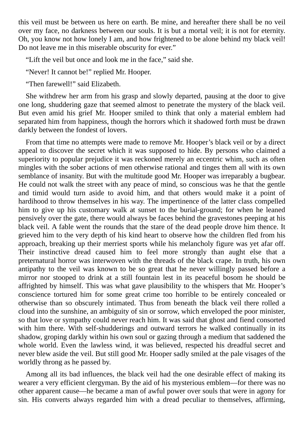this veil must be between us here on earth. Be mine, and hereafter there shall be no veil over my face, no darkness between our souls. It is but a mortal veil; it is not for eternity. Oh, you know not how lonely I am, and how frightened to be alone behind my black veil! Do not leave me in this miserable obscurity for ever."

"Lift the veil but once and look me in the face," said she.

"Never! It cannot be!" replied Mr. Hooper.

"Then farewell!" said Elizabeth.

She withdrew her arm from his grasp and slowly departed, pausing at the door to give one long, shuddering gaze that seemed almost to penetrate the mystery of the black veil. But even amid his grief Mr. Hooper smiled to think that only a material emblem had separated him from happiness, though the horrors which it shadowed forth must be drawn darkly between the fondest of lovers.

From that time no attempts were made to remove Mr. Hooper's black veil or by a direct appeal to discover the secret which it was supposed to hide. By persons who claimed a superiority to popular prejudice it was reckoned merely an eccentric whim, such as often mingles with the sober actions of men otherwise rational and tinges them all with its own semblance of insanity. But with the multitude good Mr. Hooper was irreparably a bugbear. He could not walk the street with any peace of mind, so conscious was he that the gentle and timid would turn aside to avoid him, and that others would make it a point of hardihood to throw themselves in his way. The impertinence of the latter class compelled him to give up his customary walk at sunset to the burial-ground; for when he leaned pensively over the gate, there would always be faces behind the gravestones peeping at his black veil. A fable went the rounds that the stare of the dead people drove him thence. It grieved him to the very depth of his kind heart to observe how the children fled from his approach, breaking up their merriest sports while his melancholy figure was yet afar off. Their instinctive dread caused him to feel more strongly than aught else that a preternatural horror was interwoven with the threads of the black crape. In truth, his own antipathy to the veil was known to be so great that he never willingly passed before a mirror nor stooped to drink at a still fountain lest in its peaceful bosom he should be affrighted by himself. This was what gave plausibility to the whispers that Mr. Hooper's conscience tortured him for some great crime too horrible to be entirely concealed or otherwise than so obscurely intimated. Thus from beneath the black veil there rolled a cloud into the sunshine, an ambiguity of sin or sorrow, which enveloped the poor minister, so that love or sympathy could never reach him. It was said that ghost and fiend consorted with him there. With self-shudderings and outward terrors he walked continually in its shadow, groping darkly within his own soul or gazing through a medium that saddened the whole world. Even the lawless wind, it was believed, respected his dreadful secret and never blew aside the veil. But still good Mr. Hooper sadly smiled at the pale visages of the worldly throng as he passed by.

Among all its bad influences, the black veil had the one desirable effect of making its wearer a very efficient clergyman. By the aid of his mysterious emblem—for there was no other apparent cause—he became a man of awful power over souls that were in agony for sin. His converts always regarded him with a dread peculiar to themselves, affirming,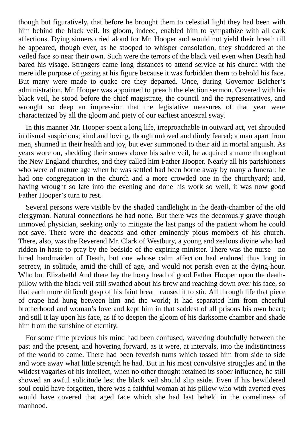though but figuratively, that before he brought them to celestial light they had been with him behind the black veil. Its gloom, indeed, enabled him to sympathize with all dark affections. Dying sinners cried aloud for Mr. Hooper and would not yield their breath till he appeared, though ever, as he stooped to whisper consolation, they shuddered at the veiled face so near their own. Such were the terrors of the black veil even when Death had bared his visage. Strangers came long distances to attend service at his church with the mere idle purpose of gazing at his figure because it was forbidden them to behold his face. But many were made to quake ere they departed. Once, during Governor Belcher's administration, Mr. Hooper was appointed to preach the election sermon. Covered with his black veil, he stood before the chief magistrate, the council and the representatives, and wrought so deep an impression that the legislative measures of that year were characterized by all the gloom and piety of our earliest ancestral sway.

In this manner Mr. Hooper spent a long life, irreproachable in outward act, yet shrouded in dismal suspicions; kind and loving, though unloved and dimly feared; a man apart from men, shunned in their health and joy, but ever summoned to their aid in mortal anguish. As years wore on, shedding their snows above his sable veil, he acquired a name throughout the New England churches, and they called him Father Hooper. Nearly all his parishioners who were of mature age when he was settled had been borne away by many a funeral: he had one congregation in the church and a more crowded one in the churchyard; and, having wrought so late into the evening and done his work so well, it was now good Father Hooper's turn to rest.

Several persons were visible by the shaded candlelight in the death-chamber of the old clergyman. Natural connections he had none. But there was the decorously grave though unmoved physician, seeking only to mitigate the last pangs of the patient whom he could not save. There were the deacons and other eminently pious members of his church. There, also, was the Reverend Mr. Clark of Westbury, a young and zealous divine who had ridden in haste to pray by the bedside of the expiring minister. There was the nurse—no hired handmaiden of Death, but one whose calm affection had endured thus long in secrecy, in solitude, amid the chill of age, and would not perish even at the dying-hour. Who but Elizabeth! And there lay the hoary head of good Father Hooper upon the deathpillow with the black veil still swathed about his brow and reaching down over his face, so that each more difficult gasp of his faint breath caused it to stir. All through life that piece of crape had hung between him and the world; it had separated him from cheerful brotherhood and woman's love and kept him in that saddest of all prisons his own heart; and still it lay upon his face, as if to deepen the gloom of his darksome chamber and shade him from the sunshine of eternity.

For some time previous his mind had been confused, wavering doubtfully between the past and the present, and hovering forward, as it were, at intervals, into the indistinctness of the world to come. There had been feverish turns which tossed him from side to side and wore away what little strength he had. But in his most convulsive struggles and in the wildest vagaries of his intellect, when no other thought retained its sober influence, he still showed an awful solicitude lest the black veil should slip aside. Even if his bewildered soul could have forgotten, there was a faithful woman at his pillow who with averted eyes would have covered that aged face which she had last beheld in the comeliness of manhood.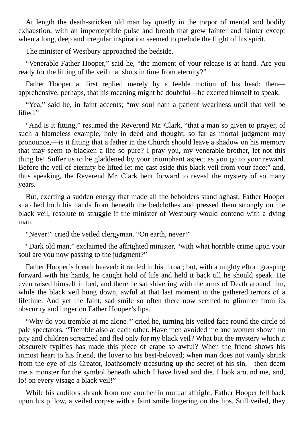At length the death-stricken old man lay quietly in the torpor of mental and bodily exhaustion, with an imperceptible pulse and breath that grew fainter and fainter except when a long, deep and irregular inspiration seemed to prelude the flight of his spirit.

The minister of Westbury approached the bedside.

"Venerable Father Hooper," said he, "the moment of your release is at hand. Are you ready for the lifting of the veil that shuts in time from eternity?"

Father Hooper at first replied merely by a feeble motion of his head; then apprehensive, perhaps, that his meaning might be doubtful—he exerted himself to speak.

"Yea," said he, in faint accents; "my soul hath a patient weariness until that veil be lifted."

"And is it fitting," resumed the Reverend Mr. Clark, "that a man so given to prayer, of such a blameless example, holy in deed and thought, so far as mortal judgment may pronounce,—is it fitting that a father in the Church should leave a shadow on his memory that may seem to blacken a life so pure? I pray you, my venerable brother, let not this thing be! Suffer us to be gladdened by your triumphant aspect as you go to your reward. Before the veil of eternity be lifted let me cast aside this black veil from your face;" and, thus speaking, the Reverend Mr. Clark bent forward to reveal the mystery of so many years.

But, exerting a sudden energy that made all the beholders stand aghast, Father Hooper snatched both his hands from beneath the bedclothes and pressed them strongly on the black veil, resolute to struggle if the minister of Westbury would contend with a dying man.

"Never!" cried the veiled clergyman. "On earth, never!"

"Dark old man," exclaimed the affrighted minister, "with what horrible crime upon your soul are you now passing to the judgment?"

Father Hooper's breath heaved: it rattled in his throat; but, with a mighty effort grasping forward with his hands, he caught hold of life and held it back till he should speak. He even raised himself in bed, and there he sat shivering with the arms of Death around him, while the black veil hung down, awful at that last moment in the gathered terrors of a lifetime. And yet the faint, sad smile so often there now seemed to glimmer from its obscurity and linger on Father Hooper's lips.

"Why do you tremble at me alone?" cried he, turning his veiled face round the circle of pale spectators. "Tremble also at each other. Have men avoided me and women shown no pity and children screamed and fled only for my black veil? What but the mystery which it obscurely typifies has made this piece of crape so awful? When the friend shows his inmost heart to his friend, the lover to his best-beloved; when man does not vainly shrink from the eye of his Creator, loathsomely treasuring up the secret of his sin,—then deem me a monster for the symbol beneath which I have lived and die. I look around me, and, lo! on every visage a black veil!"

While his auditors shrank from one another in mutual affright, Father Hooper fell back upon his pillow, a veiled corpse with a faint smile lingering on the lips. Still veiled, they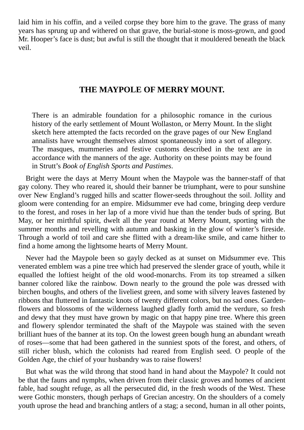laid him in his coffin, and a veiled corpse they bore him to the grave. The grass of many years has sprung up and withered on that grave, the burial-stone is moss-grown, and good Mr. Hooper's face is dust; but awful is still the thought that it mouldered beneath the black veil.

#### **THE MAYPOLE OF MERRY MOUNT.**

<span id="page-25-0"></span>There is an admirable foundation for a philosophic romance in the curious history of the early settlement of Mount Wollaston, or Merry Mount. In the slight sketch here attempted the facts recorded on the grave pages of our New England annalists have wrought themselves almost spontaneously into a sort of allegory. The masques, mummeries and festive customs described in the text are in accordance with the manners of the age. Authority on these points may be found in Strutt's *Book of English Sports and Pastimes*.

Bright were the days at Merry Mount when the Maypole was the banner-staff of that gay colony. They who reared it, should their banner be triumphant, were to pour sunshine over New England's rugged hills and scatter flower-seeds throughout the soil. Jollity and gloom were contending for an empire. Midsummer eve had come, bringing deep verdure to the forest, and roses in her lap of a more vivid hue than the tender buds of spring. But May, or her mirthful spirit, dwelt all the year round at Merry Mount, sporting with the summer months and revelling with autumn and basking in the glow of winter's fireside. Through a world of toil and care she flitted with a dream-like smile, and came hither to find a home among the lightsome hearts of Merry Mount.

Never had the Maypole been so gayly decked as at sunset on Midsummer eve. This venerated emblem was a pine tree which had preserved the slender grace of youth, while it equalled the loftiest height of the old wood-monarchs. From its top streamed a silken banner colored like the rainbow. Down nearly to the ground the pole was dressed with birchen boughs, and others of the liveliest green, and some with silvery leaves fastened by ribbons that fluttered in fantastic knots of twenty different colors, but no sad ones. Gardenflowers and blossoms of the wilderness laughed gladly forth amid the verdure, so fresh and dewy that they must have grown by magic on that happy pine tree. Where this green and flowery splendor terminated the shaft of the Maypole was stained with the seven brilliant hues of the banner at its top. On the lowest green bough hung an abundant wreath of roses—some that had been gathered in the sunniest spots of the forest, and others, of still richer blush, which the colonists had reared from English seed. O people of the Golden Age, the chief of your husbandry was to raise flowers!

But what was the wild throng that stood hand in hand about the Maypole? It could not be that the fauns and nymphs, when driven from their classic groves and homes of ancient fable, had sought refuge, as all the persecuted did, in the fresh woods of the West. These were Gothic monsters, though perhaps of Grecian ancestry. On the shoulders of a comely youth uprose the head and branching antlers of a stag; a second, human in all other points,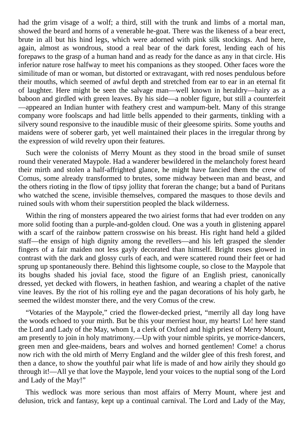had the grim visage of a wolf; a third, still with the trunk and limbs of a mortal man, showed the beard and horns of a venerable he-goat. There was the likeness of a bear erect, brute in all but his hind legs, which were adorned with pink silk stockings. And here, again, almost as wondrous, stood a real bear of the dark forest, lending each of his forepaws to the grasp of a human hand and as ready for the dance as any in that circle. His inferior nature rose halfway to meet his companions as they stooped. Other faces wore the similitude of man or woman, but distorted or extravagant, with red noses pendulous before their mouths, which seemed of awful depth and stretched from ear to ear in an eternal fit of laughter. Here might be seen the salvage man—well known in heraldry—hairy as a baboon and girdled with green leaves. By his side—a nobler figure, but still a counterfeit —appeared an Indian hunter with feathery crest and wampum-belt. Many of this strange company wore foolscaps and had little bells appended to their garments, tinkling with a silvery sound responsive to the inaudible music of their gleesome spirits. Some youths and maidens were of soberer garb, yet well maintained their places in the irregular throng by the expression of wild revelry upon their features.

Such were the colonists of Merry Mount as they stood in the broad smile of sunset round their venerated Maypole. Had a wanderer bewildered in the melancholy forest heard their mirth and stolen a half-affrighted glance, he might have fancied them the crew of Comus, some already transformed to brutes, some midway between man and beast, and the others rioting in the flow of tipsy jollity that foreran the change; but a band of Puritans who watched the scene, invisible themselves, compared the masques to those devils and ruined souls with whom their superstition peopled the black wilderness.

Within the ring of monsters appeared the two airiest forms that had ever trodden on any more solid footing than a purple-and-golden cloud. One was a youth in glistening apparel with a scarf of the rainbow pattern crosswise on his breast. His right hand held a gilded staff—the ensign of high dignity among the revellers—and his left grasped the slender fingers of a fair maiden not less gayly decorated than himself. Bright roses glowed in contrast with the dark and glossy curls of each, and were scattered round their feet or had sprung up spontaneously there. Behind this lightsome couple, so close to the Maypole that its boughs shaded his jovial face, stood the figure of an English priest, canonically dressed, yet decked with flowers, in heathen fashion, and wearing a chaplet of the native vine leaves. By the riot of his rolling eye and the pagan decorations of his holy garb, he seemed the wildest monster there, and the very Comus of the crew.

"Votaries of the Maypole," cried the flower-decked priest, "merrily all day long have the woods echoed to your mirth. But be this your merriest hour, my hearts! Lo! here stand the Lord and Lady of the May, whom I, a clerk of Oxford and high priest of Merry Mount, am presently to join in holy matrimony.—Up with your nimble spirits, ye morrice-dancers, green men and glee-maidens, bears and wolves and horned gentlemen! Come! a chorus now rich with the old mirth of Merry England and the wilder glee of this fresh forest, and then a dance, to show the youthful pair what life is made of and how airily they should go through it!—All ye that love the Maypole, lend your voices to the nuptial song of the Lord and Lady of the May!"

This wedlock was more serious than most affairs of Merry Mount, where jest and delusion, trick and fantasy, kept up a continual carnival. The Lord and Lady of the May,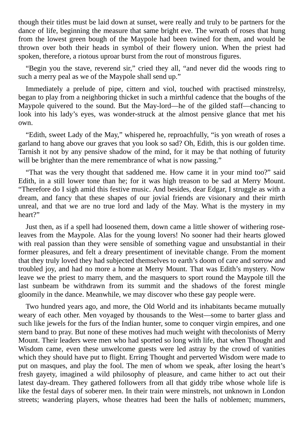though their titles must be laid down at sunset, were really and truly to be partners for the dance of life, beginning the measure that same bright eve. The wreath of roses that hung from the lowest green bough of the Maypole had been twined for them, and would be thrown over both their heads in symbol of their flowery union. When the priest had spoken, therefore, a riotous uproar burst from the rout of monstrous figures.

"Begin you the stave, reverend sir," cried they all, "and never did the woods ring to such a merry peal as we of the Maypole shall send up."

Immediately a prelude of pipe, cittern and viol, touched with practised minstrelsy, began to play from a neighboring thicket in such a mirthful cadence that the boughs of the Maypole quivered to the sound. But the May-lord—he of the gilded staff—chancing to look into his lady's eyes, was wonder-struck at the almost pensive glance that met his own.

"Edith, sweet Lady of the May," whispered he, reproachfully, "is yon wreath of roses a garland to hang above our graves that you look so sad? Oh, Edith, this is our golden time. Tarnish it not by any pensive shadow of the mind, for it may be that nothing of futurity will be brighter than the mere remembrance of what is now passing."

"That was the very thought that saddened me. How came it in your mind too?" said Edith, in a still lower tone than he; for it was high treason to be sad at Merry Mount. "Therefore do I sigh amid this festive music. And besides, dear Edgar, I struggle as with a dream, and fancy that these shapes of our jovial friends are visionary and their mirth unreal, and that we are no true lord and lady of the May. What is the mystery in my heart?"

Just then, as if a spell had loosened them, down came a little shower of withering roseleaves from the Maypole. Alas for the young lovers! No sooner had their hearts glowed with real passion than they were sensible of something vague and unsubstantial in their former pleasures, and felt a dreary presentiment of inevitable change. From the moment that they truly loved they had subjected themselves to earth's doom of care and sorrow and troubled joy, and had no more a home at Merry Mount. That was Edith's mystery. Now leave we the priest to marry them, and the masquers to sport round the Maypole till the last sunbeam be withdrawn from its summit and the shadows of the forest mingle gloomily in the dance. Meanwhile, we may discover who these gay people were.

Two hundred years ago, and more, the Old World and its inhabitants became mutually weary of each other. Men voyaged by thousands to the West—some to barter glass and such like jewels for the furs of the Indian hunter, some to conquer virgin empires, and one stern band to pray. But none of these motives had much weight with thecolonists of Merry Mount. Their leaders were men who had sported so long with life, that when Thought and Wisdom came, even these unwelcome guests were led astray by the crowd of vanities which they should have put to flight. Erring Thought and perverted Wisdom were made to put on masques, and play the fool. The men of whom we speak, after losing the heart's fresh gayety, imagined a wild philosophy of pleasure, and came hither to act out their latest day-dream. They gathered followers from all that giddy tribe whose whole life is like the festal days of soberer men. In their train were minstrels, not unknown in London streets; wandering players, whose theatres had been the halls of noblemen; mummers,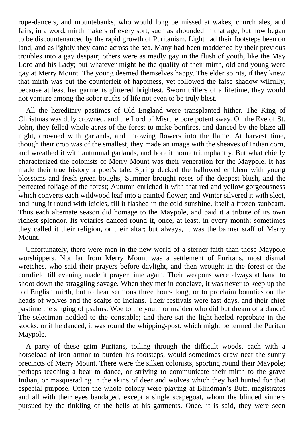rope-dancers, and mountebanks, who would long be missed at wakes, church ales, and fairs; in a word, mirth makers of every sort, such as abounded in that age, but now began to be discountenanced by the rapid growth of Puritanism. Light had their footsteps been on land, and as lightly they came across the sea. Many had been maddened by their previous troubles into a gay despair; others were as madly gay in the flush of youth, like the May Lord and his Lady; but whatever might be the quality of their mirth, old and young were gay at Merry Mount. The young deemed themselves happy. The elder spirits, if they knew that mirth was but the counterfeit of happiness, yet followed the false shadow wilfully, because at least her garments glittered brightest. Sworn triflers of a lifetime, they would not venture among the sober truths of life not even to be truly blest.

All the hereditary pastimes of Old England were transplanted hither. The King of Christmas was duly crowned, and the Lord of Misrule bore potent sway. On the Eve of St. John, they felled whole acres of the forest to make bonfires, and danced by the blaze all night, crowned with garlands, and throwing flowers into the flame. At harvest time, though their crop was of the smallest, they made an image with the sheaves of Indian corn, and wreathed it with autumnal garlands, and bore it home triumphantly. But what chiefly characterized the colonists of Merry Mount was their veneration for the Maypole. It has made their true history a poet's tale. Spring decked the hallowed emblem with young blossoms and fresh green boughs; Summer brought roses of the deepest blush, and the perfected foliage of the forest; Autumn enriched it with that red and yellow gorgeousness which converts each wildwood leaf into a painted flower; and Winter silvered it with sleet, and hung it round with icicles, till it flashed in the cold sunshine, itself a frozen sunbeam. Thus each alternate season did homage to the Maypole, and paid it a tribute of its own richest splendor. Its votaries danced round it, once, at least, in every month; sometimes they called it their religion, or their altar; but always, it was the banner staff of Merry Mount.

Unfortunately, there were men in the new world of a sterner faith than those Maypole worshippers. Not far from Merry Mount was a settlement of Puritans, most dismal wretches, who said their prayers before daylight, and then wrought in the forest or the cornfield till evening made it prayer time again. Their weapons were always at hand to shoot down the straggling savage. When they met in conclave, it was never to keep up the old English mirth, but to hear sermons three hours long, or to proclaim bounties on the heads of wolves and the scalps of Indians. Their festivals were fast days, and their chief pastime the singing of psalms. Woe to the youth or maiden who did but dream of a dance! The selectman nodded to the constable; and there sat the light-heeled reprobate in the stocks; or if he danced, it was round the whipping-post, which might be termed the Puritan Maypole.

A party of these grim Puritans, toiling through the difficult woods, each with a horseload of iron armor to burden his footsteps, would sometimes draw near the sunny precincts of Merry Mount. There were the silken colonists, sporting round their Maypole; perhaps teaching a bear to dance, or striving to communicate their mirth to the grave Indian, or masquerading in the skins of deer and wolves which they had hunted for that especial purpose. Often the whole colony were playing at Blindman's Buff, magistrates and all with their eyes bandaged, except a single scapegoat, whom the blinded sinners pursued by the tinkling of the bells at his garments. Once, it is said, they were seen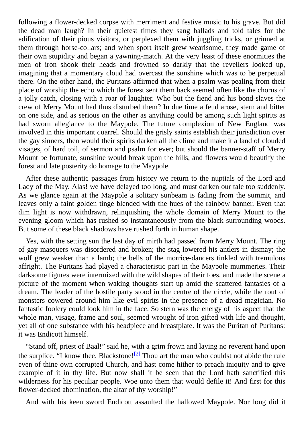following a flower-decked corpse with merriment and festive music to his grave. But did the dead man laugh? In their quietest times they sang ballads and told tales for the edification of their pious visitors, or perplexed them with juggling tricks, or grinned at them through horse-collars; and when sport itself grew wearisome, they made game of their own stupidity and began a yawning-match. At the very least of these enormities the men of iron shook their heads and frowned so darkly that the revellers looked up, imagining that a momentary cloud had overcast the sunshine which was to be perpetual there. On the other hand, the Puritans affirmed that when a psalm was pealing from their place of worship the echo which the forest sent them back seemed often like the chorus of a jolly catch, closing with a roar of laughter. Who but the fiend and his bond-slaves the crew of Merry Mount had thus disturbed them? In due time a feud arose, stern and bitter on one side, and as serious on the other as anything could be among such light spirits as had sworn allegiance to the Maypole. The future complexion of New England was involved in this important quarrel. Should the grisly saints establish their jurisdiction over the gay sinners, then would their spirits darken all the clime and make it a land of clouded visages, of hard toil, of sermon and psalm for ever; but should the banner-staff of Merry Mount be fortunate, sunshine would break upon the hills, and flowers would beautify the forest and late posterity do homage to the Maypole.

After these authentic passages from history we return to the nuptials of the Lord and Lady of the May. Alas! we have delayed too long, and must darken our tale too suddenly. As we glance again at the Maypole a solitary sunbeam is fading from the summit, and leaves only a faint golden tinge blended with the hues of the rainbow banner. Even that dim light is now withdrawn, relinquishing the whole domain of Merry Mount to the evening gloom which has rushed so instantaneously from the black surrounding woods. But some of these black shadows have rushed forth in human shape.

Yes, with the setting sun the last day of mirth had passed from Merry Mount. The ring of gay masquers was disordered and broken; the stag lowered his antlers in dismay; the wolf grew weaker than a lamb; the bells of the morrice-dancers tinkled with tremulous affright. The Puritans had played a characteristic part in the Maypole mummeries. Their darksome figures were intermixed with the wild shapes of their foes, and made the scene a picture of the moment when waking thoughts start up amid the scattered fantasies of a dream. The leader of the hostile party stood in the centre of the circle, while the rout of monsters cowered around him like evil spirits in the presence of a dread magician. No fantastic foolery could look him in the face. So stern was the energy of his aspect that the whole man, visage, frame and soul, seemed wrought of iron gifted with life and thought, yet all of one substance with his headpiece and breastplate. It was the Puritan of Puritans: it was Endicott himself.

"Stand off, priest of Baal!" said he, with a grim frown and laying no reverent hand upon the surplice. "I know thee, Blackstone!<sup>[2]</sup> Thou art the man who couldst not abide the rule even of thine own corrupted Church, and hast come hither to preach iniquity and to give example of it in thy life. But now shall it be seen that the Lord hath sanctified this wilderness for his peculiar people. Woe unto them that would defile it! And first for this flower-decked abomination, the altar of thy worship!"

And with his keen sword Endicott assaulted the hallowed Maypole. Nor long did it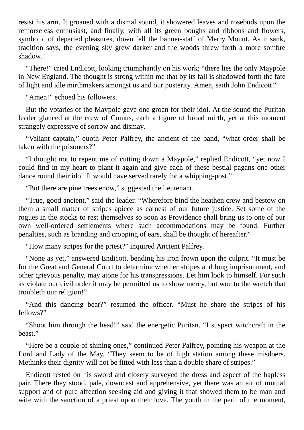resist his arm. It groaned with a dismal sound, it showered leaves and rosebuds upon the remorseless enthusiast, and finally, with all its green boughs and ribbons and flowers, symbolic of departed pleasures, down fell the banner-staff of Merry Mount. As it sank, tradition says, the evening sky grew darker and the woods threw forth a more sombre shadow.

"There!" cried Endicott, looking triumphantly on his work; "there lies the only Maypole in New England. The thought is strong within me that by its fall is shadowed forth the fate of light and idle mirthmakers amongst us and our posterity. Amen, saith John Endicott!"

"Amen!" echoed his followers.

But the votaries of the Maypole gave one groan for their idol. At the sound the Puritan leader glanced at the crew of Comus, each a figure of broad mirth, yet at this moment strangely expressive of sorrow and dismay.

"Valiant captain," quoth Peter Palfrey, the ancient of the band, "what order shall be taken with the prisoners?"

"I thought not to repent me of cutting down a Maypole," replied Endicott, "yet now I could find in my heart to plant it again and give each of these bestial pagans one other dance round their idol. It would have served rarely for a whipping-post."

"But there are pine trees enow," suggested the lieutenant.

"True, good ancient," said the leader. "Wherefore bind the heathen crew and bestow on them a small matter of stripes apiece as earnest of our future justice. Set some of the rogues in the stocks to rest themselves so soon as Providence shall bring us to one of our own well-ordered settlements where such accommodations may be found. Further penalties, such as branding and cropping of ears, shall be thought of hereafter."

"How many stripes for the priest?" inquired Ancient Palfrey.

"None as yet," answered Endicott, bending his iron frown upon the culprit. "It must be for the Great and General Court to determine whether stripes and long imprisonment, and other grievous penalty, may atone for his transgressions. Let him look to himself. For such as violate our civil order it may be permitted us to show mercy, but woe to the wretch that troubleth our religion!"

"And this dancing bear?" resumed the officer. "Must he share the stripes of his fellows?"

"Shoot him through the head!" said the energetic Puritan. "I suspect witchcraft in the beast."

"Here be a couple of shining ones," continued Peter Palfrey, pointing his weapon at the Lord and Lady of the May. "They seem to be of high station among these misdoers. Methinks their dignity will not be fitted with less than a double share of stripes."

Endicott rested on his sword and closely surveyed the dress and aspect of the hapless pair. There they stood, pale, downcast and apprehensive, yet there was an air of mutual support and of pure affection seeking aid and giving it that showed them to be man and wife with the sanction of a priest upon their love. The youth in the peril of the moment,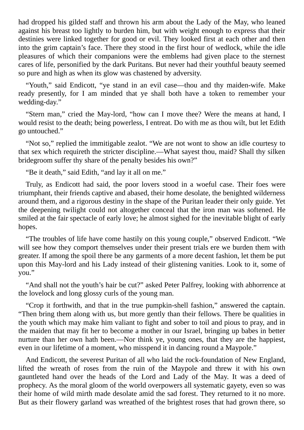had dropped his gilded staff and thrown his arm about the Lady of the May, who leaned against his breast too lightly to burden him, but with weight enough to express that their destinies were linked together for good or evil. They looked first at each other and then into the grim captain's face. There they stood in the first hour of wedlock, while the idle pleasures of which their companions were the emblems had given place to the sternest cares of life, personified by the dark Puritans. But never had their youthful beauty seemed so pure and high as when its glow was chastened by adversity.

"Youth," said Endicott, "ye stand in an evil case—thou and thy maiden-wife. Make ready presently, for I am minded that ye shall both have a token to remember your wedding-day."

"Stern man," cried the May-lord, "how can I move thee? Were the means at hand, I would resist to the death; being powerless, I entreat. Do with me as thou wilt, but let Edith go untouched."

"Not so," replied the immitigable zealot. "We are not wont to show an idle courtesy to that sex which requireth the stricter discipline.—What sayest thou, maid? Shall thy silken bridegroom suffer thy share of the penalty besides his own?"

"Be it death," said Edith, "and lay it all on me."

Truly, as Endicott had said, the poor lovers stood in a woeful case. Their foes were triumphant, their friends captive and abased, their home desolate, the benighted wilderness around them, and a rigorous destiny in the shape of the Puritan leader their only guide. Yet the deepening twilight could not altogether conceal that the iron man was softened. He smiled at the fair spectacle of early love; he almost sighed for the inevitable blight of early hopes.

"The troubles of life have come hastily on this young couple," observed Endicott. "We will see how they comport themselves under their present trials ere we burden them with greater. If among the spoil there be any garments of a more decent fashion, let them be put upon this May-lord and his Lady instead of their glistening vanities. Look to it, some of you."

"And shall not the youth's hair be cut?" asked Peter Palfrey, looking with abhorrence at the lovelock and long glossy curls of the young man.

"Crop it forthwith, and that in the true pumpkin-shell fashion," answered the captain. "Then bring them along with us, but more gently than their fellows. There be qualities in the youth which may make him valiant to fight and sober to toil and pious to pray, and in the maiden that may fit her to become a mother in our Israel, bringing up babes in better nurture than her own hath been.—Nor think ye, young ones, that they are the happiest, even in our lifetime of a moment, who misspend it in dancing round a Maypole."

And Endicott, the severest Puritan of all who laid the rock-foundation of New England, lifted the wreath of roses from the ruin of the Maypole and threw it with his own gauntleted hand over the heads of the Lord and Lady of the May. It was a deed of prophecy. As the moral gloom of the world overpowers all systematic gayety, even so was their home of wild mirth made desolate amid the sad forest. They returned to it no more. But as their flowery garland was wreathed of the brightest roses that had grown there, so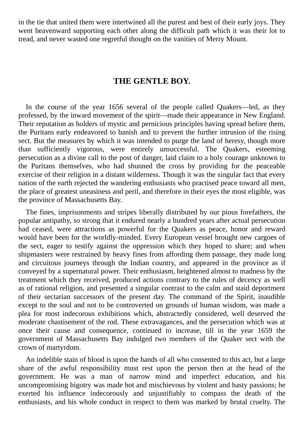in the tie that united them were intertwined all the purest and best of their early joys. They went heavenward supporting each other along the difficult path which it was their lot to tread, and never wasted one regretful thought on the vanities of Merry Mount.

#### **THE GENTLE BOY.**

<span id="page-32-0"></span>In the course of the year 1656 several of the people called Quakers—led, as they professed, by the inward movement of the spirit—made their appearance in New England. Their reputation as holders of mystic and pernicious principles having spread before them, the Puritans early endeavored to banish and to prevent the further intrusion of the rising sect. But the measures by which it was intended to purge the land of heresy, though more than sufficiently vigorous, were entirely unsuccessful. The Quakers, esteeming persecution as a divine call to the post of danger, laid claim to a holy courage unknown to the Puritans themselves, who had shunned the cross by providing for the peaceable exercise of their religion in a distant wilderness. Though it was the singular fact that every nation of the earth rejected the wandering enthusiasts who practised peace toward all men, the place of greatest uneasiness and peril, and therefore in their eyes the most eligible, was the province of Massachusetts Bay.

The fines, imprisonments and stripes liberally distributed by our pious forefathers, the popular antipathy, so strong that it endured nearly a hundred years after actual persecution had ceased, were attractions as powerful for the Quakers as peace, honor and reward would have been for the worldly-minded. Every European vessel brought new cargoes of the sect, eager to testify against the oppression which they hoped to share; and when shipmasters were restrained by heavy fines from affording them passage, they made long and circuitous journeys through the Indian country, and appeared in the province as if conveyed by a supernatural power. Their enthusiasm, heightened almost to madness by the treatment which they received, produced actions contrary to the rules of decency as well as of rational religion, and presented a singular contrast to the calm and staid deportment of their sectarian successors of the present day. The command of the Spirit, inaudible except to the soul and not to be controverted on grounds of human wisdom, was made a plea for most indecorous exhibitions which, abstractedly considered, well deserved the moderate chastisement of the rod. These extravagances, and the persecution which was at once their cause and consequence, continued to increase, till in the year 1659 the government of Massachusetts Bay indulged two members of the Quaker sect with the crown of martyrdom.

An indelible stain of blood is upon the hands of all who consented to this act, but a large share of the awful responsibility must rest upon the person then at the head of the government. He was a man of narrow mind and imperfect education, and his uncompromising bigotry was made hot and mischievous by violent and hasty passions; he exerted his influence indecorously and unjustifiably to compass the death of the enthusiasts, and his whole conduct in respect to them was marked by brutal cruelty. The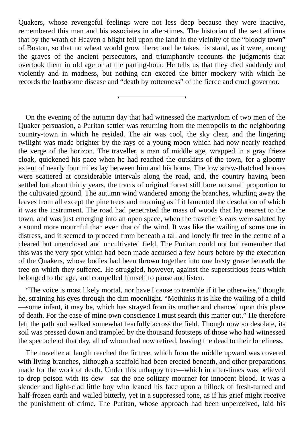Quakers, whose revengeful feelings were not less deep because they were inactive, remembered this man and his associates in after-times. The historian of the sect affirms that by the wrath of Heaven a blight fell upon the land in the vicinity of the "bloody town" of Boston, so that no wheat would grow there; and he takes his stand, as it were, among the graves of the ancient persecutors, and triumphantly recounts the judgments that overtook them in old age or at the parting-hour. He tells us that they died suddenly and violently and in madness, but nothing can exceed the bitter mockery with which he records the loathsome disease and "death by rottenness" of the fierce and cruel governor.

On the evening of the autumn day that had witnessed the martyrdom of two men of the Quaker persuasion, a Puritan settler was returning from the metropolis to the neighboring country-town in which he resided. The air was cool, the sky clear, and the lingering twilight was made brighter by the rays of a young moon which had now nearly reached the verge of the horizon. The traveller, a man of middle age, wrapped in a gray frieze cloak, quickened his pace when he had reached the outskirts of the town, for a gloomy extent of nearly four miles lay between him and his home. The low straw-thatched houses were scattered at considerable intervals along the road, and, the country having been settled but about thirty years, the tracts of original forest still bore no small proportion to the cultivated ground. The autumn wind wandered among the branches, whirling away the leaves from all except the pine trees and moaning as if it lamented the desolation of which it was the instrument. The road had penetrated the mass of woods that lay nearest to the town, and was just emerging into an open space, when the traveller's ears were saluted by a sound more mournful than even that of the wind. It was like the wailing of some one in distress, and it seemed to proceed from beneath a tall and lonely fir tree in the centre of a cleared but unenclosed and uncultivated field. The Puritan could not but remember that this was the very spot which had been made accursed a few hours before by the execution of the Quakers, whose bodies had been thrown together into one hasty grave beneath the tree on which they suffered. He struggled, however, against the superstitious fears which belonged to the age, and compelled himself to pause and listen.

"The voice is most likely mortal, nor have I cause to tremble if it be otherwise," thought he, straining his eyes through the dim moonlight. "Methinks it is like the wailing of a child —some infant, it may be, which has strayed from its mother and chanced upon this place of death. For the ease of mine own conscience I must search this matter out." He therefore left the path and walked somewhat fearfully across the field. Though now so desolate, its soil was pressed down and trampled by the thousand footsteps of those who had witnessed the spectacle of that day, all of whom had now retired, leaving the dead to their loneliness.

The traveller at length reached the fir tree, which from the middle upward was covered with living branches, although a scaffold had been erected beneath, and other preparations made for the work of death. Under this unhappy tree—which in after-times was believed to drop poison with its dew—sat the one solitary mourner for innocent blood. It was a slender and light-clad little boy who leaned his face upon a hillock of fresh-turned and half-frozen earth and wailed bitterly, yet in a suppressed tone, as if his grief might receive the punishment of crime. The Puritan, whose approach had been unperceived, laid his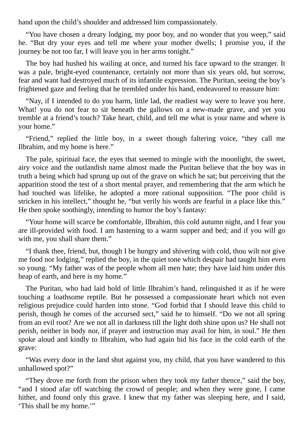hand upon the child's shoulder and addressed him compassionately.

"You have chosen a dreary lodging, my poor boy, and no wonder that you weep," said he. "But dry your eyes and tell me where your mother dwells; I promise you, if the journey be not too far, I will leave you in her arms tonight."

The boy had hushed his wailing at once, and turned his face upward to the stranger. It was a pale, bright-eyed countenance, certainly not more than six years old, but sorrow, fear and want had destroyed much of its infantile expression. The Puritan, seeing the boy's frightened gaze and feeling that he trembled under his hand, endeavored to reassure him:

"Nay, if I intended to do you harm, little lad, the readiest way were to leave you here. What! you do not fear to sit beneath the gallows on a new-made grave, and yet you tremble at a friend's touch? Take heart, child, and tell me what is your name and where is your home."

"Friend," replied the little boy, in a sweet though faltering voice, "they call me Ilbrahim, and my home is here."

The pale, spiritual face, the eyes that seemed to mingle with the moonlight, the sweet, airy voice and the outlandish name almost made the Puritan believe that the boy was in truth a being which had sprung up out of the grave on which he sat; but perceiving that the apparition stood the test of a short mental prayer, and remembering that the arm which he had touched was lifelike, he adopted a more rational supposition. "The poor child is stricken in his intellect," thought he, "but verily his words are fearful in a place like this." He then spoke soothingly, intending to humor the boy's fantasy:

"Your home will scarce be comfortable, Ilbrahim, this cold autumn night, and I fear you are ill-provided with food. I am hastening to a warm supper and bed; and if you will go with me, you shall share them."

"I thank thee, friend, but, though I be hungry and shivering with cold, thou wilt not give me food nor lodging," replied the boy, in the quiet tone which despair had taught him even so young. "My father was of the people whom all men hate; they have laid him under this heap of earth, and here is my home."

The Puritan, who had laid hold of little Ilbrahim's hand, relinquished it as if he were touching a loathsome reptile. But he possessed a compassionate heart which not even religious prejudice could harden into stone. "God forbid that I should leave this child to perish, though he comes of the accursed sect," said he to himself. "Do we not all spring from an evil root? Are we not all in darkness till the light doth shine upon us? He shall not perish, neither in body nor, if prayer and instruction may avail for him, in soul." He then spoke aloud and kindly to Ilbrahim, who had again hid his face in the cold earth of the grave:

"Was every door in the land shut against you, my child, that you have wandered to this unhallowed spot?"

"They drove me forth from the prison when they took my father thence," said the boy, "and I stood afar off watching the crowd of people; and when they were gone, I came hither, and found only this grave. I knew that my father was sleeping here, and I said, 'This shall be my home.'"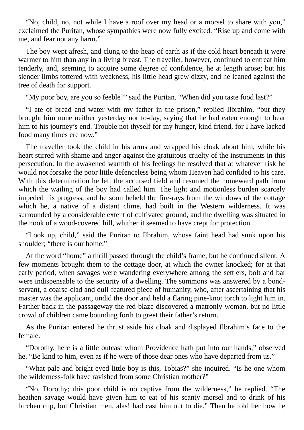"No, child, no, not while I have a roof over my head or a morsel to share with you," exclaimed the Puritan, whose sympathies were now fully excited. "Rise up and come with me, and fear not any harm."

The boy wept afresh, and clung to the heap of earth as if the cold heart beneath it were warmer to him than any in a living breast. The traveller, however, continued to entreat him tenderly, and, seeming to acquire some degree of confidence, he at length arose; but his slender limbs tottered with weakness, his little head grew dizzy, and he leaned against the tree of death for support.

"My poor boy, are you so feeble?" said the Puritan. "When did you taste food last?"

"I ate of bread and water with my father in the prison," replied Ilbrahim, "but they brought him none neither yesterday nor to-day, saying that he had eaten enough to bear him to his journey's end. Trouble not thyself for my hunger, kind friend, for I have lacked food many times ere now."

The traveller took the child in his arms and wrapped his cloak about him, while his heart stirred with shame and anger against the gratuitous cruelty of the instruments in this persecution. In the awakened warmth of his feelings he resolved that at whatever risk he would not forsake the poor little defenceless being whom Heaven had confided to his care. With this determination he left the accursed field and resumed the homeward path from which the wailing of the boy had called him. The light and motionless burden scarcely impeded his progress, and he soon beheld the fire-rays from the windows of the cottage which he, a native of a distant clime, had built in the Western wilderness. It was surrounded by a considerable extent of cultivated ground, and the dwelling was situated in the nook of a wood-covered hill, whither it seemed to have crept for protection.

"Look up, child," said the Puritan to Ilbrahim, whose faint head had sunk upon his shoulder; "there is our home."

At the word "home" a thrill passed through the child's frame, but he continued silent. A few moments brought them to the cottage door, at which the owner knocked; for at that early period, when savages were wandering everywhere among the settlers, bolt and bar were indispensable to the security of a dwelling. The summons was answered by a bondservant, a coarse-clad and dull-featured piece of humanity, who, after ascertaining that his master was the applicant, undid the door and held a flaring pine-knot torch to light him in. Farther back in the passageway the red blaze discovered a matronly woman, but no little crowd of children came bounding forth to greet their father's return.

As the Puritan entered he thrust aside his cloak and displayed Ilbrahim's face to the female.

"Dorothy, here is a little outcast whom Providence hath put into our hands," observed he. "Be kind to him, even as if he were of those dear ones who have departed from us."

"What pale and bright-eyed little boy is this, Tobias?" she inquired. "Is he one whom the wilderness-folk have ravished from some Christian mother?"

"No, Dorothy; this poor child is no captive from the wilderness," he replied. "The heathen savage would have given him to eat of his scanty morsel and to drink of his birchen cup, but Christian men, alas! had cast him out to die." Then he told her how he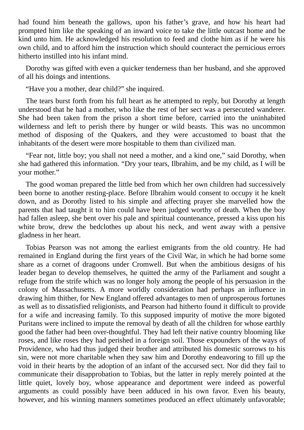had found him beneath the gallows, upon his father's grave, and how his heart had prompted him like the speaking of an inward voice to take the little outcast home and be kind unto him. He acknowledged his resolution to feed and clothe him as if he were his own child, and to afford him the instruction which should counteract the pernicious errors hitherto instilled into his infant mind.

Dorothy was gifted with even a quicker tenderness than her husband, and she approved of all his doings and intentions.

"Have you a mother, dear child?" she inquired.

The tears burst forth from his full heart as he attempted to reply, but Dorothy at length understood that he had a mother, who like the rest of her sect was a persecuted wanderer. She had been taken from the prison a short time before, carried into the uninhabited wilderness and left to perish there by hunger or wild beasts. This was no uncommon method of disposing of the Quakers, and they were accustomed to boast that the inhabitants of the desert were more hospitable to them than civilized man.

"Fear not, little boy; you shall not need a mother, and a kind one," said Dorothy, when she had gathered this information. "Dry your tears, Ilbrahim, and be my child, as I will be your mother."

The good woman prepared the little bed from which her own children had successively been borne to another resting-place. Before Ilbrahim would consent to occupy it he knelt down, and as Dorothy listed to his simple and affecting prayer she marvelled how the parents that had taught it to him could have been judged worthy of death. When the boy had fallen asleep, she bent over his pale and spiritual countenance, pressed a kiss upon his white brow, drew the bedclothes up about his neck, and went away with a pensive gladness in her heart.

Tobias Pearson was not among the earliest emigrants from the old country. He had remained in England during the first years of the Civil War, in which he had borne some share as a cornet of dragoons under Cromwell. But when the ambitious designs of his leader began to develop themselves, he quitted the army of the Parliament and sought a refuge from the strife which was no longer holy among the people of his persuasion in the colony of Massachusetts. A more worldly consideration had perhaps an influence in drawing him thither, for New England offered advantages to men of unprosperous fortunes as well as to dissatisfied religionists, and Pearson had hitherto found it difficult to provide for a wife and increasing family. To this supposed impurity of motive the more bigoted Puritans were inclined to impute the removal by death of all the children for whose earthly good the father had been over-thoughtful. They had left their native country blooming like roses, and like roses they had perished in a foreign soil. Those expounders of the ways of Providence, who had thus judged their brother and attributed his domestic sorrows to his sin, were not more charitable when they saw him and Dorothy endeavoring to fill up the void in their hearts by the adoption of an infant of the accursed sect. Nor did they fail to communicate their disapprobation to Tobias, but the latter in reply merely pointed at the little quiet, lovely boy, whose appearance and deportment were indeed as powerful arguments as could possibly have been adduced in his own favor. Even his beauty, however, and his winning manners sometimes produced an effect ultimately unfavorable;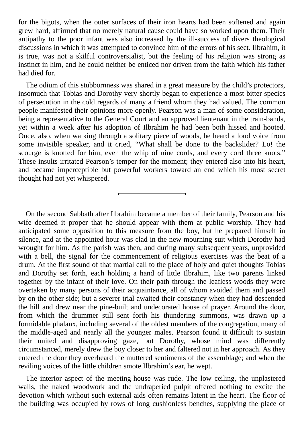for the bigots, when the outer surfaces of their iron hearts had been softened and again grew hard, affirmed that no merely natural cause could have so worked upon them. Their antipathy to the poor infant was also increased by the ill-success of divers theological discussions in which it was attempted to convince him of the errors of his sect. Ilbrahim, it is true, was not a skilful controversialist, but the feeling of his religion was strong as instinct in him, and he could neither be enticed nor driven from the faith which his father had died for.

The odium of this stubbornness was shared in a great measure by the child's protectors, insomuch that Tobias and Dorothy very shortly began to experience a most bitter species of persecution in the cold regards of many a friend whom they had valued. The common people manifested their opinions more openly. Pearson was a man of some consideration, being a representative to the General Court and an approved lieutenant in the train-bands, yet within a week after his adoption of Ilbrahim he had been both hissed and hooted. Once, also, when walking through a solitary piece of woods, he heard a loud voice from some invisible speaker, and it cried, "What shall be done to the backslider? Lo! the scourge is knotted for him, even the whip of nine cords, and every cord three knots." These insults irritated Pearson's temper for the moment; they entered also into his heart, and became imperceptible but powerful workers toward an end which his most secret thought had not yet whispered.

On the second Sabbath after Ilbrahim became a member of their family, Pearson and his wife deemed it proper that he should appear with them at public worship. They had anticipated some opposition to this measure from the boy, but he prepared himself in silence, and at the appointed hour was clad in the new mourning-suit which Dorothy had wrought for him. As the parish was then, and during many subsequent years, unprovided with a bell, the signal for the commencement of religious exercises was the beat of a drum. At the first sound of that martial call to the place of holy and quiet thoughts Tobias and Dorothy set forth, each holding a hand of little Ilbrahim, like two parents linked together by the infant of their love. On their path through the leafless woods they were overtaken by many persons of their acquaintance, all of whom avoided them and passed by on the other side; but a severer trial awaited their constancy when they had descended the hill and drew near the pine-built and undecorated house of prayer. Around the door, from which the drummer still sent forth his thundering summons, was drawn up a formidable phalanx, including several of the oldest members of the congregation, many of the middle-aged and nearly all the younger males. Pearson found it difficult to sustain their united and disapproving gaze, but Dorothy, whose mind was differently circumstanced, merely drew the boy closer to her and faltered not in her approach. As they entered the door they overheard the muttered sentiments of the assemblage; and when the reviling voices of the little children smote Ilbrahim's ear, he wept.

The interior aspect of the meeting-house was rude. The low ceiling, the unplastered walls, the naked woodwork and the undraperied pulpit offered nothing to excite the devotion which without such external aids often remains latent in the heart. The floor of the building was occupied by rows of long cushionless benches, supplying the place of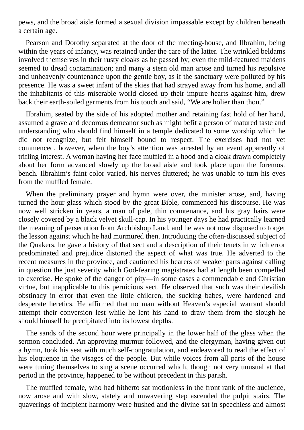pews, and the broad aisle formed a sexual division impassable except by children beneath a certain age.

Pearson and Dorothy separated at the door of the meeting-house, and Ilbrahim, being within the years of infancy, was retained under the care of the latter. The wrinkled beldams involved themselves in their rusty cloaks as he passed by; even the mild-featured maidens seemed to dread contamination; and many a stern old man arose and turned his repulsive and unheavenly countenance upon the gentle boy, as if the sanctuary were polluted by his presence. He was a sweet infant of the skies that had strayed away from his home, and all the inhabitants of this miserable world closed up their impure hearts against him, drew back their earth-soiled garments from his touch and said, "We are holier than thou."

Ilbrahim, seated by the side of his adopted mother and retaining fast hold of her hand, assumed a grave and decorous demeanor such as might befit a person of matured taste and understanding who should find himself in a temple dedicated to some worship which he did not recognize, but felt himself bound to respect. The exercises had not yet commenced, however, when the boy's attention was arrested by an event apparently of trifling interest. A woman having her face muffled in a hood and a cloak drawn completely about her form advanced slowly up the broad aisle and took place upon the foremost bench. Ilbrahim's faint color varied, his nerves fluttered; he was unable to turn his eyes from the muffled female.

When the preliminary prayer and hymn were over, the minister arose, and, having turned the hour-glass which stood by the great Bible, commenced his discourse. He was now well stricken in years, a man of pale, thin countenance, and his gray hairs were closely covered by a black velvet skull-cap. In his younger days he had practically learned the meaning of persecution from Archbishop Laud, and he was not now disposed to forget the lesson against which he had murmured then. Introducing the often-discussed subject of the Quakers, he gave a history of that sect and a description of their tenets in which error predominated and prejudice distorted the aspect of what was true. He adverted to the recent measures in the province, and cautioned his hearers of weaker parts against calling in question the just severity which God-fearing magistrates had at length been compelled to exercise. He spoke of the danger of pity—in some cases a commendable and Christian virtue, but inapplicable to this pernicious sect. He observed that such was their devilish obstinacy in error that even the little children, the sucking babes, were hardened and desperate heretics. He affirmed that no man without Heaven's especial warrant should attempt their conversion lest while he lent his hand to draw them from the slough he should himself be precipitated into its lowest depths.

The sands of the second hour were principally in the lower half of the glass when the sermon concluded. An approving murmur followed, and the clergyman, having given out a hymn, took his seat with much self-congratulation, and endeavored to read the effect of his eloquence in the visages of the people. But while voices from all parts of the house were tuning themselves to sing a scene occurred which, though not very unusual at that period in the province, happened to be without precedent in this parish.

The muffled female, who had hitherto sat motionless in the front rank of the audience, now arose and with slow, stately and unwavering step ascended the pulpit stairs. The quaverings of incipient harmony were hushed and the divine sat in speechless and almost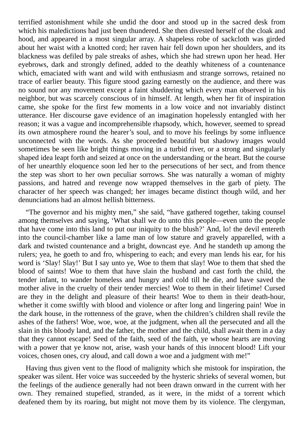terrified astonishment while she undid the door and stood up in the sacred desk from which his maledictions had just been thundered. She then divested herself of the cloak and hood, and appeared in a most singular array. A shapeless robe of sackcloth was girded about her waist with a knotted cord; her raven hair fell down upon her shoulders, and its blackness was defiled by pale streaks of ashes, which she had strewn upon her head. Her eyebrows, dark and strongly defined, added to the deathly whiteness of a countenance which, emaciated with want and wild with enthusiasm and strange sorrows, retained no trace of earlier beauty. This figure stood gazing earnestly on the audience, and there was no sound nor any movement except a faint shuddering which every man observed in his neighbor, but was scarcely conscious of in himself. At length, when her fit of inspiration came, she spoke for the first few moments in a low voice and not invariably distinct utterance. Her discourse gave evidence of an imagination hopelessly entangled with her reason; it was a vague and incomprehensible rhapsody, which, however, seemed to spread its own atmosphere round the hearer's soul, and to move his feelings by some influence unconnected with the words. As she proceeded beautiful but shadowy images would sometimes be seen like bright things moving in a turbid river, or a strong and singularly shaped idea leapt forth and seized at once on the understanding or the heart. But the course of her unearthly eloquence soon led her to the persecutions of her sect, and from thence the step was short to her own peculiar sorrows. She was naturally a woman of mighty passions, and hatred and revenge now wrapped themselves in the garb of piety. The character of her speech was changed; her images became distinct though wild, and her denunciations had an almost hellish bitterness.

"The governor and his mighty men," she said, "have gathered together, taking counsel among themselves and saying, 'What shall we do unto this people—even unto the people that have come into this land to put our iniquity to the blush?' And, lo! the devil entereth into the council-chamber like a lame man of low stature and gravely apparelled, with a dark and twisted countenance and a bright, downcast eye. And he standeth up among the rulers; yea, he goeth to and fro, whispering to each; and every man lends his ear, for his word is 'Slay! Slay!' But I say unto ye, Woe to them that slay! Woe to them that shed the blood of saints! Woe to them that have slain the husband and cast forth the child, the tender infant, to wander homeless and hungry and cold till he die, and have saved the mother alive in the cruelty of their tender mercies! Woe to them in their lifetime! Cursed are they in the delight and pleasure of their hearts! Woe to them in their death-hour, whether it come swiftly with blood and violence or after long and lingering pain! Woe in the dark house, in the rottenness of the grave, when the children's children shall revile the ashes of the fathers! Woe, woe, woe, at the judgment, when all the persecuted and all the slain in this bloody land, and the father, the mother and the child, shall await them in a day that they cannot escape! Seed of the faith, seed of the faith, ye whose hearts are moving with a power that ye know not, arise, wash your hands of this innocent blood! Lift your voices, chosen ones, cry aloud, and call down a woe and a judgment with me!"

Having thus given vent to the flood of malignity which she mistook for inspiration, the speaker was silent. Her voice was succeeded by the hysteric shrieks of several women, but the feelings of the audience generally had not been drawn onward in the current with her own. They remained stupefied, stranded, as it were, in the midst of a torrent which deafened them by its roaring, but might not move them by its violence. The clergyman,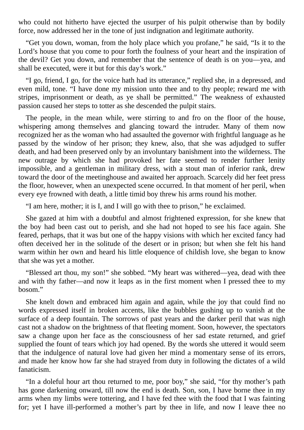who could not hitherto have ejected the usurper of his pulpit otherwise than by bodily force, now addressed her in the tone of just indignation and legitimate authority.

"Get you down, woman, from the holy place which you profane," he said, "Is it to the Lord's house that you come to pour forth the foulness of your heart and the inspiration of the devil? Get you down, and remember that the sentence of death is on you—yea, and shall be executed, were it but for this day's work."

"I go, friend, I go, for the voice hath had its utterance," replied she, in a depressed, and even mild, tone. "I have done my mission unto thee and to thy people; reward me with stripes, imprisonment or death, as ye shall be permitted." The weakness of exhausted passion caused her steps to totter as she descended the pulpit stairs.

The people, in the mean while, were stirring to and fro on the floor of the house, whispering among themselves and glancing toward the intruder. Many of them now recognized her as the woman who had assaulted the governor with frightful language as he passed by the window of her prison; they knew, also, that she was adjudged to suffer death, and had been preserved only by an involuntary banishment into the wilderness. The new outrage by which she had provoked her fate seemed to render further lenity impossible, and a gentleman in military dress, with a stout man of inferior rank, drew toward the door of the meetinghouse and awaited her approach. Scarcely did her feet press the floor, however, when an unexpected scene occurred. In that moment of her peril, when every eye frowned with death, a little timid boy threw his arms round his mother.

"I am here, mother; it is I, and I will go with thee to prison," he exclaimed.

She gazed at him with a doubtful and almost frightened expression, for she knew that the boy had been cast out to perish, and she had not hoped to see his face again. She feared, perhaps, that it was but one of the happy visions with which her excited fancy had often deceived her in the solitude of the desert or in prison; but when she felt his hand warm within her own and heard his little eloquence of childish love, she began to know that she was yet a mother.

"Blessed art thou, my son!" she sobbed. "My heart was withered—yea, dead with thee and with thy father—and now it leaps as in the first moment when I pressed thee to my bosom."

She knelt down and embraced him again and again, while the joy that could find no words expressed itself in broken accents, like the bubbles gushing up to vanish at the surface of a deep fountain. The sorrows of past years and the darker peril that was nigh cast not a shadow on the brightness of that fleeting moment. Soon, however, the spectators saw a change upon her face as the consciousness of her sad estate returned, and grief supplied the fount of tears which joy had opened. By the words she uttered it would seem that the indulgence of natural love had given her mind a momentary sense of its errors, and made her know how far she had strayed from duty in following the dictates of a wild fanaticism.

"In a doleful hour art thou returned to me, poor boy," she said, "for thy mother's path has gone darkening onward, till now the end is death. Son, son, I have borne thee in my arms when my limbs were tottering, and I have fed thee with the food that I was fainting for; yet I have ill-performed a mother's part by thee in life, and now I leave thee no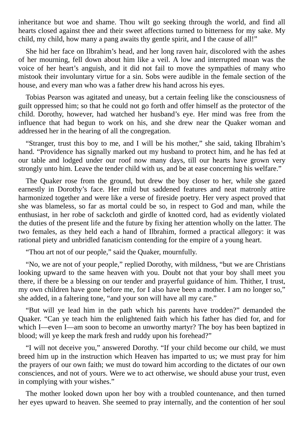inheritance but woe and shame. Thou wilt go seeking through the world, and find all hearts closed against thee and their sweet affections turned to bitterness for my sake. My child, my child, how many a pang awaits thy gentle spirit, and I the cause of all!"

She hid her face on Ilbrahim's head, and her long raven hair, discolored with the ashes of her mourning, fell down about him like a veil. A low and interrupted moan was the voice of her heart's anguish, and it did not fail to move the sympathies of many who mistook their involuntary virtue for a sin. Sobs were audible in the female section of the house, and every man who was a father drew his hand across his eyes.

Tobias Pearson was agitated and uneasy, but a certain feeling like the consciousness of guilt oppressed him; so that he could not go forth and offer himself as the protector of the child. Dorothy, however, had watched her husband's eye. Her mind was free from the influence that had begun to work on his, and she drew near the Quaker woman and addressed her in the hearing of all the congregation.

"Stranger, trust this boy to me, and I will be his mother," she said, taking Ilbrahim's hand. "Providence has signally marked out my husband to protect him, and he has fed at our table and lodged under our roof now many days, till our hearts have grown very strongly unto him. Leave the tender child with us, and be at ease concerning his welfare."

The Quaker rose from the ground, but drew the boy closer to her, while she gazed earnestly in Dorothy's face. Her mild but saddened features and neat matronly attire harmonized together and were like a verse of fireside poetry. Her very aspect proved that she was blameless, so far as mortal could be so, in respect to God and man, while the enthusiast, in her robe of sackcloth and girdle of knotted cord, had as evidently violated the duties of the present life and the future by fixing her attention wholly on the latter. The two females, as they held each a hand of Ilbrahim, formed a practical allegory: it was rational piety and unbridled fanaticism contending for the empire of a young heart.

"Thou art not of our people," said the Quaker, mournfully.

"No, we are not of your people," replied Dorothy, with mildness, "but we are Christians looking upward to the same heaven with you. Doubt not that your boy shall meet you there, if there be a blessing on our tender and prayerful guidance of him. Thither, I trust, my own children have gone before me, for I also have been a mother. I am no longer so," she added, in a faltering tone, "and your son will have all my care."

"But will ye lead him in the path which his parents have trodden?" demanded the Quaker. "Can ye teach him the enlightened faith which his father has died for, and for which I—even I—am soon to become an unworthy martyr? The boy has been baptized in blood; will ye keep the mark fresh and ruddy upon his forehead?"

"I will not deceive you," answered Dorothy. "If your child become our child, we must breed him up in the instruction which Heaven has imparted to us; we must pray for him the prayers of our own faith; we must do toward him according to the dictates of our own consciences, and not of yours. Were we to act otherwise, we should abuse your trust, even in complying with your wishes."

The mother looked down upon her boy with a troubled countenance, and then turned her eyes upward to heaven. She seemed to pray internally, and the contention of her soul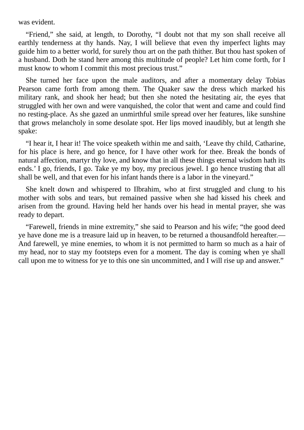was evident.

"Friend," she said, at length, to Dorothy, "I doubt not that my son shall receive all earthly tenderness at thy hands. Nay, I will believe that even thy imperfect lights may guide him to a better world, for surely thou art on the path thither. But thou hast spoken of a husband. Doth he stand here among this multitude of people? Let him come forth, for I must know to whom I commit this most precious trust."

She turned her face upon the male auditors, and after a momentary delay Tobias Pearson came forth from among them. The Quaker saw the dress which marked his military rank, and shook her head; but then she noted the hesitating air, the eyes that struggled with her own and were vanquished, the color that went and came and could find no resting-place. As she gazed an unmirthful smile spread over her features, like sunshine that grows melancholy in some desolate spot. Her lips moved inaudibly, but at length she spake:

"I hear it, I hear it! The voice speaketh within me and saith, 'Leave thy child, Catharine, for his place is here, and go hence, for I have other work for thee. Break the bonds of natural affection, martyr thy love, and know that in all these things eternal wisdom hath its ends.' I go, friends, I go. Take ye my boy, my precious jewel. I go hence trusting that all shall be well, and that even for his infant hands there is a labor in the vineyard."

She knelt down and whispered to Ilbrahim, who at first struggled and clung to his mother with sobs and tears, but remained passive when she had kissed his cheek and arisen from the ground. Having held her hands over his head in mental prayer, she was ready to depart.

"Farewell, friends in mine extremity," she said to Pearson and his wife; "the good deed ye have done me is a treasure laid up in heaven, to be returned a thousandfold hereafter.— And farewell, ye mine enemies, to whom it is not permitted to harm so much as a hair of my head, nor to stay my footsteps even for a moment. The day is coming when ye shall call upon me to witness for ye to this one sin uncommitted, and I will rise up and answer."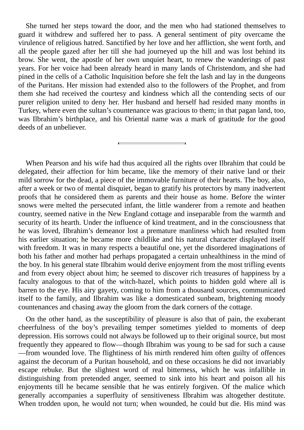She turned her steps toward the door, and the men who had stationed themselves to guard it withdrew and suffered her to pass. A general sentiment of pity overcame the virulence of religious hatred. Sanctified by her love and her affliction, she went forth, and all the people gazed after her till she had journeyed up the hill and was lost behind its brow. She went, the apostle of her own unquiet heart, to renew the wanderings of past years. For her voice had been already heard in many lands of Christendom, and she had pined in the cells of a Catholic Inquisition before she felt the lash and lay in the dungeons of the Puritans. Her mission had extended also to the followers of the Prophet, and from them she had received the courtesy and kindness which all the contending sects of our purer religion united to deny her. Her husband and herself had resided many months in Turkey, where even the sultan's countenance was gracious to them; in that pagan land, too, was Ilbrahim's birthplace, and his Oriental name was a mark of gratitude for the good deeds of an unbeliever.

When Pearson and his wife had thus acquired all the rights over Ilbrahim that could be delegated, their affection for him became, like the memory of their native land or their mild sorrow for the dead, a piece of the immovable furniture of their hearts. The boy, also, after a week or two of mental disquiet, began to gratify his protectors by many inadvertent proofs that he considered them as parents and their house as home. Before the winter snows were melted the persecuted infant, the little wanderer from a remote and heathen country, seemed native in the New England cottage and inseparable from the warmth and security of its hearth. Under the influence of kind treatment, and in the consciousness that he was loved, Ilbrahim's demeanor lost a premature manliness which had resulted from his earlier situation; he became more childlike and his natural character displayed itself with freedom. It was in many respects a beautiful one, yet the disordered imaginations of both his father and mother had perhaps propagated a certain unhealthiness in the mind of the boy. In his general state Ilbrahim would derive enjoyment from the most trifling events and from every object about him; he seemed to discover rich treasures of happiness by a faculty analogous to that of the witch-hazel, which points to hidden gold where all is barren to the eye. His airy gayety, coming to him from a thousand sources, communicated itself to the family, and Ilbrahim was like a domesticated sunbeam, brightening moody countenances and chasing away the gloom from the dark corners of the cottage.

On the other hand, as the susceptibility of pleasure is also that of pain, the exuberant cheerfulness of the boy's prevailing temper sometimes yielded to moments of deep depression. His sorrows could not always be followed up to their original source, but most frequently they appeared to flow—though Ilbrahim was young to be sad for such a cause —from wounded love. The flightiness of his mirth rendered him often guilty of offences against the decorum of a Puritan household, and on these occasions he did not invariably escape rebuke. But the slightest word of real bitterness, which he was infallible in distinguishing from pretended anger, seemed to sink into his heart and poison all his enjoyments till he became sensible that he was entirely forgiven. Of the malice which generally accompanies a superfluity of sensitiveness Ilbrahim was altogether destitute. When trodden upon, he would not turn; when wounded, he could but die. His mind was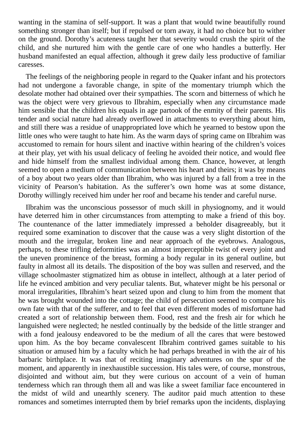wanting in the stamina of self-support. It was a plant that would twine beautifully round something stronger than itself; but if repulsed or torn away, it had no choice but to wither on the ground. Dorothy's acuteness taught her that severity would crush the spirit of the child, and she nurtured him with the gentle care of one who handles a butterfly. Her husband manifested an equal affection, although it grew daily less productive of familiar caresses.

The feelings of the neighboring people in regard to the Quaker infant and his protectors had not undergone a favorable change, in spite of the momentary triumph which the desolate mother had obtained over their sympathies. The scorn and bitterness of which he was the object were very grievous to Ilbrahim, especially when any circumstance made him sensible that the children his equals in age partook of the enmity of their parents. His tender and social nature had already overflowed in attachments to everything about him, and still there was a residue of unappropriated love which he yearned to bestow upon the little ones who were taught to hate him. As the warm days of spring came on Ilbrahim was accustomed to remain for hours silent and inactive within hearing of the children's voices at their play, yet with his usual delicacy of feeling he avoided their notice, and would flee and hide himself from the smallest individual among them. Chance, however, at length seemed to open a medium of communication between his heart and theirs; it was by means of a boy about two years older than Ilbrahim, who was injured by a fall from a tree in the vicinity of Pearson's habitation. As the sufferer's own home was at some distance, Dorothy willingly received him under her roof and became his tender and careful nurse.

Ilbrahim was the unconscious possessor of much skill in physiognomy, and it would have deterred him in other circumstances from attempting to make a friend of this boy. The countenance of the latter immediately impressed a beholder disagreeably, but it required some examination to discover that the cause was a very slight distortion of the mouth and the irregular, broken line and near approach of the eyebrows. Analogous, perhaps, to these trifling deformities was an almost imperceptible twist of every joint and the uneven prominence of the breast, forming a body regular in its general outline, but faulty in almost all its details. The disposition of the boy was sullen and reserved, and the village schoolmaster stigmatized him as obtuse in intellect, although at a later period of life he evinced ambition and very peculiar talents. But, whatever might be his personal or moral irregularities, Ilbrahim's heart seized upon and clung to him from the moment that he was brought wounded into the cottage; the child of persecution seemed to compare his own fate with that of the sufferer, and to feel that even different modes of misfortune had created a sort of relationship between them. Food, rest and the fresh air for which he languished were neglected; he nestled continually by the bedside of the little stranger and with a fond jealousy endeavored to be the medium of all the cares that were bestowed upon him. As the boy became convalescent Ilbrahim contrived games suitable to his situation or amused him by a faculty which he had perhaps breathed in with the air of his barbaric birthplace. It was that of reciting imaginary adventures on the spur of the moment, and apparently in inexhaustible succession. His tales were, of course, monstrous, disjointed and without aim, but they were curious on account of a vein of human tenderness which ran through them all and was like a sweet familiar face encountered in the midst of wild and unearthly scenery. The auditor paid much attention to these romances and sometimes interrupted them by brief remarks upon the incidents, displaying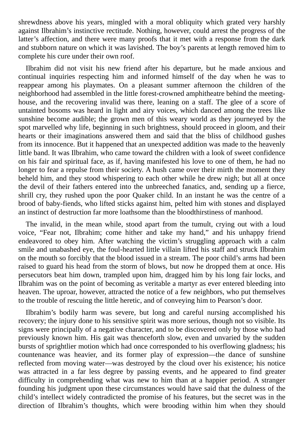shrewdness above his years, mingled with a moral obliquity which grated very harshly against Ilbrahim's instinctive rectitude. Nothing, however, could arrest the progress of the latter's affection, and there were many proofs that it met with a response from the dark and stubborn nature on which it was lavished. The boy's parents at length removed him to complete his cure under their own roof.

Ilbrahim did not visit his new friend after his departure, but he made anxious and continual inquiries respecting him and informed himself of the day when he was to reappear among his playmates. On a pleasant summer afternoon the children of the neighborhood had assembled in the little forest-crowned amphitheatre behind the meetinghouse, and the recovering invalid was there, leaning on a staff. The glee of a score of untainted bosoms was heard in light and airy voices, which danced among the trees like sunshine become audible; the grown men of this weary world as they journeyed by the spot marvelled why life, beginning in such brightness, should proceed in gloom, and their hearts or their imaginations answered them and said that the bliss of childhood gushes from its innocence. But it happened that an unexpected addition was made to the heavenly little band. It was Ilbrahim, who came toward the children with a look of sweet confidence on his fair and spiritual face, as if, having manifested his love to one of them, he had no longer to fear a repulse from their society. A hush came over their mirth the moment they beheld him, and they stood whispering to each other while he drew nigh; but all at once the devil of their fathers entered into the unbreeched fanatics, and, sending up a fierce, shrill cry, they rushed upon the poor Quaker child. In an instant he was the centre of a brood of baby-fiends, who lifted sticks against him, pelted him with stones and displayed an instinct of destruction far more loathsome than the bloodthirstiness of manhood.

The invalid, in the mean while, stood apart from the tumult, crying out with a loud voice, "Fear not, Ilbrahim; come hither and take my hand," and his unhappy friend endeavored to obey him. After watching the victim's struggling approach with a calm smile and unabashed eye, the foul-hearted little villain lifted his staff and struck Ilbrahim on the mouth so forcibly that the blood issued in a stream. The poor child's arms had been raised to guard his head from the storm of blows, but now he dropped them at once. His persecutors beat him down, trampled upon him, dragged him by his long fair locks, and Ilbrahim was on the point of becoming as veritable a martyr as ever entered bleeding into heaven. The uproar, however, attracted the notice of a few neighbors, who put themselves to the trouble of rescuing the little heretic, and of conveying him to Pearson's door.

Ilbrahim's bodily harm was severe, but long and careful nursing accomplished his recovery; the injury done to his sensitive spirit was more serious, though not so visible. Its signs were principally of a negative character, and to be discovered only by those who had previously known him. His gait was thenceforth slow, even and unvaried by the sudden bursts of sprightlier motion which had once corresponded to his overflowing gladness; his countenance was heavier, and its former play of expression—the dance of sunshine reflected from moving water—was destroyed by the cloud over his existence; his notice was attracted in a far less degree by passing events, and he appeared to find greater difficulty in comprehending what was new to him than at a happier period. A stranger founding his judgment upon these circumstances would have said that the dulness of the child's intellect widely contradicted the promise of his features, but the secret was in the direction of Ilbrahim's thoughts, which were brooding within him when they should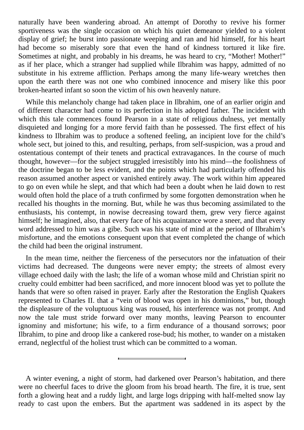naturally have been wandering abroad. An attempt of Dorothy to revive his former sportiveness was the single occasion on which his quiet demeanor yielded to a violent display of grief; he burst into passionate weeping and ran and hid himself, for his heart had become so miserably sore that even the hand of kindness tortured it like fire. Sometimes at night, and probably in his dreams, he was heard to cry, "Mother! Mother!" as if her place, which a stranger had supplied while Ilbrahim was happy, admitted of no substitute in his extreme affliction. Perhaps among the many life-weary wretches then upon the earth there was not one who combined innocence and misery like this poor broken-hearted infant so soon the victim of his own heavenly nature.

While this melancholy change had taken place in Ilbrahim, one of an earlier origin and of different character had come to its perfection in his adopted father. The incident with which this tale commences found Pearson in a state of religious dulness, yet mentally disquieted and longing for a more fervid faith than he possessed. The first effect of his kindness to Ilbrahim was to produce a softened feeling, an incipient love for the child's whole sect, but joined to this, and resulting, perhaps, from self-suspicion, was a proud and ostentatious contempt of their tenets and practical extravagances. In the course of much thought, however—for the subject struggled irresistibly into his mind—the foolishness of the doctrine began to be less evident, and the points which had particularly offended his reason assumed another aspect or vanished entirely away. The work within him appeared to go on even while he slept, and that which had been a doubt when he laid down to rest would often hold the place of a truth confirmed by some forgotten demonstration when he recalled his thoughts in the morning. But, while he was thus becoming assimilated to the enthusiasts, his contempt, in nowise decreasing toward them, grew very fierce against himself; he imagined, also, that every face of his acquaintance wore a sneer, and that every word addressed to him was a gibe. Such was his state of mind at the period of Ilbrahim's misfortune, and the emotions consequent upon that event completed the change of which the child had been the original instrument.

In the mean time, neither the fierceness of the persecutors nor the infatuation of their victims had decreased. The dungeons were never empty; the streets of almost every village echoed daily with the lash; the life of a woman whose mild and Christian spirit no cruelty could embitter had been sacrificed, and more innocent blood was yet to pollute the hands that were so often raised in prayer. Early after the Restoration the English Quakers represented to Charles II. that a "vein of blood was open in his dominions," but, though the displeasure of the voluptuous king was roused, his interference was not prompt. And now the tale must stride forward over many months, leaving Pearson to encounter ignominy and misfortune; his wife, to a firm endurance of a thousand sorrows; poor Ilbrahim, to pine and droop like a cankered rose-bud; his mother, to wander on a mistaken errand, neglectful of the holiest trust which can be committed to a woman.

A winter evening, a night of storm, had darkened over Pearson's habitation, and there were no cheerful faces to drive the gloom from his broad hearth. The fire, it is true, sent forth a glowing heat and a ruddy light, and large logs dripping with half-melted snow lay ready to cast upon the embers. But the apartment was saddened in its aspect by the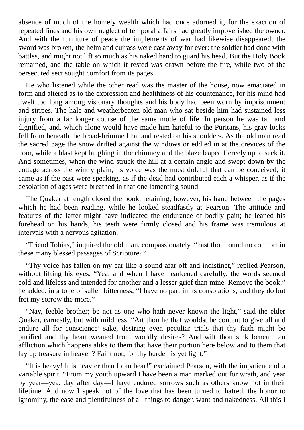absence of much of the homely wealth which had once adorned it, for the exaction of repeated fines and his own neglect of temporal affairs had greatly impoverished the owner. And with the furniture of peace the implements of war had likewise disappeared; the sword was broken, the helm and cuirass were cast away for ever: the soldier had done with battles, and might not lift so much as his naked hand to guard his head. But the Holy Book remained, and the table on which it rested was drawn before the fire, while two of the persecuted sect sought comfort from its pages.

He who listened while the other read was the master of the house, now emaciated in form and altered as to the expression and healthiness of his countenance, for his mind had dwelt too long among visionary thoughts and his body had been worn by imprisonment and stripes. The hale and weatherbeaten old man who sat beside him had sustained less injury from a far longer course of the same mode of life. In person he was tall and dignified, and, which alone would have made him hateful to the Puritans, his gray locks fell from beneath the broad-brimmed hat and rested on his shoulders. As the old man read the sacred page the snow drifted against the windows or eddied in at the crevices of the door, while a blast kept laughing in the chimney and the blaze leaped fiercely up to seek it. And sometimes, when the wind struck the hill at a certain angle and swept down by the cottage across the wintry plain, its voice was the most doleful that can be conceived; it came as if the past were speaking, as if the dead had contributed each a whisper, as if the desolation of ages were breathed in that one lamenting sound.

The Quaker at length closed the book, retaining, however, his hand between the pages which he had been reading, while he looked steadfastly at Pearson. The attitude and features of the latter might have indicated the endurance of bodily pain; he leaned his forehead on his hands, his teeth were firmly closed and his frame was tremulous at intervals with a nervous agitation.

"Friend Tobias," inquired the old man, compassionately, "hast thou found no comfort in these many blessed passages of Scripture?"

"Thy voice has fallen on my ear like a sound afar off and indistinct," replied Pearson, without lifting his eyes. "Yea; and when I have hearkened carefully, the words seemed cold and lifeless and intended for another and a lesser grief than mine. Remove the book," he added, in a tone of sullen bitterness; "I have no part in its consolations, and they do but fret my sorrow the more."

"Nay, feeble brother; be not as one who hath never known the light," said the elder Quaker, earnestly, but with mildness. "Art thou he that wouldst be content to give all and endure all for conscience' sake, desiring even peculiar trials that thy faith might be purified and thy heart weaned from worldly desires? And wilt thou sink beneath an affliction which happens alike to them that have their portion here below and to them that lay up treasure in heaven? Faint not, for thy burden is yet light."

"It is heavy! It is heavier than I can bear!" exclaimed Pearson, with the impatience of a variable spirit. "From my youth upward I have been a man marked out for wrath, and year by year—yea, day after day—I have endured sorrows such as others know not in their lifetime. And now I speak not of the love that has been turned to hatred, the honor to ignominy, the ease and plentifulness of all things to danger, want and nakedness. All this I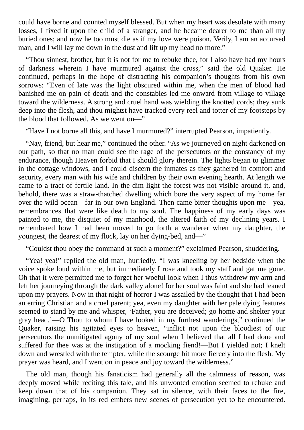could have borne and counted myself blessed. But when my heart was desolate with many losses, I fixed it upon the child of a stranger, and he became dearer to me than all my buried ones; and now he too must die as if my love were poison. Verily, I am an accursed man, and I will lay me down in the dust and lift up my head no more."

"Thou sinnest, brother, but it is not for me to rebuke thee, for I also have had my hours of darkness wherein I have murmured against the cross," said the old Quaker. He continued, perhaps in the hope of distracting his companion's thoughts from his own sorrows: "Even of late was the light obscured within me, when the men of blood had banished me on pain of death and the constables led me onward from village to village toward the wilderness. A strong and cruel hand was wielding the knotted cords; they sunk deep into the flesh, and thou mightst have tracked every reel and totter of my footsteps by the blood that followed. As we went on—"

"Have I not borne all this, and have I murmured?" interrupted Pearson, impatiently.

"Nay, friend, but hear me," continued the other. "As we journeyed on night darkened on our path, so that no man could see the rage of the persecutors or the constancy of my endurance, though Heaven forbid that I should glory therein. The lights began to glimmer in the cottage windows, and I could discern the inmates as they gathered in comfort and security, every man with his wife and children by their own evening hearth. At length we came to a tract of fertile land. In the dim light the forest was not visible around it, and, behold, there was a straw-thatched dwelling which bore the very aspect of my home far over the wild ocean—far in our own England. Then came bitter thoughts upon me—yea, remembrances that were like death to my soul. The happiness of my early days was painted to me, the disquiet of my manhood, the altered faith of my declining years. I remembered how I had been moved to go forth a wanderer when my daughter, the youngest, the dearest of my flock, lay on her dying-bed, and—"

"Couldst thou obey the command at such a moment?" exclaimed Pearson, shuddering.

"Yea! yea!" replied the old man, hurriedly. "I was kneeling by her bedside when the voice spoke loud within me, but immediately I rose and took my staff and gat me gone. Oh that it were permitted me to forget her woeful look when I thus withdrew my arm and left her journeying through the dark valley alone! for her soul was faint and she had leaned upon my prayers. Now in that night of horror I was assailed by the thought that I had been an erring Christian and a cruel parent; yea, even my daughter with her pale dying features seemed to stand by me and whisper, 'Father, you are deceived; go home and shelter your gray head.'—O Thou to whom I have looked in my furthest wanderings," continued the Quaker, raising his agitated eyes to heaven, "inflict not upon the bloodiest of our persecutors the unmitigated agony of my soul when I believed that all I had done and suffered for thee was at the instigation of a mocking fiend!—But I yielded not; I knelt down and wrestled with the tempter, while the scourge bit more fiercely into the flesh. My prayer was heard, and I went on in peace and joy toward the wilderness."

The old man, though his fanaticism had generally all the calmness of reason, was deeply moved while reciting this tale, and his unwonted emotion seemed to rebuke and keep down that of his companion. They sat in silence, with their faces to the fire, imagining, perhaps, in its red embers new scenes of persecution yet to be encountered.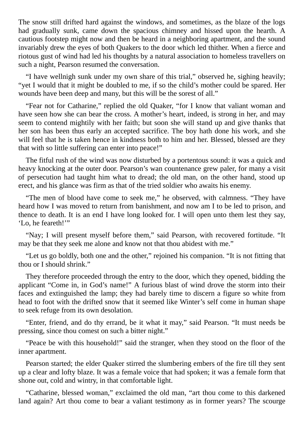The snow still drifted hard against the windows, and sometimes, as the blaze of the logs had gradually sunk, came down the spacious chimney and hissed upon the hearth. A cautious footstep might now and then be heard in a neighboring apartment, and the sound invariably drew the eyes of both Quakers to the door which led thither. When a fierce and riotous gust of wind had led his thoughts by a natural association to homeless travellers on such a night, Pearson resumed the conversation.

"I have wellnigh sunk under my own share of this trial," observed he, sighing heavily; "yet I would that it might be doubled to me, if so the child's mother could be spared. Her wounds have been deep and many, but this will be the sorest of all."

"Fear not for Catharine," replied the old Quaker, "for I know that valiant woman and have seen how she can bear the cross. A mother's heart, indeed, is strong in her, and may seem to contend mightily with her faith; but soon she will stand up and give thanks that her son has been thus early an accepted sacrifice. The boy hath done his work, and she will feel that he is taken hence in kindness both to him and her. Blessed, blessed are they that with so little suffering can enter into peace!"

The fitful rush of the wind was now disturbed by a portentous sound: it was a quick and heavy knocking at the outer door. Pearson's wan countenance grew paler, for many a visit of persecution had taught him what to dread; the old man, on the other hand, stood up erect, and his glance was firm as that of the tried soldier who awaits his enemy.

"The men of blood have come to seek me," he observed, with calmness. "They have heard how I was moved to return from banishment, and now am I to be led to prison, and thence to death. It is an end I have long looked for. I will open unto them lest they say, 'Lo, he feareth!"

"Nay; I will present myself before them," said Pearson, with recovered fortitude. "It may be that they seek me alone and know not that thou abidest with me."

"Let us go boldly, both one and the other," rejoined his companion. "It is not fitting that thou or I should shrink."

They therefore proceeded through the entry to the door, which they opened, bidding the applicant "Come in, in God's name!" A furious blast of wind drove the storm into their faces and extinguished the lamp; they had barely time to discern a figure so white from head to foot with the drifted snow that it seemed like Winter's self come in human shape to seek refuge from its own desolation.

"Enter, friend, and do thy errand, be it what it may," said Pearson. "It must needs be pressing, since thou comest on such a bitter night."

"Peace be with this household!" said the stranger, when they stood on the floor of the inner apartment.

Pearson started; the elder Quaker stirred the slumbering embers of the fire till they sent up a clear and lofty blaze. It was a female voice that had spoken; it was a female form that shone out, cold and wintry, in that comfortable light.

"Catharine, blessed woman," exclaimed the old man, "art thou come to this darkened land again? Art thou come to bear a valiant testimony as in former years? The scourge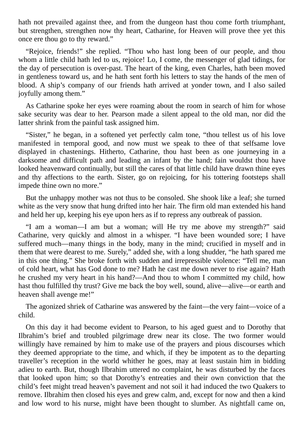hath not prevailed against thee, and from the dungeon hast thou come forth triumphant, but strengthen, strengthen now thy heart, Catharine, for Heaven will prove thee yet this once ere thou go to thy reward."

"Rejoice, friends!" she replied. "Thou who hast long been of our people, and thou whom a little child hath led to us, rejoice! Lo, I come, the messenger of glad tidings, for the day of persecution is over-past. The heart of the king, even Charles, hath been moved in gentleness toward us, and he hath sent forth his letters to stay the hands of the men of blood. A ship's company of our friends hath arrived at yonder town, and I also sailed joyfully among them."

As Catharine spoke her eyes were roaming about the room in search of him for whose sake security was dear to her. Pearson made a silent appeal to the old man, nor did the latter shrink from the painful task assigned him.

"Sister," he began, in a softened yet perfectly calm tone, "thou tellest us of his love manifested in temporal good, and now must we speak to thee of that selfsame love displayed in chastenings. Hitherto, Catharine, thou hast been as one journeying in a darksome and difficult path and leading an infant by the hand; fain wouldst thou have looked heavenward continually, but still the cares of that little child have drawn thine eyes and thy affections to the earth. Sister, go on rejoicing, for his tottering footsteps shall impede thine own no more."

But the unhappy mother was not thus to be consoled. She shook like a leaf; she turned white as the very snow that hung drifted into her hair. The firm old man extended his hand and held her up, keeping his eye upon hers as if to repress any outbreak of passion.

"I am a woman—I am but a woman; will He try me above my strength?" said Catharine, very quickly and almost in a whisper. "I have been wounded sore; I have suffered much—many things in the body, many in the mind; crucified in myself and in them that were dearest to me. Surely," added she, with a long shudder, "he hath spared me in this one thing." She broke forth with sudden and irrepressible violence: "Tell me, man of cold heart, what has God done to me? Hath he cast me down never to rise again? Hath he crushed my very heart in his hand?—And thou to whom I committed my child, how hast thou fulfilled thy trust? Give me back the boy well, sound, alive—alive—or earth and heaven shall avenge me!"

The agonized shriek of Catharine was answered by the faint—the very faint—voice of a child.

On this day it had become evident to Pearson, to his aged guest and to Dorothy that Ilbrahim's brief and troubled pilgrimage drew near its close. The two former would willingly have remained by him to make use of the prayers and pious discourses which they deemed appropriate to the time, and which, if they be impotent as to the departing traveller's reception in the world whither he goes, may at least sustain him in bidding adieu to earth. But, though Ilbrahim uttered no complaint, he was disturbed by the faces that looked upon him; so that Dorothy's entreaties and their own conviction that the child's feet might tread heaven's pavement and not soil it had induced the two Quakers to remove. Ilbrahim then closed his eyes and grew calm, and, except for now and then a kind and low word to his nurse, might have been thought to slumber. As nightfall came on,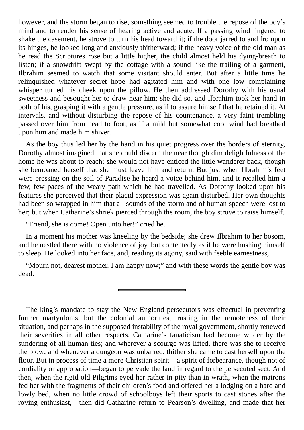however, and the storm began to rise, something seemed to trouble the repose of the boy's mind and to render his sense of hearing active and acute. If a passing wind lingered to shake the casement, he strove to turn his head toward it; if the door jarred to and fro upon its hinges, he looked long and anxiously thitherward; if the heavy voice of the old man as he read the Scriptures rose but a little higher, the child almost held his dying-breath to listen; if a snowdrift swept by the cottage with a sound like the trailing of a garment, Ilbrahim seemed to watch that some visitant should enter. But after a little time he relinquished whatever secret hope had agitated him and with one low complaining whisper turned his cheek upon the pillow. He then addressed Dorothy with his usual sweetness and besought her to draw near him; she did so, and Ilbrahim took her hand in both of his, grasping it with a gentle pressure, as if to assure himself that he retained it. At intervals, and without disturbing the repose of his countenance, a very faint trembling passed over him from head to foot, as if a mild but somewhat cool wind had breathed upon him and made him shiver.

As the boy thus led her by the hand in his quiet progress over the borders of eternity, Dorothy almost imagined that she could discern the near though dim delightfulness of the home he was about to reach; she would not have enticed the little wanderer back, though she bemoaned herself that she must leave him and return. But just when Ilbrahim's feet were pressing on the soil of Paradise he heard a voice behind him, and it recalled him a few, few paces of the weary path which he had travelled. As Dorothy looked upon his features she perceived that their placid expression was again disturbed. Her own thoughts had been so wrapped in him that all sounds of the storm and of human speech were lost to her; but when Catharine's shriek pierced through the room, the boy strove to raise himself.

"Friend, she is come! Open unto her!" cried he.

In a moment his mother was kneeling by the bedside; she drew Ilbrahim to her bosom, and he nestled there with no violence of joy, but contentedly as if he were hushing himself to sleep. He looked into her face, and, reading its agony, said with feeble earnestness,

"Mourn not, dearest mother. I am happy now;" and with these words the gentle boy was dead.

The king's mandate to stay the New England persecutors was effectual in preventing further martyrdoms, but the colonial authorities, trusting in the remoteness of their situation, and perhaps in the supposed instability of the royal government, shortly renewed their severities in all other respects. Catharine's fanaticism had become wilder by the sundering of all human ties; and wherever a scourge was lifted, there was she to receive the blow; and whenever a dungeon was unbarred, thither she came to cast herself upon the floor. But in process of time a more Christian spirit—a spirit of forbearance, though not of cordiality or approbation—began to pervade the land in regard to the persecuted sect. And then, when the rigid old Pilgrims eyed her rather in pity than in wrath, when the matrons fed her with the fragments of their children's food and offered her a lodging on a hard and lowly bed, when no little crowd of schoolboys left their sports to cast stones after the roving enthusiast,—then did Catharine return to Pearson's dwelling, and made that her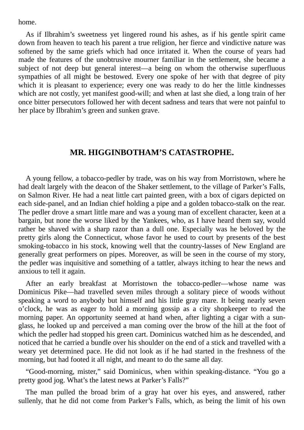home.

As if Ilbrahim's sweetness yet lingered round his ashes, as if his gentle spirit came down from heaven to teach his parent a true religion, her fierce and vindictive nature was softened by the same griefs which had once irritated it. When the course of years had made the features of the unobtrusive mourner familiar in the settlement, she became a subject of not deep but general interest—a being on whom the otherwise superfluous sympathies of all might be bestowed. Every one spoke of her with that degree of pity which it is pleasant to experience; every one was ready to do her the little kindnesses which are not costly, yet manifest good-will; and when at last she died, a long train of her once bitter persecutors followed her with decent sadness and tears that were not painful to her place by Ilbrahim's green and sunken grave.

## **MR. HIGGINBOTHAM'S CATASTROPHE.**

A young fellow, a tobacco-pedler by trade, was on his way from Morristown, where he had dealt largely with the deacon of the Shaker settlement, to the village of Parker's Falls, on Salmon River. He had a neat little cart painted green, with a box of cigars depicted on each side-panel, and an Indian chief holding a pipe and a golden tobacco-stalk on the rear. The pedler drove a smart little mare and was a young man of excellent character, keen at a bargain, but none the worse liked by the Yankees, who, as I have heard them say, would rather be shaved with a sharp razor than a dull one. Especially was he beloved by the pretty girls along the Connecticut, whose favor he used to court by presents of the best smoking-tobacco in his stock, knowing well that the country-lasses of New England are generally great performers on pipes. Moreover, as will be seen in the course of my story, the pedler was inquisitive and something of a tattler, always itching to hear the news and anxious to tell it again.

After an early breakfast at Morristown the tobacco-pedler—whose name was Dominicus Pike—had travelled seven miles through a solitary piece of woods without speaking a word to anybody but himself and his little gray mare. It being nearly seven o'clock, he was as eager to hold a morning gossip as a city shopkeeper to read the morning paper. An opportunity seemed at hand when, after lighting a cigar with a sunglass, he looked up and perceived a man coming over the brow of the hill at the foot of which the pedler had stopped his green cart. Dominicus watched him as he descended, and noticed that he carried a bundle over his shoulder on the end of a stick and travelled with a weary yet determined pace. He did not look as if he had started in the freshness of the morning, but had footed it all night, and meant to do the same all day.

"Good-morning, mister," said Dominicus, when within speaking-distance. "You go a pretty good jog. What's the latest news at Parker's Falls?"

The man pulled the broad brim of a gray hat over his eyes, and answered, rather sullenly, that he did not come from Parker's Falls, which, as being the limit of his own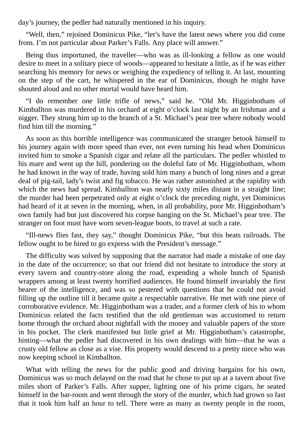day's journey, the pedler had naturally mentioned in his inquiry.

"Well, then," rejoined Dominicus Pike, "let's have the latest news where you did come from. I'm not particular about Parker's Falls. Any place will answer."

Being thus importuned, the traveller—who was as ill-looking a fellow as one would desire to meet in a solitary piece of woods—appeared to hesitate a little, as if he was either searching his memory for news or weighing the expediency of telling it. At last, mounting on the step of the cart, he whispered in the ear of Dominicus, though he might have shouted aloud and no other mortal would have heard him.

"I do remember one little trifle of news," said he. "Old Mr. Higginbotham of Kimballton was murdered in his orchard at eight o'clock last night by an Irishman and a nigger. They strung him up to the branch of a St. Michael's pear tree where nobody would find him till the morning."

As soon as this horrible intelligence was communicated the stranger betook himself to his journey again with more speed than ever, not even turning his head when Dominicus invited him to smoke a Spanish cigar and relate all the particulars. The pedler whistled to his mare and went up the hill, pondering on the doleful fate of Mr. Higginbotham, whom he had known in the way of trade, having sold him many a bunch of long nines and a great deal of pig-tail, lady's twist and fig tobacco. He was rather astonished at the rapidity with which the news had spread. Kimballton was nearly sixty miles distant in a straight line; the murder had been perpetrated only at eight o'clock the preceding night, yet Dominicus had heard of it at seven in the morning, when, in all probability, poor Mr. Higginbotham's own family had but just discovered his corpse hanging on the St. Michael's pear tree. The stranger on foot must have worn seven-league boots, to travel at such a rate.

"Ill-news flies fast, they say," thought Dominicus Pike, "but this beats railroads. The fellow ought to be hired to go express with the President's message."

The difficulty was solved by supposing that the narrator had made a mistake of one day in the date of the occurrence; so that our friend did not hesitate to introduce the story at every tavern and country-store along the road, expending a whole bunch of Spanish wrappers among at least twenty horrified audiences. He found himself invariably the first bearer of the intelligence, and was so pestered with questions that he could not avoid filling up the outline till it became quite a respectable narrative. He met with one piece of corroborative evidence. Mr. Higginbotham was a trader, and a former clerk of his to whom Dominicus related the facts testified that the old gentleman was accustomed to return home through the orchard about nightfall with the money and valuable papers of the store in his pocket. The clerk manifested but little grief at Mr. Higginbotham's catastrophe, hinting—what the pedler had discovered in his own dealings with him—that he was a crusty old fellow as close as a vise. His property would descend to a pretty niece who was now keeping school in Kimballton.

What with telling the news for the public good and driving bargains for his own, Dominicus was so much delayed on the road that he chose to put up at a tavern about five miles short of Parker's Falls. After supper, lighting one of his prime cigars, he seated himself in the bar-room and went through the story of the murder, which had grown so fast that it took him half an hour to tell. There were as many as twenty people in the room,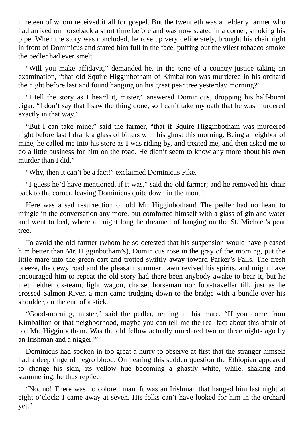nineteen of whom received it all for gospel. But the twentieth was an elderly farmer who had arrived on horseback a short time before and was now seated in a corner, smoking his pipe. When the story was concluded, he rose up very deliberately, brought his chair right in front of Dominicus and stared him full in the face, puffing out the vilest tobacco-smoke the pedler had ever smelt.

"Will you make affidavit," demanded he, in the tone of a country-justice taking an examination, "that old Squire Higginbotham of Kimballton was murdered in his orchard the night before last and found hanging on his great pear tree yesterday morning?"

"I tell the story as I heard it, mister," answered Dominicus, dropping his half-burnt cigar. "I don't say that I saw the thing done, so I can't take my oath that he was murdered exactly in that way."

"But I can take mine," said the farmer, "that if Squire Higginbotham was murdered night before last I drank a glass of bitters with his ghost this morning. Being a neighbor of mine, he called me into his store as I was riding by, and treated me, and then asked me to do a little business for him on the road. He didn't seem to know any more about his own murder than I did."

"Why, then it can't be a fact!" exclaimed Dominicus Pike.

"I guess he'd have mentioned, if it was," said the old farmer; and he removed his chair back to the corner, leaving Dominicus quite down in the mouth.

Here was a sad resurrection of old Mr. Higginbotham! The pedler had no heart to mingle in the conversation any more, but comforted himself with a glass of gin and water and went to bed, where all night long he dreamed of hanging on the St. Michael's pear tree.

To avoid the old farmer (whom he so detested that his suspension would have pleased him better than Mr. Higginbotham's), Dominicus rose in the gray of the morning, put the little mare into the green cart and trotted swiftly away toward Parker's Falls. The fresh breeze, the dewy road and the pleasant summer dawn revived his spirits, and might have encouraged him to repeat the old story had there been anybody awake to bear it, but he met neither ox-team, light wagon, chaise, horseman nor foot-traveller till, just as he crossed Salmon River, a man came trudging down to the bridge with a bundle over his shoulder, on the end of a stick.

"Good-morning, mister," said the pedler, reining in his mare. "If you come from Kimballton or that neighborhood, maybe you can tell me the real fact about this affair of old Mr. Higginbotham. Was the old fellow actually murdered two or three nights ago by an Irishman and a nigger?"

Dominicus had spoken in too great a hurry to observe at first that the stranger himself had a deep tinge of negro blood. On hearing this sudden question the Ethiopian appeared to change his skin, its yellow hue becoming a ghastly white, while, shaking and stammering, he thus replied:

"No, no! There was no colored man. It was an Irishman that hanged him last night at eight o'clock; I came away at seven. His folks can't have looked for him in the orchard yet."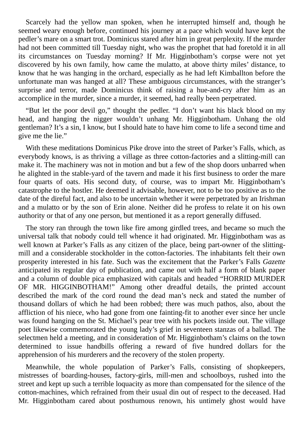Scarcely had the yellow man spoken, when he interrupted himself and, though he seemed weary enough before, continued his journey at a pace which would have kept the pedler's mare on a smart trot. Dominicus stared after him in great perplexity. If the murder had not been committed till Tuesday night, who was the prophet that had foretold it in all its circumstances on Tuesday morning? If Mr. Higginbotham's corpse were not yet discovered by his own family, how came the mulatto, at above thirty miles' distance, to know that he was hanging in the orchard, especially as he had left Kimballton before the unfortunate man was hanged at all? These ambiguous circumstances, with the stranger's surprise and terror, made Dominicus think of raising a hue-and-cry after him as an accomplice in the murder, since a murder, it seemed, had really been perpetrated.

"But let the poor devil go," thought the pedler. "I don't want his black blood on my head, and hanging the nigger wouldn't unhang Mr. Higginbotham. Unhang the old gentleman? It's a sin, I know, but I should hate to have him come to life a second time and give me the lie."

With these meditations Dominicus Pike drove into the street of Parker's Falls, which, as everybody knows, is as thriving a village as three cotton-factories and a slitting-mill can make it. The machinery was not in motion and but a few of the shop doors unbarred when he alighted in the stable-yard of the tavern and made it his first business to order the mare four quarts of oats. His second duty, of course, was to impart Mr. Higginbotham's catastrophe to the hostler. He deemed it advisable, however, not to be too positive as to the date of the direful fact, and also to be uncertain whether it were perpetrated by an Irishman and a mulatto or by the son of Erin alone. Neither did he profess to relate it on his own authority or that of any one person, but mentioned it as a report generally diffused.

The story ran through the town like fire among girdled trees, and became so much the universal talk that nobody could tell whence it had originated. Mr. Higginbotham was as well known at Parker's Falls as any citizen of the place, being part-owner of the slittingmill and a considerable stockholder in the cotton-factories. The inhabitants felt their own prosperity interested in his fate. Such was the excitement that the Parker's Falls *Gazette* anticipated its regular day of publication, and came out with half a form of blank paper and a column of double pica emphasized with capitals and headed "HORRID MURDER OF MR. HIGGINBOTHAM!" Among other dreadful details, the printed account described the mark of the cord round the dead man's neck and stated the number of thousand dollars of which he had been robbed; there was much pathos, also, about the affliction of his niece, who had gone from one fainting-fit to another ever since her uncle was found hanging on the St. Michael's pear tree with his pockets inside out. The village poet likewise commemorated the young lady's grief in seventeen stanzas of a ballad. The selectmen held a meeting, and in consideration of Mr. Higginbotham's claims on the town determined to issue handbills offering a reward of five hundred dollars for the apprehension of his murderers and the recovery of the stolen property.

Meanwhile, the whole population of Parker's Falls, consisting of shopkeepers, mistresses of boarding-houses, factory-girls, mill-men and schoolboys, rushed into the street and kept up such a terrible loquacity as more than compensated for the silence of the cotton-machines, which refrained from their usual din out of respect to the deceased. Had Mr. Higginbotham cared about posthumous renown, his untimely ghost would have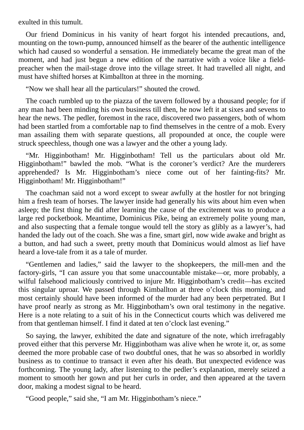exulted in this tumult.

Our friend Dominicus in his vanity of heart forgot his intended precautions, and, mounting on the town-pump, announced himself as the bearer of the authentic intelligence which had caused so wonderful a sensation. He immediately became the great man of the moment, and had just begun a new edition of the narrative with a voice like a fieldpreacher when the mail-stage drove into the village street. It had travelled all night, and must have shifted horses at Kimballton at three in the morning.

"Now we shall hear all the particulars!" shouted the crowd.

The coach rumbled up to the piazza of the tavern followed by a thousand people; for if any man had been minding his own business till then, he now left it at sixes and sevens to hear the news. The pedler, foremost in the race, discovered two passengers, both of whom had been startled from a comfortable nap to find themselves in the centre of a mob. Every man assailing them with separate questions, all propounded at once, the couple were struck speechless, though one was a lawyer and the other a young lady.

"Mr. Higginbotham! Mr. Higginbotham! Tell us the particulars about old Mr. Higginbotham!" bawled the mob. "What is the coroner's verdict? Are the murderers apprehended? Is Mr. Higginbotham's niece come out of her fainting-fits? Mr. Higginbotham! Mr. Higginbotham!"

The coachman said not a word except to swear awfully at the hostler for not bringing him a fresh team of horses. The lawyer inside had generally his wits about him even when asleep; the first thing he did after learning the cause of the excitement was to produce a large red pocketbook. Meantime, Dominicus Pike, being an extremely polite young man, and also suspecting that a female tongue would tell the story as glibly as a lawyer's, had handed the lady out of the coach. She was a fine, smart girl, now wide awake and bright as a button, and had such a sweet, pretty mouth that Dominicus would almost as lief have heard a love-tale from it as a tale of murder.

"Gentlemen and ladies," said the lawyer to the shopkeepers, the mill-men and the factory-girls, "I can assure you that some unaccountable mistake—or, more probably, a wilful falsehood maliciously contrived to injure Mr. Higginbotham's credit—has excited this singular uproar. We passed through Kimballton at three o'clock this morning, and most certainly should have been informed of the murder had any been perpetrated. But I have proof nearly as strong as Mr. Higginbotham's own oral testimony in the negative. Here is a note relating to a suit of his in the Connecticut courts which was delivered me from that gentleman himself. I find it dated at ten o'clock last evening."

So saying, the lawyer, exhibited the date and signature of the note, which irrefragably proved either that this perverse Mr. Higginbotham was alive when he wrote it, or, as some deemed the more probable case of two doubtful ones, that he was so absorbed in worldly business as to continue to transact it even after his death. But unexpected evidence was forthcoming. The young lady, after listening to the pedler's explanation, merely seized a moment to smooth her gown and put her curls in order, and then appeared at the tavern door, making a modest signal to be heard.

"Good people," said she, "I am Mr. Higginbotham's niece."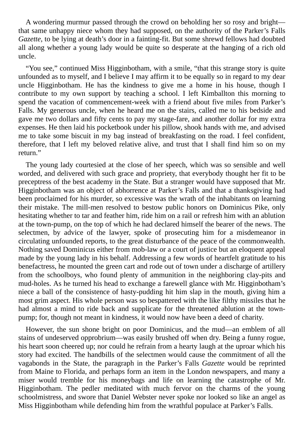A wondering murmur passed through the crowd on beholding her so rosy and bright that same unhappy niece whom they had supposed, on the authority of the Parker's Falls *Gazette*, to be lying at death's door in a fainting-fit. But some shrewd fellows had doubted all along whether a young lady would be quite so desperate at the hanging of a rich old uncle.

"You see," continued Miss Higginbotham, with a smile, "that this strange story is quite unfounded as to myself, and I believe I may affirm it to be equally so in regard to my dear uncle Higginbotham. He has the kindness to give me a home in his house, though I contribute to my own support by teaching a school. I left Kimballton this morning to spend the vacation of commencement-week with a friend about five miles from Parker's Falls. My generous uncle, when he heard me on the stairs, called me to his bedside and gave me two dollars and fifty cents to pay my stage-fare, and another dollar for my extra expenses. He then laid his pocketbook under his pillow, shook hands with me, and advised me to take some biscuit in my bag instead of breakfasting on the road. I feel confident, therefore, that I left my beloved relative alive, and trust that I shall find him so on my return."

The young lady courtesied at the close of her speech, which was so sensible and well worded, and delivered with such grace and propriety, that everybody thought her fit to be preceptress of the best academy in the State. But a stranger would have supposed that Mr. Higginbotham was an object of abhorrence at Parker's Falls and that a thanksgiving had been proclaimed for his murder, so excessive was the wrath of the inhabitants on learning their mistake. The mill-men resolved to bestow public honors on Dominicus Pike, only hesitating whether to tar and feather him, ride him on a rail or refresh him with an ablution at the town-pump, on the top of which he had declared himself the bearer of the news. The selectmen, by advice of the lawyer, spoke of prosecuting him for a misdemeanor in circulating unfounded reports, to the great disturbance of the peace of the commonwealth. Nothing saved Dominicus either from mob-law or a court of justice but an eloquent appeal made by the young lady in his behalf. Addressing a few words of heartfelt gratitude to his benefactress, he mounted the green cart and rode out of town under a discharge of artillery from the schoolboys, who found plenty of ammunition in the neighboring clay-pits and mud-holes. As he turned his head to exchange a farewell glance with Mr. Higginbotham's niece a ball of the consistence of hasty-pudding hit him slap in the mouth, giving him a most grim aspect. His whole person was so bespattered with the like filthy missiles that he had almost a mind to ride back and supplicate for the threatened ablution at the townpump; for, though not meant in kindness, it would now have been a deed of charity.

However, the sun shone bright on poor Dominicus, and the mud—an emblem of all stains of undeserved opprobrium—was easily brushed off when dry. Being a funny rogue, his heart soon cheered up; nor could he refrain from a hearty laugh at the uproar which his story had excited. The handbills of the selectmen would cause the commitment of all the vagabonds in the State, the paragraph in the Parker's Falls *Gazette* would be reprinted from Maine to Florida, and perhaps form an item in the London newspapers, and many a miser would tremble for his moneybags and life on learning the catastrophe of Mr. Higginbotham. The pedler meditated with much fervor on the charms of the young schoolmistress, and swore that Daniel Webster never spoke nor looked so like an angel as Miss Higginbotham while defending him from the wrathful populace at Parker's Falls.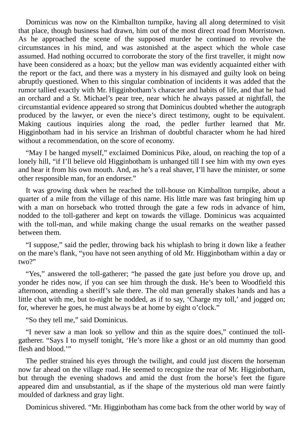Dominicus was now on the Kimballton turnpike, having all along determined to visit that place, though business had drawn, him out of the most direct road from Morristown. As he approached the scene of the supposed murder he continued to revolve the circumstances in his mind, and was astonished at the aspect which the whole case assumed. Had nothing occurred to corroborate the story of the first traveller, it might now have been considered as a hoax; but the yellow man was evidently acquainted either with the report or the fact, and there was a mystery in his dismayed and guilty look on being abruptly questioned. When to this singular combination of incidents it was added that the rumor tallied exactly with Mr. Higginbotham's character and habits of life, and that he had an orchard and a St. Michael's pear tree, near which he always passed at nightfall, the circumstantial evidence appeared so strong that Dominicus doubted whether the autograph produced by the lawyer, or even the niece's direct testimony, ought to be equivalent. Making cautious inquiries along the road, the pedler further learned that Mr. Higginbotham had in his service an Irishman of doubtful character whom he had hired without a recommendation, on the score of economy.

"May I be hanged myself," exclaimed Dominicus Pike, aloud, on reaching the top of a lonely hill, "if I'll believe old Higginbotham is unhanged till I see him with my own eyes and hear it from his own mouth. And, as he's a real shaver, I'll have the minister, or some other responsible man, for an endorser."

It was growing dusk when he reached the toll-house on Kimballton turnpike, about a quarter of a mile from the village of this name. His little mare was fast bringing him up with a man on horseback who trotted through the gate a few rods in advance of him, nodded to the toll-gatherer and kept on towards the village. Dominicus was acquainted with the toll-man, and while making change the usual remarks on the weather passed between them.

"I suppose," said the pedler, throwing back his whiplash to bring it down like a feather on the mare's flank, "you have not seen anything of old Mr. Higginbotham within a day or two?"

"Yes," answered the toll-gatherer; "he passed the gate just before you drove up, and yonder he rides now, if you can see him through the dusk. He's been to Woodfield this afternoon, attending a sheriff's sale there. The old man generally shakes hands and has a little chat with me, but to-night he nodded, as if to say, 'Charge my toll,' and jogged on; for, wherever he goes, he must always be at home by eight o'clock."

"So they tell me," said Dominicus.

"I never saw a man look so yellow and thin as the squire does," continued the tollgatherer. "Says I to myself tonight, 'He's more like a ghost or an old mummy than good flesh and blood."

The pedler strained his eyes through the twilight, and could just discern the horseman now far ahead on the village road. He seemed to recognize the rear of Mr. Higginbotham, but through the evening shadows and amid the dust from the horse's feet the figure appeared dim and unsubstantial, as if the shape of the mysterious old man were faintly moulded of darkness and gray light.

Dominicus shivered. "Mr. Higginbotham has come back from the other world by way of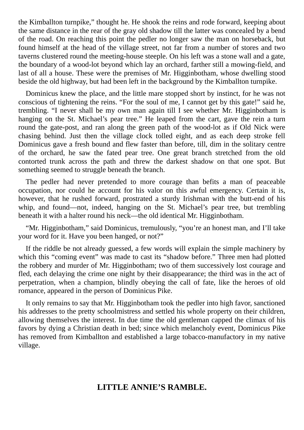the Kimballton turnpike," thought he. He shook the reins and rode forward, keeping about the same distance in the rear of the gray old shadow till the latter was concealed by a bend of the road. On reaching this point the pedler no longer saw the man on horseback, but found himself at the head of the village street, not far from a number of stores and two taverns clustered round the meeting-house steeple. On his left was a stone wall and a gate, the boundary of a wood-lot beyond which lay an orchard, farther still a mowing-field, and last of all a house. These were the premises of Mr. Higginbotham, whose dwelling stood beside the old highway, but had been left in the background by the Kimballton turnpike.

Dominicus knew the place, and the little mare stopped short by instinct, for he was not conscious of tightening the reins. "For the soul of me, I cannot get by this gate!" said he, trembling. "I never shall be my own man again till I see whether Mr. Higginbotham is hanging on the St. Michael's pear tree." He leaped from the cart, gave the rein a turn round the gate-post, and ran along the green path of the wood-lot as if Old Nick were chasing behind. Just then the village clock tolled eight, and as each deep stroke fell Dominicus gave a fresh bound and flew faster than before, till, dim in the solitary centre of the orchard, he saw the fated pear tree. One great branch stretched from the old contorted trunk across the path and threw the darkest shadow on that one spot. But something seemed to struggle beneath the branch.

The pedler had never pretended to more courage than befits a man of peaceable occupation, nor could he account for his valor on this awful emergency. Certain it is, however, that he rushed forward, prostrated a sturdy Irishman with the butt-end of his whip, and found—not, indeed, hanging on the St. Michael's pear tree, but trembling beneath it with a halter round his neck—the old identical Mr. Higginbotham.

"Mr. Higginbotham," said Dominicus, tremulously, "you're an honest man, and I'll take your word for it. Have you been hanged, or not?"

If the riddle be not already guessed, a few words will explain the simple machinery by which this "coming event" was made to cast its "shadow before." Three men had plotted the robbery and murder of Mr. Higginbotham; two of them successively lost courage and fled, each delaying the crime one night by their disappearance; the third was in the act of perpetration, when a champion, blindly obeying the call of fate, like the heroes of old romance, appeared in the person of Dominicus Pike.

It only remains to say that Mr. Higginbotham took the pedler into high favor, sanctioned his addresses to the pretty schoolmistress and settled his whole property on their children, allowing themselves the interest. In due time the old gentleman capped the climax of his favors by dying a Christian death in bed; since which melancholy event, Dominicus Pike has removed from Kimballton and established a large tobacco-manufactory in my native village.

# **LITTLE ANNIE'S RAMBLE.**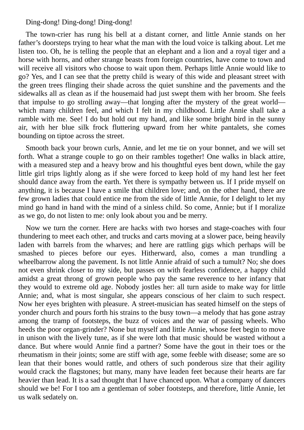### Ding-dong! Ding-dong! Ding-dong!

The town-crier has rung his bell at a distant corner, and little Annie stands on her father's doorsteps trying to hear what the man with the loud voice is talking about. Let me listen too. Oh, he is telling the people that an elephant and a lion and a royal tiger and a horse with horns, and other strange beasts from foreign countries, have come to town and will receive all visitors who choose to wait upon them. Perhaps little Annie would like to go? Yes, and I can see that the pretty child is weary of this wide and pleasant street with the green trees flinging their shade across the quiet sunshine and the pavements and the sidewalks all as clean as if the housemaid had just swept them with her broom. She feels that impulse to go strolling away—that longing after the mystery of the great world which many children feel, and which I felt in my childhood. Little Annie shall take a ramble with me. See! I do but hold out my hand, and like some bright bird in the sunny air, with her blue silk frock fluttering upward from her white pantalets, she comes bounding on tiptoe across the street.

Smooth back your brown curls, Annie, and let me tie on your bonnet, and we will set forth. What a strange couple to go on their rambles together! One walks in black attire, with a measured step and a heavy brow and his thoughtful eyes bent down, while the gay little girl trips lightly along as if she were forced to keep hold of my hand lest her feet should dance away from the earth. Yet there is sympathy between us. If I pride myself on anything, it is because I have a smile that children love; and, on the other hand, there are few grown ladies that could entice me from the side of little Annie, for I delight to let my mind go hand in hand with the mind of a sinless child. So come, Annie; but if I moralize as we go, do not listen to me: only look about you and be merry.

Now we turn the corner. Here are hacks with two horses and stage-coaches with four thundering to meet each other, and trucks and carts moving at a slower pace, being heavily laden with barrels from the wharves; and here are rattling gigs which perhaps will be smashed to pieces before our eyes. Hitherward, also, comes a man trundling a wheelbarrow along the pavement. Is not little Annie afraid of such a tumult? No; she does not even shrink closer to my side, but passes on with fearless confidence, a happy child amidst a great throng of grown people who pay the same reverence to her infancy that they would to extreme old age. Nobody jostles her: all turn aside to make way for little Annie; and, what is most singular, she appears conscious of her claim to such respect. Now her eyes brighten with pleasure. A street-musician has seated himself on the steps of yonder church and pours forth his strains to the busy town—a melody that has gone astray among the tramp of footsteps, the buzz of voices and the war of passing wheels. Who heeds the poor organ-grinder? None but myself and little Annie, whose feet begin to move in unison with the lively tune, as if she were loth that music should be wasted without a dance. But where would Annie find a partner? Some have the gout in their toes or the rheumatism in their joints; some are stiff with age, some feeble with disease; some are so lean that their bones would rattle, and others of such ponderous size that their agility would crack the flagstones; but many, many have leaden feet because their hearts are far heavier than lead. It is a sad thought that I have chanced upon. What a company of dancers should we be! For I too am a gentleman of sober footsteps, and therefore, little Annie, let us walk sedately on.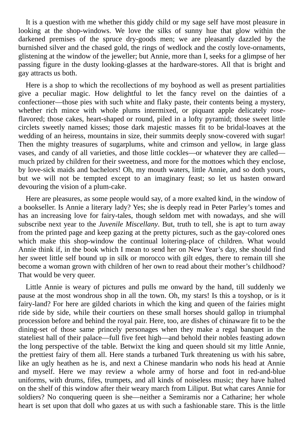It is a question with me whether this giddy child or my sage self have most pleasure in looking at the shop-windows. We love the silks of sunny hue that glow within the darkened premises of the spruce dry-goods men; we are pleasantly dazzled by the burnished silver and the chased gold, the rings of wedlock and the costly love-ornaments, glistening at the window of the jeweller; but Annie, more than I, seeks for a glimpse of her passing figure in the dusty looking-glasses at the hardware-stores. All that is bright and gay attracts us both.

Here is a shop to which the recollections of my boyhood as well as present partialities give a peculiar magic. How delightful to let the fancy revel on the dainties of a confectioner—those pies with such white and flaky paste, their contents being a mystery, whether rich mince with whole plums intermixed, or piquant apple delicately roseflavored; those cakes, heart-shaped or round, piled in a lofty pyramid; those sweet little circlets sweetly named kisses; those dark majestic masses fit to be bridal-loaves at the wedding of an heiress, mountains in size, their summits deeply snow-covered with sugar! Then the mighty treasures of sugarplums, white and crimson and yellow, in large glass vases, and candy of all varieties, and those little cockles—or whatever they are called much prized by children for their sweetness, and more for the mottoes which they enclose, by love-sick maids and bachelors! Oh, my mouth waters, little Annie, and so doth yours, but we will not be tempted except to an imaginary feast; so let us hasten onward devouring the vision of a plum-cake.

Here are pleasures, as some people would say, of a more exalted kind, in the window of a bookseller. Is Annie a literary lady? Yes; she is deeply read in Peter Parley's tomes and has an increasing love for fairy-tales, though seldom met with nowadays, and she will subscribe next year to the *Juvenile Miscellany*. But, truth to tell, she is apt to turn away from the printed page and keep gazing at the pretty pictures, such as the gay-colored ones which make this shop-window the continual loitering-place of children. What would Annie think if, in the book which I mean to send her on New Year's day, she should find her sweet little self bound up in silk or morocco with gilt edges, there to remain till she become a woman grown with children of her own to read about their mother's childhood? That would be very queer.

Little Annie is weary of pictures and pulls me onward by the hand, till suddenly we pause at the most wondrous shop in all the town. Oh, my stars! Is this a toyshop, or is it fairy-land? For here are gilded chariots in which the king and queen of the fairies might ride side by side, while their courtiers on these small horses should gallop in triumphal procession before and behind the royal pair. Here, too, are dishes of chinaware fit to be the dining-set of those same princely personages when they make a regal banquet in the stateliest hall of their palace—full five feet high—and behold their nobles feasting adown the long perspective of the table. Betwixt the king and queen should sit my little Annie, the prettiest fairy of them all. Here stands a turbaned Turk threatening us with his sabre, like an ugly heathen as he is, and next a Chinese mandarin who nods his head at Annie and myself. Here we may review a whole army of horse and foot in red-and-blue uniforms, with drums, fifes, trumpets, and all kinds of noiseless music; they have halted on the shelf of this window after their weary march from Liliput. But what cares Annie for soldiers? No conquering queen is she—neither a Semiramis nor a Catharine; her whole heart is set upon that doll who gazes at us with such a fashionable stare. This is the little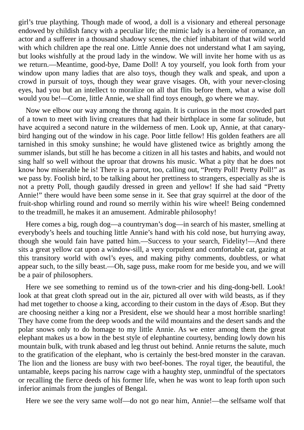girl's true plaything. Though made of wood, a doll is a visionary and ethereal personage endowed by childish fancy with a peculiar life; the mimic lady is a heroine of romance, an actor and a sufferer in a thousand shadowy scenes, the chief inhabitant of that wild world with which children ape the real one. Little Annie does not understand what I am saying, but looks wishfully at the proud lady in the window. We will invite her home with us as we return.—Meantime, good-bye, Dame Doll! A toy yourself, you look forth from your window upon many ladies that are also toys, though they walk and speak, and upon a crowd in pursuit of toys, though they wear grave visages. Oh, with your never-closing eyes, had you but an intellect to moralize on all that flits before them, what a wise doll would you be!—Come, little Annie, we shall find toys enough, go where we may.

Now we elbow our way among the throng again. It is curious in the most crowded part of a town to meet with living creatures that had their birthplace in some far solitude, but have acquired a second nature in the wilderness of men. Look up, Annie, at that canarybird hanging out of the window in his cage. Poor little fellow! His golden feathers are all tarnished in this smoky sunshine; he would have glistened twice as brightly among the summer islands, but still he has become a citizen in all his tastes and habits, and would not sing half so well without the uproar that drowns his music. What a pity that he does not know how miserable he is! There is a parrot, too, calling out, "Pretty Poll! Pretty Poll!" as we pass by. Foolish bird, to be talking about her prettiness to strangers, especially as she is not a pretty Poll, though gaudily dressed in green and yellow! If she had said "Pretty Annie!" there would have been some sense in it. See that gray squirrel at the door of the fruit-shop whirling round and round so merrily within his wire wheel! Being condemned to the treadmill, he makes it an amusement. Admirable philosophy!

Here comes a big, rough dog—a countryman's dog—in search of his master, smelling at everybody's heels and touching little Annie's hand with his cold nose, but hurrying away, though she would fain have patted him.—Success to your search, Fidelity!—And there sits a great yellow cat upon a window-sill, a very corpulent and comfortable cat, gazing at this transitory world with owl's eyes, and making pithy comments, doubtless, or what appear such, to the silly beast.—Oh, sage puss, make room for me beside you, and we will be a pair of philosophers.

Here we see something to remind us of the town-crier and his ding-dong-bell. Look! look at that great cloth spread out in the air, pictured all over with wild beasts, as if they had met together to choose a king, according to their custom in the days of Æsop. But they are choosing neither a king nor a President, else we should hear a most horrible snarling! They have come from the deep woods and the wild mountains and the desert sands and the polar snows only to do homage to my little Annie. As we enter among them the great elephant makes us a bow in the best style of elephantine courtesy, bending lowly down his mountain bulk, with trunk abased and leg thrust out behind. Annie returns the salute, much to the gratification of the elephant, who is certainly the best-bred monster in the caravan. The lion and the lioness are busy with two beef-bones. The royal tiger, the beautiful, the untamable, keeps pacing his narrow cage with a haughty step, unmindful of the spectators or recalling the fierce deeds of his former life, when he was wont to leap forth upon such inferior animals from the jungles of Bengal.

Here we see the very same wolf—do not go near him, Annie!—the selfsame wolf that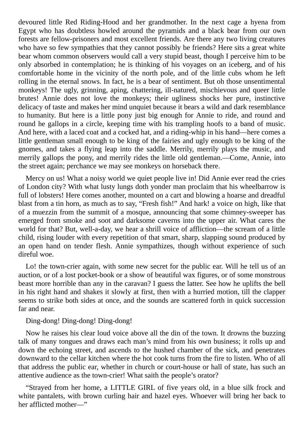devoured little Red Riding-Hood and her grandmother. In the next cage a hyena from Egypt who has doubtless howled around the pyramids and a black bear from our own forests are fellow-prisoners and most excellent friends. Are there any two living creatures who have so few sympathies that they cannot possibly be friends? Here sits a great white bear whom common observers would call a very stupid beast, though I perceive him to be only absorbed in contemplation; he is thinking of his voyages on an iceberg, and of his comfortable home in the vicinity of the north pole, and of the little cubs whom he left rolling in the eternal snows. In fact, he is a bear of sentiment. But oh those unsentimental monkeys! The ugly, grinning, aping, chattering, ill-natured, mischievous and queer little brutes! Annie does not love the monkeys; their ugliness shocks her pure, instinctive delicacy of taste and makes her mind unquiet because it bears a wild and dark resemblance to humanity. But here is a little pony just big enough for Annie to ride, and round and round he gallops in a circle, keeping time with his trampling hoofs to a band of music. And here, with a laced coat and a cocked hat, and a riding-whip in his hand—here comes a little gentleman small enough to be king of the fairies and ugly enough to be king of the gnomes, and takes a flying leap into the saddle. Merrily, merrily plays the music, and merrily gallops the pony, and merrily rides the little old gentleman.—Come, Annie, into the street again; perchance we may see monkeys on horseback there.

Mercy on us! What a noisy world we quiet people live in! Did Annie ever read the cries of London city? With what lusty lungs doth yonder man proclaim that his wheelbarrow is full of lobsters! Here comes another, mounted on a cart and blowing a hoarse and dreadful blast from a tin horn, as much as to say, "Fresh fish!" And hark! a voice on high, like that of a muezzin from the summit of a mosque, announcing that some chimney-sweeper has emerged from smoke and soot and darksome caverns into the upper air. What cares the world for that? But, well-a-day, we hear a shrill voice of affliction—the scream of a little child, rising louder with every repetition of that smart, sharp, slapping sound produced by an open hand on tender flesh. Annie sympathizes, though without experience of such direful woe.

Lo! the town-crier again, with some new secret for the public ear. Will he tell us of an auction, or of a lost pocket-book or a show of beautiful wax figures, or of some monstrous beast more horrible than any in the caravan? I guess the latter. See how he uplifts the bell in his right hand and shakes it slowly at first, then with a hurried motion, till the clapper seems to strike both sides at once, and the sounds are scattered forth in quick succession far and near.

#### Ding-dong! Ding-dong! Ding-dong!

Now he raises his clear loud voice above all the din of the town. It drowns the buzzing talk of many tongues and draws each man's mind from his own business; it rolls up and down the echoing street, and ascends to the hushed chamber of the sick, and penetrates downward to the cellar kitchen where the hot cook turns from the fire to listen. Who of all that address the public ear, whether in church or court-house or hall of state, has such an attentive audience as the town-crier! What saith the people's orator?

"Strayed from her home, a LITTLE GIRL of five years old, in a blue silk frock and white pantalets, with brown curling hair and hazel eyes. Whoever will bring her back to her afflicted mother—"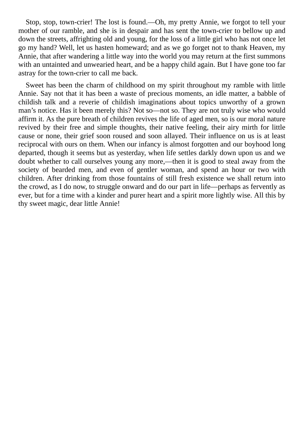Stop, stop, town-crier! The lost is found.—Oh, my pretty Annie, we forgot to tell your mother of our ramble, and she is in despair and has sent the town-crier to bellow up and down the streets, affrighting old and young, for the loss of a little girl who has not once let go my hand? Well, let us hasten homeward; and as we go forget not to thank Heaven, my Annie, that after wandering a little way into the world you may return at the first summons with an untainted and unwearied heart, and be a happy child again. But I have gone too far astray for the town-crier to call me back.

Sweet has been the charm of childhood on my spirit throughout my ramble with little Annie. Say not that it has been a waste of precious moments, an idle matter, a babble of childish talk and a reverie of childish imaginations about topics unworthy of a grown man's notice. Has it been merely this? Not so—not so. They are not truly wise who would affirm it. As the pure breath of children revives the life of aged men, so is our moral nature revived by their free and simple thoughts, their native feeling, their airy mirth for little cause or none, their grief soon roused and soon allayed. Their influence on us is at least reciprocal with ours on them. When our infancy is almost forgotten and our boyhood long departed, though it seems but as yesterday, when life settles darkly down upon us and we doubt whether to call ourselves young any more,—then it is good to steal away from the society of bearded men, and even of gentler woman, and spend an hour or two with children. After drinking from those fountains of still fresh existence we shall return into the crowd, as I do now, to struggle onward and do our part in life—perhaps as fervently as ever, but for a time with a kinder and purer heart and a spirit more lightly wise. All this by thy sweet magic, dear little Annie!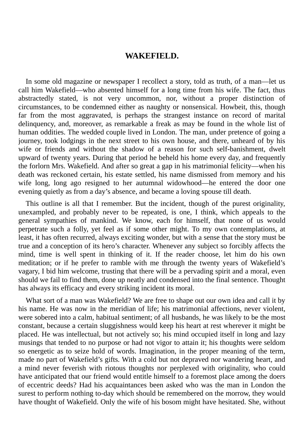#### **WAKEFIELD.**

In some old magazine or newspaper I recollect a story, told as truth, of a man—let us call him Wakefield—who absented himself for a long time from his wife. The fact, thus abstractedly stated, is not very uncommon, nor, without a proper distinction of circumstances, to be condemned either as naughty or nonsensical. Howbeit, this, though far from the most aggravated, is perhaps the strangest instance on record of marital delinquency, and, moreover, as remarkable a freak as may be found in the whole list of human oddities. The wedded couple lived in London. The man, under pretence of going a journey, took lodgings in the next street to his own house, and there, unheard of by his wife or friends and without the shadow of a reason for such self-banishment, dwelt upward of twenty years. During that period he beheld his home every day, and frequently the forlorn Mrs. Wakefield. And after so great a gap in his matrimonial felicity—when his death was reckoned certain, his estate settled, his name dismissed from memory and his wife long, long ago resigned to her autumnal widowhood—he entered the door one evening quietly as from a day's absence, and became a loving spouse till death.

This outline is all that I remember. But the incident, though of the purest originality, unexampled, and probably never to be repeated, is one, I think, which appeals to the general sympathies of mankind. We know, each for himself, that none of us would perpetrate such a folly, yet feel as if some other might. To my own contemplations, at least, it has often recurred, always exciting wonder, but with a sense that the story must be true and a conception of its hero's character. Whenever any subject so forcibly affects the mind, time is well spent in thinking of it. If the reader choose, let him do his own meditation; or if he prefer to ramble with me through the twenty years of Wakefield's vagary, I bid him welcome, trusting that there will be a pervading spirit and a moral, even should we fail to find them, done up neatly and condensed into the final sentence. Thought has always its efficacy and every striking incident its moral.

What sort of a man was Wakefield? We are free to shape out our own idea and call it by his name. He was now in the meridian of life; his matrimonial affections, never violent, were sobered into a calm, habitual sentiment; of all husbands, he was likely to be the most constant, because a certain sluggishness would keep his heart at rest wherever it might be placed. He was intellectual, but not actively so; his mind occupied itself in long and lazy musings that tended to no purpose or had not vigor to attain it; his thoughts were seldom so energetic as to seize hold of words. Imagination, in the proper meaning of the term, made no part of Wakefield's gifts. With a cold but not depraved nor wandering heart, and a mind never feverish with riotous thoughts nor perplexed with originality, who could have anticipated that our friend would entitle himself to a foremost place among the doers of eccentric deeds? Had his acquaintances been asked who was the man in London the surest to perform nothing to-day which should be remembered on the morrow, they would have thought of Wakefield. Only the wife of his bosom might have hesitated. She, without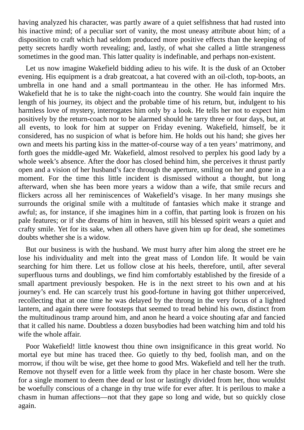having analyzed his character, was partly aware of a quiet selfishness that had rusted into his inactive mind; of a peculiar sort of vanity, the most uneasy attribute about him; of a disposition to craft which had seldom produced more positive effects than the keeping of petty secrets hardly worth revealing; and, lastly, of what she called a little strangeness sometimes in the good man. This latter quality is indefinable, and perhaps non-existent.

Let us now imagine Wakefield bidding adieu to his wife. It is the dusk of an October evening. His equipment is a drab greatcoat, a hat covered with an oil-cloth, top-boots, an umbrella in one hand and a small portmanteau in the other. He has informed Mrs. Wakefield that he is to take the night-coach into the country. She would fain inquire the length of his journey, its object and the probable time of his return, but, indulgent to his harmless love of mystery, interrogates him only by a look. He tells her not to expect him positively by the return-coach nor to be alarmed should he tarry three or four days, but, at all events, to look for him at supper on Friday evening. Wakefield, himself, be it considered, has no suspicion of what is before him. He holds out his hand; she gives her own and meets his parting kiss in the matter-of-course way of a ten years' matrimony, and forth goes the middle-aged Mr. Wakefield, almost resolved to perplex his good lady by a whole week's absence. After the door has closed behind him, she perceives it thrust partly open and a vision of her husband's face through the aperture, smiling on her and gone in a moment. For the time this little incident is dismissed without a thought, but long afterward, when she has been more years a widow than a wife, that smile recurs and flickers across all her reminiscences of Wakefield's visage. In her many musings she surrounds the original smile with a multitude of fantasies which make it strange and awful; as, for instance, if she imagines him in a coffin, that parting look is frozen on his pale features; or if she dreams of him in heaven, still his blessed spirit wears a quiet and crafty smile. Yet for its sake, when all others have given him up for dead, she sometimes doubts whether she is a widow.

But our business is with the husband. We must hurry after him along the street ere he lose his individuality and melt into the great mass of London life. It would be vain searching for him there. Let us follow close at his heels, therefore, until, after several superfluous turns and doublings, we find him comfortably established by the fireside of a small apartment previously bespoken. He is in the next street to his own and at his journey's end. He can scarcely trust his good-fortune in having got thither unperceived, recollecting that at one time he was delayed by the throng in the very focus of a lighted lantern, and again there were footsteps that seemed to tread behind his own, distinct from the multitudinous tramp around him, and anon he heard a voice shouting afar and fancied that it called his name. Doubtless a dozen busybodies had been watching him and told his wife the whole affair.

Poor Wakefield! little knowest thou thine own insignificance in this great world. No mortal eye but mine has traced thee. Go quietly to thy bed, foolish man, and on the morrow, if thou wilt be wise, get thee home to good Mrs. Wakefield and tell her the truth. Remove not thyself even for a little week from thy place in her chaste bosom. Were she for a single moment to deem thee dead or lost or lastingly divided from her, thou wouldst be woefully conscious of a change in thy true wife for ever after. It is perilous to make a chasm in human affections—not that they gape so long and wide, but so quickly close again.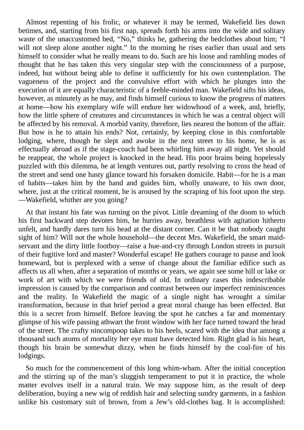Almost repenting of his frolic, or whatever it may be termed, Wakefield lies down betimes, and, starting from his first nap, spreads forth his arms into the wide and solitary waste of the unaccustomed bed, "No," thinks he, gathering the bedclothes about him; "I will not sleep alone another night." In the morning he rises earlier than usual and sets himself to consider what he really means to do. Such are his loose and rambling modes of thought that he has taken this very singular step with the consciousness of a purpose, indeed, but without being able to define it sufficiently for his own contemplation. The vagueness of the project and the convulsive effort with which he plunges into the execution of it are equally characteristic of a feeble-minded man. Wakefield sifts his ideas, however, as minutely as he may, and finds himself curious to know the progress of matters at home—how his exemplary wife will endure her widowhood of a week, and, briefly, how the little sphere of creatures and circumstances in which he was a central object will be affected by his removal. A morbid vanity, therefore, lies nearest the bottom of the affair. But how is he to attain his ends? Not, certainly, by keeping close in this comfortable lodging, where, though he slept and awoke in the next street to his home, he is as effectually abroad as if the stage-coach had been whirling him away all night. Yet should he reappear, the whole project is knocked in the head. His poor brains being hopelessly puzzled with this dilemma, he at length ventures out, partly resolving to cross the head of the street and send one hasty glance toward his forsaken domicile. Habit—for he is a man of habits—takes him by the hand and guides him, wholly unaware, to his own door, where, just at the critical moment, he is aroused by the scraping of his foot upon the step. —Wakefield, whither are you going?

At that instant his fate was turning on the pivot. Little dreaming of the doom to which his first backward step devotes him, he hurries away, breathless with agitation hitherto unfelt, and hardly dares turn his head at the distant corner. Can it be that nobody caught sight of him? Will not the whole household—the decent Mrs. Wakefield, the smart maidservant and the dirty little footboy—raise a hue-and-cry through London streets in pursuit of their fugitive lord and master? Wonderful escape! He gathers courage to pause and look homeward, but is perplexed with a sense of change about the familiar edifice such as affects us all when, after a separation of months or years, we again see some hill or lake or work of art with which we were friends of old. In ordinary cases this indescribable impression is caused by the comparison and contrast between our imperfect reminiscences and the reality. In Wakefield the magic of a single night has wrought a similar transformation, because in that brief period a great moral change has been effected. But this is a secret from himself. Before leaving the spot he catches a far and momentary glimpse of his wife passing athwart the front window with her face turned toward the head of the street. The crafty nincompoop takes to his heels, scared with the idea that among a thousand such atoms of mortality her eye must have detected him. Right glad is his heart, though his brain be somewhat dizzy, when he finds himself by the coal-fire of his lodgings.

So much for the commencement of this long whim-wham. After the initial conception and the stirring up of the man's sluggish temperament to put it in practice, the whole matter evolves itself in a natural train. We may suppose him, as the result of deep deliberation, buying a new wig of reddish hair and selecting sundry garments, in a fashion unlike his customary suit of brown, from a Jew's old-clothes bag. It is accomplished: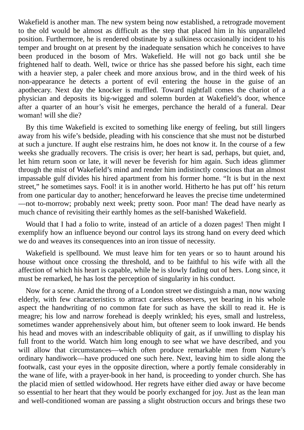Wakefield is another man. The new system being now established, a retrograde movement to the old would be almost as difficult as the step that placed him in his unparalleled position. Furthermore, he is rendered obstinate by a sulkiness occasionally incident to his temper and brought on at present by the inadequate sensation which he conceives to have been produced in the bosom of Mrs. Wakefield. He will not go back until she be frightened half to death. Well, twice or thrice has she passed before his sight, each time with a heavier step, a paler cheek and more anxious brow, and in the third week of his non-appearance he detects a portent of evil entering the house in the guise of an apothecary. Next day the knocker is muffled. Toward nightfall comes the chariot of a physician and deposits its big-wigged and solemn burden at Wakefield's door, whence after a quarter of an hour's visit he emerges, perchance the herald of a funeral. Dear woman! will she die?

By this time Wakefield is excited to something like energy of feeling, but still lingers away from his wife's bedside, pleading with his conscience that she must not be disturbed at such a juncture. If aught else restrains him, he does not know it. In the course of a few weeks she gradually recovers. The crisis is over; her heart is sad, perhaps, but quiet, and, let him return soon or late, it will never be feverish for him again. Such ideas glimmer through the mist of Wakefield's mind and render him indistinctly conscious that an almost impassable gulf divides his hired apartment from his former home. "It is but in the next street," he sometimes says. Fool! it is in another world. Hitherto he has put off' his return from one particular day to another; henceforward he leaves the precise time undetermined —not to-morrow; probably next week; pretty soon. Poor man! The dead have nearly as much chance of revisiting their earthly homes as the self-banished Wakefield.

Would that I had a folio to write, instead of an article of a dozen pages! Then might I exemplify how an influence beyond our control lays its strong hand on every deed which we do and weaves its consequences into an iron tissue of necessity.

Wakefield is spellbound. We must leave him for ten years or so to haunt around his house without once crossing the threshold, and to be faithful to his wife with all the affection of which his heart is capable, while he is slowly fading out of hers. Long since, it must be remarked, he has lost the perception of singularity in his conduct.

Now for a scene. Amid the throng of a London street we distinguish a man, now waxing elderly, with few characteristics to attract careless observers, yet bearing in his whole aspect the handwriting of no common fate for such as have the skill to read it. He is meagre; his low and narrow forehead is deeply wrinkled; his eyes, small and lustreless, sometimes wander apprehensively about him, but oftener seem to look inward. He bends his head and moves with an indescribable obliquity of gait, as if unwilling to display his full front to the world. Watch him long enough to see what we have described, and you will allow that circumstances—which often produce remarkable men from Nature's ordinary handiwork—have produced one such here. Next, leaving him to sidle along the footwalk, cast your eyes in the opposite direction, where a portly female considerably in the wane of life, with a prayer-book in her hand, is proceeding to yonder church. She has the placid mien of settled widowhood. Her regrets have either died away or have become so essential to her heart that they would be poorly exchanged for joy. Just as the lean man and well-conditioned woman are passing a slight obstruction occurs and brings these two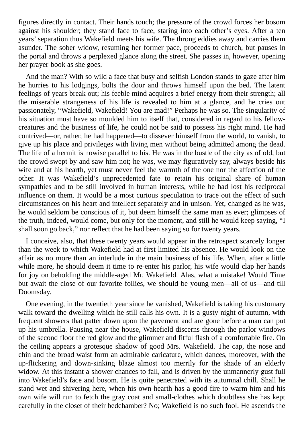figures directly in contact. Their hands touch; the pressure of the crowd forces her bosom against his shoulder; they stand face to face, staring into each other's eyes. After a ten years' separation thus Wakefield meets his wife. The throng eddies away and carries them asunder. The sober widow, resuming her former pace, proceeds to church, but pauses in the portal and throws a perplexed glance along the street. She passes in, however, opening her prayer-book as she goes.

And the man? With so wild a face that busy and selfish London stands to gaze after him he hurries to his lodgings, bolts the door and throws himself upon the bed. The latent feelings of years break out; his feeble mind acquires a brief energy from their strength; all the miserable strangeness of his life is revealed to him at a glance, and he cries out passionately, "Wakefield, Wakefield! You are mad!" Perhaps he was so. The singularity of his situation must have so moulded him to itself that, considered in regard to his fellowcreatures and the business of life, he could not be said to possess his right mind. He had contrived—or, rather, he had happened—to dissever himself from the world, to vanish, to give up his place and privileges with living men without being admitted among the dead. The life of a hermit is nowise parallel to his. He was in the bustle of the city as of old, but the crowd swept by and saw him not; he was, we may figuratively say, always beside his wife and at his hearth, yet must never feel the warmth of the one nor the affection of the other. It was Wakefield's unprecedented fate to retain his original share of human sympathies and to be still involved in human interests, while he had lost his reciprocal influence on them. It would be a most curious speculation to trace out the effect of such circumstances on his heart and intellect separately and in unison. Yet, changed as he was, he would seldom be conscious of it, but deem himself the same man as ever; glimpses of the truth, indeed, would come, but only for the moment, and still he would keep saying, "I shall soon go back," nor reflect that he had been saying so for twenty years.

I conceive, also, that these twenty years would appear in the retrospect scarcely longer than the week to which Wakefield had at first limited his absence. He would look on the affair as no more than an interlude in the main business of his life. When, after a little while more, he should deem it time to re-enter his parlor, his wife would clap her hands for joy on beholding the middle-aged Mr. Wakefield. Alas, what a mistake! Would Time but await the close of our favorite follies, we should be young men—all of us—and till Doomsday.

One evening, in the twentieth year since he vanished, Wakefield is taking his customary walk toward the dwelling which he still calls his own. It is a gusty night of autumn, with frequent showers that patter down upon the pavement and are gone before a man can put up his umbrella. Pausing near the house, Wakefield discerns through the parlor-windows of the second floor the red glow and the glimmer and fitful flash of a comfortable fire. On the ceiling appears a grotesque shadow of good Mrs. Wakefield. The cap, the nose and chin and the broad waist form an admirable caricature, which dances, moreover, with the up-flickering and down-sinking blaze almost too merrily for the shade of an elderly widow. At this instant a shower chances to fall, and is driven by the unmannerly gust full into Wakefield's face and bosom. He is quite penetrated with its autumnal chill. Shall he stand wet and shivering here, when his own hearth has a good fire to warm him and his own wife will run to fetch the gray coat and small-clothes which doubtless she has kept carefully in the closet of their bedchamber? No; Wakefield is no such fool. He ascends the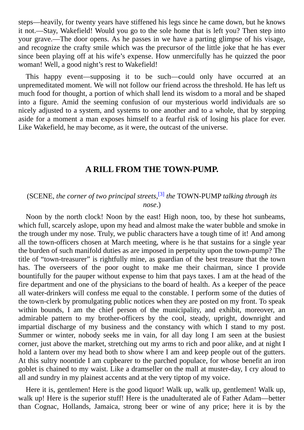steps—heavily, for twenty years have stiffened his legs since he came down, but he knows it not.—Stay, Wakefield! Would you go to the sole home that is left you? Then step into your grave.—The door opens. As he passes in we have a parting glimpse of his visage, and recognize the crafty smile which was the precursor of the little joke that he has ever since been playing off at his wife's expense. How unmercifully has he quizzed the poor woman! Well, a good night's rest to Wakefield!

This happy event—supposing it to be such—could only have occurred at an unpremeditated moment. We will not follow our friend across the threshold. He has left us much food for thought, a portion of which shall lend its wisdom to a moral and be shaped into a figure. Amid the seeming confusion of our mysterious world individuals are so nicely adjusted to a system, and systems to one another and to a whole, that by stepping aside for a moment a man exposes himself to a fearful risk of losing his place for ever. Like Wakefield, he may become, as it were, the outcast of the universe.

### **A RILL FROM THE TOWN-PUMP.**

### (SCENE, *the corner of two principal streets*, [3] *the* TOWN-PUMP *talking through its nose*.)

Noon by the north clock! Noon by the east! High noon, too, by these hot sunbeams, which full, scarcely aslope, upon my head and almost make the water bubble and smoke in the trough under my nose. Truly, we public characters have a tough time of it! And among all the town-officers chosen at March meeting, where is he that sustains for a single year the burden of such manifold duties as are imposed in perpetuity upon the town-pump? The title of "town-treasurer" is rightfully mine, as guardian of the best treasure that the town has. The overseers of the poor ought to make me their chairman, since I provide bountifully for the pauper without expense to him that pays taxes. I am at the head of the fire department and one of the physicians to the board of health. As a keeper of the peace all water-drinkers will confess me equal to the constable. I perform some of the duties of the town-clerk by promulgating public notices when they are posted on my front. To speak within bounds, I am the chief person of the municipality, and exhibit, moreover, an admirable pattern to my brother-officers by the cool, steady, upright, downright and impartial discharge of my business and the constancy with which I stand to my post. Summer or winter, nobody seeks me in vain, for all day long I am seen at the busiest corner, just above the market, stretching out my arms to rich and poor alike, and at night I hold a lantern over my head both to show where I am and keep people out of the gutters. At this sultry noontide I am cupbearer to the parched populace, for whose benefit an iron goblet is chained to my waist. Like a dramseller on the mall at muster-day, I cry aloud to all and sundry in my plainest accents and at the very tiptop of my voice.

Here it is, gentlemen! Here is the good liquor! Walk up, walk up, gentlemen! Walk up, walk up! Here is the superior stuff! Here is the unadulterated ale of Father Adam—better than Cognac, Hollands, Jamaica, strong beer or wine of any price; here it is by the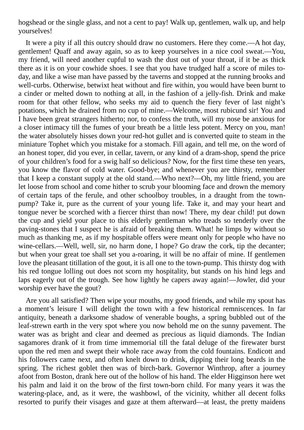hogshead or the single glass, and not a cent to pay! Walk up, gentlemen, walk up, and help yourselves!

It were a pity if all this outcry should draw no customers. Here they come.—A hot day, gentlemen! Quaff and away again, so as to keep yourselves in a nice cool sweat.—You, my friend, will need another cupful to wash the dust out of your throat, if it be as thick there as it is on your cowhide shoes. I see that you have trudged half a score of miles today, and like a wise man have passed by the taverns and stopped at the running brooks and well-curbs. Otherwise, betwixt heat without and fire within, you would have been burnt to a cinder or melted down to nothing at all, in the fashion of a jelly-fish. Drink and make room for that other fellow, who seeks my aid to quench the fiery fever of last night's potations, which he drained from no cup of mine.—Welcome, most rubicund sir! You and I have been great strangers hitherto; nor, to confess the truth, will my nose be anxious for a closer intimacy till the fumes of your breath be a little less potent. Mercy on you, man! the water absolutely hisses down your red-hot gullet and is converted quite to steam in the miniature Tophet which you mistake for a stomach. Fill again, and tell me, on the word of an honest toper, did you ever, in cellar, tavern, or any kind of a dram-shop, spend the price of your children's food for a swig half so delicious? Now, for the first time these ten years, you know the flavor of cold water. Good-bye; and whenever you are thirsty, remember that I keep a constant supply at the old stand.—Who next?—Oh, my little friend, you are let loose from school and come hither to scrub your blooming face and drown the memory of certain taps of the ferule, and other schoolboy troubles, in a draught from the townpump? Take it, pure as the current of your young life. Take it, and may your heart and tongue never be scorched with a fiercer thirst than now! There, my dear child! put down the cup and yield your place to this elderly gentleman who treads so tenderly over the paving-stones that I suspect he is afraid of breaking them. What! he limps by without so much as thanking me, as if my hospitable offers were meant only for people who have no wine-cellars.—Well, well, sir, no harm done, I hope? Go draw the cork, tip the decanter; but when your great toe shall set you a-roaring, it will be no affair of mine. If gentlemen love the pleasant titillation of the gout, it is all one to the town-pump. This thirsty dog with his red tongue lolling out does not scorn my hospitality, but stands on his hind legs and laps eagerly out of the trough. See how lightly he capers away again!—Jowler, did your worship ever have the gout?

Are you all satisfied? Then wipe your mouths, my good friends, and while my spout has a moment's leisure I will delight the town with a few historical remniscences. In far antiquity, beneath a darksome shadow of venerable boughs, a spring bubbled out of the leaf-strewn earth in the very spot where you now behold me on the sunny pavement. The water was as bright and clear and deemed as precious as liquid diamonds. The Indian sagamores drank of it from time immemorial till the fatal deluge of the firewater burst upon the red men and swept their whole race away from the cold fountains. Endicott and his followers came next, and often knelt down to drink, dipping their long beards in the spring. The richest goblet then was of birch-bark. Governor Winthrop, after a journey afoot from Boston, drank here out of the hollow of his hand. The elder Higginson here wet his palm and laid it on the brow of the first town-born child. For many years it was the watering-place, and, as it were, the washbowl, of the vicinity, whither all decent folks resorted to purify their visages and gaze at them afterward—at least, the pretty maidens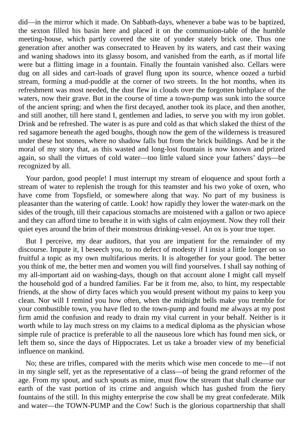did—in the mirror which it made. On Sabbath-days, whenever a babe was to be baptized, the sexton filled his basin here and placed it on the communion-table of the humble meeting-house, which partly covered the site of yonder stately brick one. Thus one generation after another was consecrated to Heaven by its waters, and cast their waxing and waning shadows into its glassy bosom, and vanished from the earth, as if mortal life were but a flitting image in a fountain. Finally the fountain vanished also. Cellars were dug on all sides and cart-loads of gravel flung upon its source, whence oozed a turbid stream, forming a mud-puddle at the corner of two streets. In the hot months, when its refreshment was most needed, the dust flew in clouds over the forgotten birthplace of the waters, now their grave. But in the course of time a town-pump was sunk into the source of the ancient spring; and when the first decayed, another took its place, and then another, and still another, till here stand I, gentlemen and ladies, to serve you with my iron goblet. Drink and be refreshed. The water is as pure and cold as that which slaked the thirst of the red sagamore beneath the aged boughs, though now the gem of the wilderness is treasured under these hot stones, where no shadow falls but from the brick buildings. And be it the moral of my story that, as this wasted and long-lost fountain is now known and prized again, so shall the virtues of cold water—too little valued since your fathers' days—be recognized by all.

Your pardon, good people! I must interrupt my stream of eloquence and spout forth a stream of water to replenish the trough for this teamster and his two yoke of oxen, who have come from Topsfield, or somewhere along that way. No part of my business is pleasanter than the watering of cattle. Look! how rapidly they lower the water-mark on the sides of the trough, till their capacious stomachs are moistened with a gallon or two apiece and they can afford time to breathe it in with sighs of calm enjoyment. Now they roll their quiet eyes around the brim of their monstrous drinking-vessel. An ox is your true toper.

But I perceive, my dear auditors, that you are impatient for the remainder of my discourse. Impute it, I beseech you, to no defect of modesty if I insist a little longer on so fruitful a topic as my own multifarious merits. It is altogether for your good. The better you think of me, the better men and women you will find yourselves. I shall say nothing of my all-important aid on washing-days, though on that account alone I might call myself the household god of a hundred families. Far be it from me, also, to hint, my respectable friends, at the show of dirty faces which you would present without my pains to keep you clean. Nor will I remind you how often, when the midnight bells make you tremble for your combustible town, you have fled to the town-pump and found me always at my post firm amid the confusion and ready to drain my vital current in your behalf. Neither is it worth while to lay much stress on my claims to a medical diploma as the physician whose simple rule of practice is preferable to all the nauseous lore which has found men sick, or left them so, since the days of Hippocrates. Let us take a broader view of my beneficial influence on mankind.

No; these are trifles, compared with the merits which wise men concede to me—if not in my single self, yet as the representative of a class—of being the grand reformer of the age. From my spout, and such spouts as mine, must flow the stream that shall cleanse our earth of the vast portion of its crime and anguish which has gushed from the fiery fountains of the still. In this mighty enterprise the cow shall be my great confederate. Milk and water—the TOWN-PUMP and the Cow! Such is the glorious copartnership that shall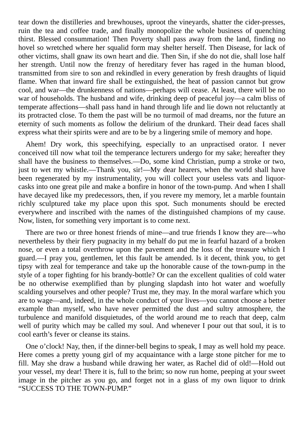tear down the distilleries and brewhouses, uproot the vineyards, shatter the cider-presses, ruin the tea and coffee trade, and finally monopolize the whole business of quenching thirst. Blessed consummation! Then Poverty shall pass away from the land, finding no hovel so wretched where her squalid form may shelter herself. Then Disease, for lack of other victims, shall gnaw its own heart and die. Then Sin, if she do not die, shall lose half her strength. Until now the frenzy of hereditary fever has raged in the human blood, transmitted from sire to son and rekindled in every generation by fresh draughts of liquid flame. When that inward fire shall be extinguished, the heat of passion cannot but grow cool, and war—the drunkenness of nations—perhaps will cease. At least, there will be no war of households. The husband and wife, drinking deep of peaceful joy—a calm bliss of temperate affections—shall pass hand in hand through life and lie down not reluctantly at its protracted close. To them the past will be no turmoil of mad dreams, nor the future an eternity of such moments as follow the delirium of the drunkard. Their dead faces shall express what their spirits were and are to be by a lingering smile of memory and hope.

Ahem! Dry work, this speechifying, especially to an unpractised orator. I never conceived till now what toil the temperance lecturers undergo for my sake; hereafter they shall have the business to themselves.—Do, some kind Christian, pump a stroke or two, just to wet my whistle.—Thank you, sir!—My dear hearers, when the world shall have been regenerated by my instrumentality, you will collect your useless vats and liquorcasks into one great pile and make a bonfire in honor of the town-pump. And when I shall have decayed like my predecessors, then, if you revere my memory, let a marble fountain richly sculptured take my place upon this spot. Such monuments should be erected everywhere and inscribed with the names of the distinguished champions of my cause. Now, listen, for something very important is to come next.

There are two or three honest friends of mine—and true friends I know they are—who nevertheless by their fiery pugnacity in my behalf do put me in fearful hazard of a broken nose, or even a total overthrow upon the pavement and the loss of the treasure which I guard.—I pray you, gentlemen, let this fault be amended. Is it decent, think you, to get tipsy with zeal for temperance and take up the honorable cause of the town-pump in the style of a toper fighting for his brandy-bottle? Or can the excellent qualities of cold water be no otherwise exemplified than by plunging slapdash into hot water and woefully scalding yourselves and other people? Trust me, they may. In the moral warfare which you are to wage—and, indeed, in the whole conduct of your lives—you cannot choose a better example than myself, who have never permitted the dust and sultry atmosphere, the turbulence and manifold disquietudes, of the world around me to reach that deep, calm well of purity which may be called my soul. And whenever I pour out that soul, it is to cool earth's fever or cleanse its stains.

One o'clock! Nay, then, if the dinner-bell begins to speak, I may as well hold my peace. Here comes a pretty young girl of my acquaintance with a large stone pitcher for me to fill. May she draw a husband while drawing her water, as Rachel did of old!—Hold out your vessel, my dear! There it is, full to the brim; so now run home, peeping at your sweet image in the pitcher as you go, and forget not in a glass of my own liquor to drink "SUCCESS TO THE TOWN-PUMP."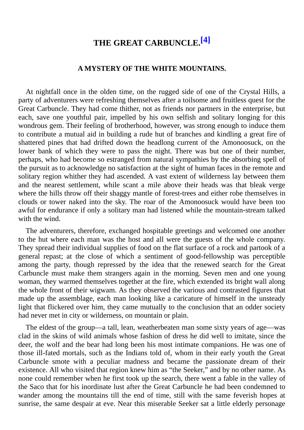# **THE GREAT CARBUNCLE. [4]**

#### **A MYSTERY OF THE WHITE MOUNTAINS.**

At nightfall once in the olden time, on the rugged side of one of the Crystal Hills, a party of adventurers were refreshing themselves after a toilsome and fruitless quest for the Great Carbuncle. They had come thither, not as friends nor partners in the enterprise, but each, save one youthful pair, impelled by his own selfish and solitary longing for this wondrous gem. Their feeling of brotherhood, however, was strong enough to induce them to contribute a mutual aid in building a rude hut of branches and kindling a great fire of shattered pines that had drifted down the headlong current of the Amonoosuck, on the lower bank of which they were to pass the night. There was but one of their number, perhaps, who had become so estranged from natural sympathies by the absorbing spell of the pursuit as to acknowledge no satisfaction at the sight of human faces in the remote and solitary region whither they had ascended. A vast extent of wilderness lay between them and the nearest settlement, while scant a mile above their heads was that bleak verge where the hills throw off their shaggy mantle of forest-trees and either robe themselves in clouds or tower naked into the sky. The roar of the Amonoosuck would have been too awful for endurance if only a solitary man had listened while the mountain-stream talked with the wind.

The adventurers, therefore, exchanged hospitable greetings and welcomed one another to the hut where each man was the host and all were the guests of the whole company. They spread their individual supplies of food on the flat surface of a rock and partook of a general repast; at the close of which a sentiment of good-fellowship was perceptible among the party, though repressed by the idea that the renewed search for the Great Carbuncle must make them strangers again in the morning. Seven men and one young woman, they warmed themselves together at the fire, which extended its bright wall along the whole front of their wigwam. As they observed the various and contrasted figures that made up the assemblage, each man looking like a caricature of himself in the unsteady light that flickered over him, they came mutually to the conclusion that an odder society had never met in city or wilderness, on mountain or plain.

The eldest of the group—a tall, lean, weatherbeaten man some sixty years of age—was clad in the skins of wild animals whose fashion of dress he did well to imitate, since the deer, the wolf and the bear had long been his most intimate companions. He was one of those ill-fated mortals, such as the Indians told of, whom in their early youth the Great Carbuncle smote with a peculiar madness and became the passionate dream of their existence. All who visited that region knew him as "the Seeker," and by no other name. As none could remember when he first took up the search, there went a fable in the valley of the Saco that for his inordinate lust after the Great Carbuncle he had been condemned to wander among the mountains till the end of time, still with the same feverish hopes at sunrise, the same despair at eve. Near this miserable Seeker sat a little elderly personage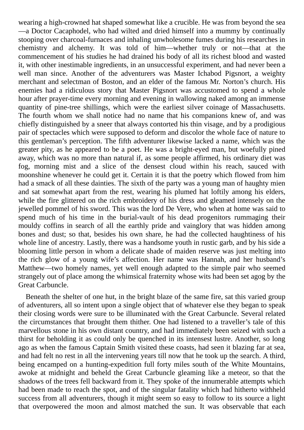wearing a high-crowned hat shaped somewhat like a crucible. He was from beyond the sea —a Doctor Cacaphodel, who had wilted and dried himself into a mummy by continually stooping over charcoal-furnaces and inhaling unwholesome fumes during his researches in chemistry and alchemy. It was told of him—whether truly or not—that at the commencement of his studies he had drained his body of all its richest blood and wasted it, with other inestimable ingredients, in an unsuccessful experiment, and had never been a well man since. Another of the adventurers was Master Ichabod Pigsnort, a weighty merchant and selectman of Boston, and an elder of the famous Mr. Norton's church. His enemies had a ridiculous story that Master Pigsnort was accustomed to spend a whole hour after prayer-time every morning and evening in wallowing naked among an immense quantity of pine-tree shillings, which were the earliest silver coinage of Massachusetts. The fourth whom we shall notice had no name that his companions knew of, and was chiefly distinguished by a sneer that always contorted his thin visage, and by a prodigious pair of spectacles which were supposed to deform and discolor the whole face of nature to this gentleman's perception. The fifth adventurer likewise lacked a name, which was the greater pity, as he appeared to be a poet. He was a bright-eyed man, but woefully pined away, which was no more than natural if, as some people affirmed, his ordinary diet was fog, morning mist and a slice of the densest cloud within his reach, sauced with moonshine whenever he could get it. Certain it is that the poetry which flowed from him had a smack of all these dainties. The sixth of the party was a young man of haughty mien and sat somewhat apart from the rest, wearing his plumed hat loftily among his elders, while the fire glittered on the rich embroidery of his dress and gleamed intensely on the jewelled pommel of his sword. This was the lord De Vere, who when at home was said to spend much of his time in the burial-vault of his dead progenitors rummaging their mouldy coffins in search of all the earthly pride and vainglory that was hidden among bones and dust; so that, besides his own share, he had the collected haughtiness of his whole line of ancestry. Lastly, there was a handsome youth in rustic garb, and by his side a blooming little person in whom a delicate shade of maiden reserve was just melting into the rich glow of a young wife's affection. Her name was Hannah, and her husband's Matthew—two homely names, yet well enough adapted to the simple pair who seemed strangely out of place among the whimsical fraternity whose wits had been set agog by the Great Carbuncle.

Beneath the shelter of one hut, in the bright blaze of the same fire, sat this varied group of adventurers, all so intent upon a single object that of whatever else they began to speak their closing words were sure to be illuminated with the Great Carbuncle. Several related the circumstances that brought them thither. One had listened to a traveller's tale of this marvellous stone in his own distant country, and had immediately been seized with such a thirst for beholding it as could only be quenched in its intensest lustre. Another, so long ago as when the famous Captain Smith visited these coasts, had seen it blazing far at sea, and had felt no rest in all the intervening years till now that he took up the search. A third, being encamped on a hunting-expedition full forty miles south of the White Mountains, awoke at midnight and beheld the Great Carbuncle gleaming like a meteor, so that the shadows of the trees fell backward from it. They spoke of the innumerable attempts which had been made to reach the spot, and of the singular fatality which had hitherto withheld success from all adventurers, though it might seem so easy to follow to its source a light that overpowered the moon and almost matched the sun. It was observable that each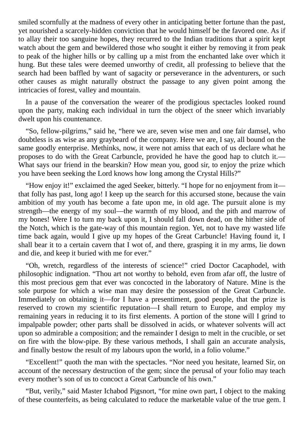smiled scornfully at the madness of every other in anticipating better fortune than the past, yet nourished a scarcely-hidden conviction that he would himself be the favored one. As if to allay their too sanguine hopes, they recurred to the Indian traditions that a spirit kept watch about the gem and bewildered those who sought it either by removing it from peak to peak of the higher hills or by calling up a mist from the enchanted lake over which it hung. But these tales were deemed unworthy of credit, all professing to believe that the search had been baffled by want of sagacity or perseverance in the adventurers, or such other causes as might naturally obstruct the passage to any given point among the intricacies of forest, valley and mountain.

In a pause of the conversation the wearer of the prodigious spectacles looked round upon the party, making each individual in turn the object of the sneer which invariably dwelt upon his countenance.

"So, fellow-pilgrims," said he, "here we are, seven wise men and one fair damsel, who doubtless is as wise as any graybeard of the company. Here we are, I say, all bound on the same goodly enterprise. Methinks, now, it were not amiss that each of us declare what he proposes to do with the Great Carbuncle, provided he have the good hap to clutch it.— What says our friend in the bearskin? How mean you, good sir, to enjoy the prize which you have been seeking the Lord knows how long among the Crystal Hills?"

"How enjoy it!" exclaimed the aged Seeker, bitterly. "I hope for no enjoyment from it that folly has past, long ago! I keep up the search for this accursed stone, because the vain ambition of my youth has become a fate upon me, in old age. The pursuit alone is my strength—the energy of my soul—the warmth of my blood, and the pith and marrow of my bones! Were I to turn my back upon it, I should fall down dead, on the hither side of the Notch, which is the gate-way of this mountain region. Yet, not to have my wasted life time back again, would I give up my hopes of the Great Carbuncle! Having found it, I shall bear it to a certain cavern that I wot of, and there, grasping it in my arms, lie down and die, and keep it buried with me for ever."

"Oh, wretch, regardless of the interests of science!" cried Doctor Cacaphodel, with philosophic indignation. "Thou art not worthy to behold, even from afar off, the lustre of this most precious gem that ever was concocted in the laboratory of Nature. Mine is the sole purpose for which a wise man may desire the possession of the Great Carbuncle. Immediately on obtaining it—for I have a presentiment, good people, that the prize is reserved to crown my scientific reputation—I shall return to Europe, and employ my remaining years in reducing it to its first elements. A portion of the stone will I grind to impalpable powder; other parts shall be dissolved in acids, or whatever solvents will act upon so admirable a composition; and the remainder I design to melt in the crucible, or set on fire with the blow-pipe. By these various methods, I shall gain an accurate analysis, and finally bestow the result of my labours upon the world, in a folio volume."

"Excellent!" quoth the man with the spectacles. "Nor need you hesitate, learned Sir, on account of the necessary destruction of the gem; since the perusal of your folio may teach every mother's son of us to concoct a Great Carbuncle of his own."

"But, verily," said Master Ichabod Pigsnort, "for mine own part, I object to the making of these counterfeits, as being calculated to reduce the marketable value of the true gem. I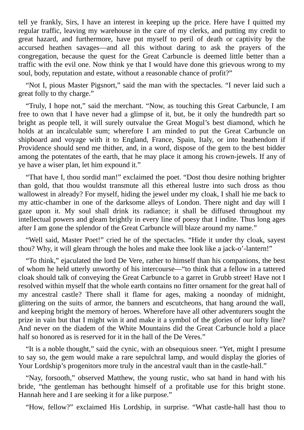tell ye frankly, Sirs, I have an interest in keeping up the price. Here have I quitted my regular traffic, leaving my warehouse in the care of my clerks, and putting my credit to great hazard, and furthermore, have put myself to peril of death or captivity by the accursed heathen savages—and all this without daring to ask the prayers of the congregation, because the quest for the Great Carbuncle is deemed little better than a traffic with the evil one. Now think ye that I would have done this grievous wrong to my soul, body, reputation and estate, without a reasonable chance of profit?"

"Not I, pious Master Pigsnort," said the man with the spectacles. "I never laid such a great folly to thy charge."

"Truly, I hope not," said the merchant. "Now, as touching this Great Carbuncle, I am free to own that I have never had a glimpse of it, but, be it only the hundredth part so bright as people tell, it will surely outvalue the Great Mogul's best diamond, which he holds at an incalculable sum; wherefore I am minded to put the Great Carbuncle on shipboard and voyage with it to England, France, Spain, Italy, or into heathendom if Providence should send me thither, and, in a word, dispose of the gem to the best bidder among the potentates of the earth, that he may place it among his crown-jewels. If any of ye have a wiser plan, let him expound it."

"That have I, thou sordid man!" exclaimed the poet. "Dost thou desire nothing brighter than gold, that thou wouldst transmute all this ethereal lustre into such dross as thou wallowest in already? For myself, hiding the jewel under my cloak, I shall hie me back to my attic-chamber in one of the darksome alleys of London. There night and day will I gaze upon it. My soul shall drink its radiance; it shall be diffused throughout my intellectual powers and gleam brightly in every line of poesy that I indite. Thus long ages after I am gone the splendor of the Great Carbuncle will blaze around my name."

"Well said, Master Poet!" cried he of the spectacles. "Hide it under thy cloak, sayest thou? Why, it will gleam through the holes and make thee look like a jack-o'-lantern!"

"To think," ejaculated the lord De Vere, rather to himself than his companions, the best of whom he held utterly unworthy of his intercourse—"to think that a fellow in a tattered cloak should talk of conveying the Great Carbuncle to a garret in Grubb street! Have not I resolved within myself that the whole earth contains no fitter ornament for the great hall of my ancestral castle? There shall it flame for ages, making a noonday of midnight, glittering on the suits of armor, the banners and escutcheons, that hang around the wall, and keeping bright the memory of heroes. Wherefore have all other adventurers sought the prize in vain but that I might win it and make it a symbol of the glories of our lofty line? And never on the diadem of the White Mountains did the Great Carbuncle hold a place half so honored as is reserved for it in the hall of the De Veres."

"It is a noble thought," said the cynic, with an obsequious sneer. "Yet, might I presume to say so, the gem would make a rare sepulchral lamp, and would display the glories of Your Lordship's progenitors more truly in the ancestral vault than in the castle-hall."

"Nay, forsooth," observed Matthew, the young rustic, who sat hand in hand with his bride, "the gentleman has bethought himself of a profitable use for this bright stone. Hannah here and I are seeking it for a like purpose."

"How, fellow?" exclaimed His Lordship, in surprise. "What castle-hall hast thou to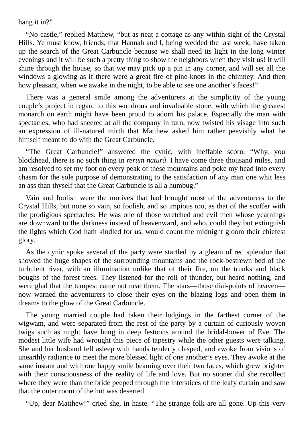hang it in?"

"No castle," replied Matthew, "but as neat a cottage as any within sight of the Crystal Hills. Ye must know, friends, that Hannah and I, being wedded the last week, have taken up the search of the Great Carbuncle because we shall need its light in the long winter evenings and it will be such a pretty thing to show the neighbors when they visit us! It will shine through the house, so that we may pick up a pin in any corner, and will set all the windows a-glowing as if there were a great fire of pine-knots in the chimney. And then how pleasant, when we awake in the night, to be able to see one another's faces!"

There was a general smile among the adventurers at the simplicity of the young couple's project in regard to this wondrous and invaluable stone, with which the greatest monarch on earth might have been proud to adorn his palace. Especially the man with spectacles, who had sneered at all the company in turn, now twisted his visage into such an expression of ill-natured mirth that Matthew asked him rather peevishly what he himself meant to do with the Great Carbuncle.

"The Great Carbuncle!" answered the cynic, with ineffable scorn. "Why, you blockhead, there is no such thing in *rerum naturâ*. I have come three thousand miles, and am resolved to set my foot on every peak of these mountains and poke my head into every chasm for the sole purpose of demonstrating to the satisfaction of any man one whit less an ass than thyself that the Great Carbuncle is all a humbug."

Vain and foolish were the motives that had brought most of the adventurers to the Crystal Hills, but none so vain, so foolish, and so impious too, as that of the scoffer with the prodigious spectacles. He was one of those wretched and evil men whose yearnings are downward to the darkness instead of heavenward, and who, could they but extinguish the lights which God hath kindled for us, would count the midnight gloom their chiefest glory.

As the cynic spoke several of the party were startled by a gleam of red splendor that showed the huge shapes of the surrounding mountains and the rock-bestrewn bed of the turbulent river, with an illumination unlike that of their fire, on the trunks and black boughs of the forest-trees. They listened for the roll of thunder, but heard nothing, and were glad that the tempest came not near them. The stars—those dial-points of heaven now warned the adventurers to close their eyes on the blazing logs and open them in dreams to the glow of the Great Carbuncle.

The young married couple had taken their lodgings in the farthest corner of the wigwam, and were separated from the rest of the party by a curtain of curiously-woven twigs such as might have hung in deep festoons around the bridal-bower of Eve. The modest little wife had wrought this piece of tapestry while the other guests were talking. She and her husband fell asleep with hands tenderly clasped, and awoke from visions of unearthly radiance to meet the more blessed light of one another's eyes. They awoke at the same instant and with one happy smile beaming over their two faces, which grew brighter with their consciousness of the reality of life and love. But no sooner did she recollect where they were than the bride peeped through the interstices of the leafy curtain and saw that the outer room of the hut was deserted.

"Up, dear Matthew!" cried she, in haste. "The strange folk are all gone. Up this very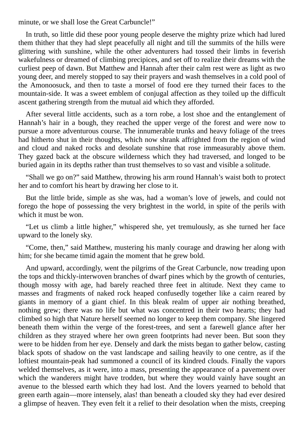minute, or we shall lose the Great Carbuncle!"

In truth, so little did these poor young people deserve the mighty prize which had lured them thither that they had slept peacefully all night and till the summits of the hills were glittering with sunshine, while the other adventurers had tossed their limbs in feverish wakefulness or dreamed of climbing precipices, and set off to realize their dreams with the curliest peep of dawn. But Matthew and Hannah after their calm rest were as light as two young deer, and merely stopped to say their prayers and wash themselves in a cold pool of the Amonoosuck, and then to taste a morsel of food ere they turned their faces to the mountain-side. It was a sweet emblem of conjugal affection as they toiled up the difficult ascent gathering strength from the mutual aid which they afforded.

After several little accidents, such as a torn robe, a lost shoe and the entanglement of Hannah's hair in a bough, they reached the upper verge of the forest and were now to pursue a more adventurous course. The innumerable trunks and heavy foliage of the trees had hitherto shut in their thoughts, which now shrank affrighted from the region of wind and cloud and naked rocks and desolate sunshine that rose immeasurably above them. They gazed back at the obscure wilderness which they had traversed, and longed to be buried again in its depths rather than trust themselves to so vast and visible a solitude.

"Shall we go on?" said Matthew, throwing his arm round Hannah's waist both to protect her and to comfort his heart by drawing her close to it.

But the little bride, simple as she was, had a woman's love of jewels, and could not forego the hope of possessing the very brightest in the world, in spite of the perils with which it must be won.

"Let us climb a little higher," whispered she, yet tremulously, as she turned her face upward to the lonely sky.

"Come, then," said Matthew, mustering his manly courage and drawing her along with him; for she became timid again the moment that he grew bold.

And upward, accordingly, went the pilgrims of the Great Carbuncle, now treading upon the tops and thickly-interwoven branches of dwarf pines which by the growth of centuries, though mossy with age, had barely reached three feet in altitude. Next they came to masses and fragments of naked rock heaped confusedly together like a cairn reared by giants in memory of a giant chief. In this bleak realm of upper air nothing breathed, nothing grew; there was no life but what was concentred in their two hearts; they had climbed so high that Nature herself seemed no longer to keep them company. She lingered beneath them within the verge of the forest-trees, and sent a farewell glance after her children as they strayed where her own green footprints had never been. But soon they were to be hidden from her eye. Densely and dark the mists began to gather below, casting black spots of shadow on the vast landscape and sailing heavily to one centre, as if the loftiest mountain-peak had summoned a council of its kindred clouds. Finally the vapors welded themselves, as it were, into a mass, presenting the appearance of a pavement over which the wanderers might have trodden, but where they would vainly have sought an avenue to the blessed earth which they had lost. And the lovers yearned to behold that green earth again—more intensely, alas! than beneath a clouded sky they had ever desired a glimpse of heaven. They even felt it a relief to their desolation when the mists, creeping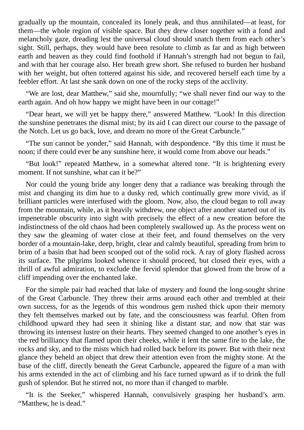gradually up the mountain, concealed its lonely peak, and thus annihilated—at least, for them—the whole region of visible space. But they drew closer together with a fond and melancholy gaze, dreading lest the universal cloud should snatch them from each other's sight. Still, perhaps, they would have been resolute to climb as far and as high between earth and heaven as they could find foothold if Hannah's strength had not begun to fail, and with that her courage also. Her breath grew short. She refused to burden her husband with her weight, but often tottered against his side, and recovered herself each time by a feebler effort. At last she sank down on one of the rocky steps of the acclivity.

"We are lost, dear Matthew," said she, mournfully; "we shall never find our way to the earth again. And oh how happy we might have been in our cottage!"

"Dear heart, we will yet be happy there," answered Matthew. "Look! In this direction the sunshine penetrates the dismal mist; by its aid I can direct our course to the passage of the Notch. Let us go back, love, and dream no more of the Great Carbuncle."

"The sun cannot be yonder," said Hannah, with despondence. "By this time it must be noon; if there could ever be any sunshine here, it would come from above our heads."

"But look!" repeated Matthew, in a somewhat altered tone. "It is brightening every moment. If not sunshine, what can it be?"

Nor could the young bride any longer deny that a radiance was breaking through the mist and changing its dim hue to a dusky red, which continually grew more vivid, as if brilliant particles were interfused with the gloom. Now, also, the cloud began to roll away from the mountain, while, as it heavily withdrew, one object after another started out of its impenetrable obscurity into sight with precisely the effect of a new creation before the indistinctness of the old chaos had been completely swallowed up. As the process went on they saw the gleaming of water close at their feet, and found themselves on the very border of a mountain-lake, deep, bright, clear and calmly beautiful, spreading from brim to brim of a basin that had been scooped out of the solid rock. A ray of glory flashed across its surface. The pilgrims looked whence it should proceed, but closed their eyes, with a thrill of awful admiration, to exclude the fervid splendor that glowed from the brow of a cliff impending over the enchanted lake.

For the simple pair had reached that lake of mystery and found the long-sought shrine of the Great Carbuncle. They threw their arms around each other and trembled at their own success, for as the legends of this wondrous gem rushed thick upon their memory they felt themselves marked out by fate, and the consciousness was fearful. Often from childhood upward they had seen it shining like a distant star, and now that star was throwing its intensest lustre on their hearts. They seemed changed to one another's eyes in the red brilliancy that flamed upon their cheeks, while it lent the same fire to the lake, the rocks and sky, and to the mists which had rolled back before its power. But with their next glance they beheld an object that drew their attention even from the mighty stone. At the base of the cliff, directly beneath the Great Carbuncle, appeared the figure of a man with his arms extended in the act of climbing and his face turned upward as if to drink the full gush of splendor. But he stirred not, no more than if changed to marble.

"It is the Seeker," whispered Hannah, convulsively grasping her husband's arm. "Matthew, he is dead."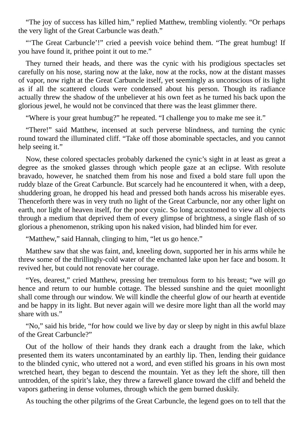"The joy of success has killed him," replied Matthew, trembling violently. "Or perhaps the very light of the Great Carbuncle was death."

"'The Great Carbuncle'!" cried a peevish voice behind them. "The great humbug! If you have found it, prithee point it out to me."

They turned their heads, and there was the cynic with his prodigious spectacles set carefully on his nose, staring now at the lake, now at the rocks, now at the distant masses of vapor, now right at the Great Carbuncle itself, yet seemingly as unconscious of its light as if all the scattered clouds were condensed about his person. Though its radiance actually threw the shadow of the unbeliever at his own feet as he turned his back upon the glorious jewel, he would not be convinced that there was the least glimmer there.

"Where is your great humbug?" he repeated. "I challenge you to make me see it."

"There!" said Matthew, incensed at such perverse blindness, and turning the cynic round toward the illuminated cliff. "Take off those abominable spectacles, and you cannot help seeing it."

Now, these colored spectacles probably darkened the cynic's sight in at least as great a degree as the smoked glasses through which people gaze at an eclipse. With resolute bravado, however, he snatched them from his nose and fixed a bold stare full upon the ruddy blaze of the Great Carbuncle. But scarcely had he encountered it when, with a deep, shuddering groan, he dropped his head and pressed both hands across his miserable eyes. Thenceforth there was in very truth no light of the Great Carbuncle, nor any other light on earth, nor light of heaven itself, for the poor cynic. So long accustomed to view all objects through a medium that deprived them of every glimpse of brightness, a single flash of so glorious a phenomenon, striking upon his naked vision, had blinded him for ever.

"Matthew," said Hannah, clinging to him, "let us go hence."

Matthew saw that she was faint, and, kneeling down, supported her in his arms while he threw some of the thrillingly-cold water of the enchanted lake upon her face and bosom. It revived her, but could not renovate her courage.

"Yes, dearest," cried Matthew, pressing her tremulous form to his breast; "we will go hence and return to our humble cottage. The blessed sunshine and the quiet moonlight shall come through our window. We will kindle the cheerful glow of our hearth at eventide and be happy in its light. But never again will we desire more light than all the world may share with us."

"No," said his bride, "for how could we live by day or sleep by night in this awful blaze of the Great Carbuncle?"

Out of the hollow of their hands they drank each a draught from the lake, which presented them its waters uncontaminated by an earthly lip. Then, lending their guidance to the blinded cynic, who uttered not a word, and even stifled his groans in his own most wretched heart, they began to descend the mountain. Yet as they left the shore, till then untrodden, of the spirit's lake, they threw a farewell glance toward the cliff and beheld the vapors gathering in dense volumes, through which the gem burned duskily.

As touching the other pilgrims of the Great Carbuncle, the legend goes on to tell that the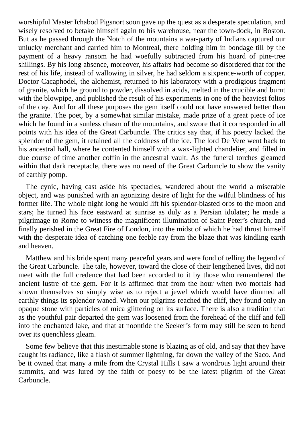worshipful Master Ichabod Pigsnort soon gave up the quest as a desperate speculation, and wisely resolved to betake himself again to his warehouse, near the town-dock, in Boston. But as he passed through the Notch of the mountains a war-party of Indians captured our unlucky merchant and carried him to Montreal, there holding him in bondage till by the payment of a heavy ransom he had woefully subtracted from his hoard of pine-tree shillings. By his long absence, moreover, his affairs had become so disordered that for the rest of his life, instead of wallowing in silver, he had seldom a sixpence-worth of copper. Doctor Cacaphodel, the alchemist, returned to his laboratory with a prodigious fragment of granite, which he ground to powder, dissolved in acids, melted in the crucible and burnt with the blowpipe, and published the result of his experiments in one of the heaviest folios of the day. And for all these purposes the gem itself could not have answered better than the granite. The poet, by a somewhat similar mistake, made prize of a great piece of ice which he found in a sunless chasm of the mountains, and swore that it corresponded in all points with his idea of the Great Carbuncle. The critics say that, if his poetry lacked the splendor of the gem, it retained all the coldness of the ice. The lord De Vere went back to his ancestral hall, where he contented himself with a wax-lighted chandelier, and filled in due course of time another coffin in the ancestral vault. As the funeral torches gleamed within that dark receptacle, there was no need of the Great Carbuncle to show the vanity of earthly pomp.

The cynic, having cast aside his spectacles, wandered about the world a miserable object, and was punished with an agonizing desire of light for the wilful blindness of his former life. The whole night long he would lift his splendor-blasted orbs to the moon and stars; he turned his face eastward at sunrise as duly as a Persian idolater; he made a pilgrimage to Rome to witness the magnificent illumination of Saint Peter's church, and finally perished in the Great Fire of London, into the midst of which he had thrust himself with the desperate idea of catching one feeble ray from the blaze that was kindling earth and heaven.

Matthew and his bride spent many peaceful years and were fond of telling the legend of the Great Carbuncle. The tale, however, toward the close of their lengthened lives, did not meet with the full credence that had been accorded to it by those who remembered the ancient lustre of the gem. For it is affirmed that from the hour when two mortals had shown themselves so simply wise as to reject a jewel which would have dimmed all earthly things its splendor waned. When our pilgrims reached the cliff, they found only an opaque stone with particles of mica glittering on its surface. There is also a tradition that as the youthful pair departed the gem was loosened from the forehead of the cliff and fell into the enchanted lake, and that at noontide the Seeker's form may still be seen to bend over its quenchless gleam.

Some few believe that this inestimable stone is blazing as of old, and say that they have caught its radiance, like a flash of summer lightning, far down the valley of the Saco. And be it owned that many a mile from the Crystal Hills I saw a wondrous light around their summits, and was lured by the faith of poesy to be the latest pilgrim of the Great Carbuncle.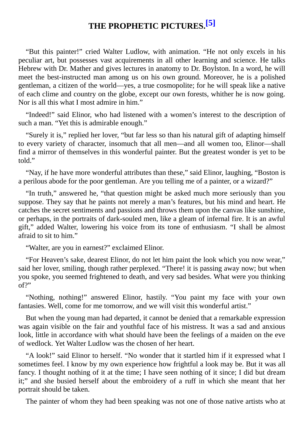# **THE PROPHETIC PICTURES. [5]**

"But this painter!" cried Walter Ludlow, with animation. "He not only excels in his peculiar art, but possesses vast acquirements in all other learning and science. He talks Hebrew with Dr. Mather and gives lectures in anatomy to Dr. Boylston. In a word, he will meet the best-instructed man among us on his own ground. Moreover, he is a polished gentleman, a citizen of the world—yes, a true cosmopolite; for he will speak like a native of each clime and country on the globe, except our own forests, whither he is now going. Nor is all this what I most admire in him."

"Indeed!" said Elinor, who had listened with a women's interest to the description of such a man. "Yet this is admirable enough."

"Surely it is," replied her lover, "but far less so than his natural gift of adapting himself to every variety of character, insomuch that all men—and all women too, Elinor—shall find a mirror of themselves in this wonderful painter. But the greatest wonder is yet to be told."

"Nay, if he have more wonderful attributes than these," said Elinor, laughing, "Boston is a perilous abode for the poor gentleman. Are you telling me of a painter, or a wizard?"

"In truth," answered he, "that question might be asked much more seriously than you suppose. They say that he paints not merely a man's features, but his mind and heart. He catches the secret sentiments and passions and throws them upon the canvas like sunshine, or perhaps, in the portraits of dark-souled men, like a gleam of infernal fire. It is an awful gift," added Walter, lowering his voice from its tone of enthusiasm. "I shall be almost afraid to sit to him."

"Walter, are you in earnest?" exclaimed Elinor.

"For Heaven's sake, dearest Elinor, do not let him paint the look which you now wear," said her lover, smiling, though rather perplexed. "There! it is passing away now; but when you spoke, you seemed frightened to death, and very sad besides. What were you thinking of?"

"Nothing, nothing!" answered Elinor, hastily. "You paint my face with your own fantasies. Well, come for me tomorrow, and we will visit this wonderful artist."

But when the young man had departed, it cannot be denied that a remarkable expression was again visible on the fair and youthful face of his mistress. It was a sad and anxious look, little in accordance with what should have been the feelings of a maiden on the eve of wedlock. Yet Walter Ludlow was the chosen of her heart.

"A look!" said Elinor to herself. "No wonder that it startled him if it expressed what I sometimes feel. I know by my own experience how frightful a look may be. But it was all fancy. I thought nothing of it at the time; I have seen nothing of it since; I did but dream it;" and she busied herself about the embroidery of a ruff in which she meant that her portrait should be taken.

The painter of whom they had been speaking was not one of those native artists who at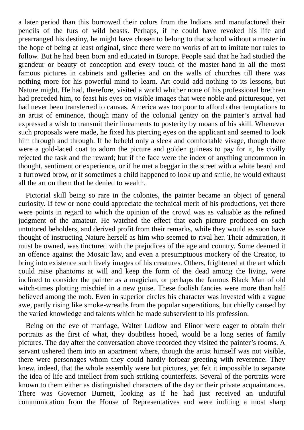a later period than this borrowed their colors from the Indians and manufactured their pencils of the furs of wild beasts. Perhaps, if he could have revoked his life and prearranged his destiny, he might have chosen to belong to that school without a master in the hope of being at least original, since there were no works of art to imitate nor rules to follow. But he had been born and educated in Europe. People said that he had studied the grandeur or beauty of conception and every touch of the master-hand in all the most famous pictures in cabinets and galleries and on the walls of churches till there was nothing more for his powerful mind to learn. Art could add nothing to its lessons, but Nature might. He had, therefore, visited a world whither none of his professional brethren had preceded him, to feast his eyes on visible images that were noble and picturesque, yet had never been transferred to canvas. America was too poor to afford other temptations to an artist of eminence, though many of the colonial gentry on the painter's arrival had expressed a wish to transmit their lineaments to posterity by moans of his skill. Whenever such proposals were made, he fixed his piercing eyes on the applicant and seemed to look him through and through. If he beheld only a sleek and comfortable visage, though there were a gold-laced coat to adorn the picture and golden guineas to pay for it, he civilly rejected the task and the reward; but if the face were the index of anything uncommon in thought, sentiment or experience, or if he met a beggar in the street with a white beard and a furrowed brow, or if sometimes a child happened to look up and smile, he would exhaust all the art on them that he denied to wealth.

Pictorial skill being so rare in the colonies, the painter became an object of general curiosity. If few or none could appreciate the technical merit of his productions, yet there were points in regard to which the opinion of the crowd was as valuable as the refined judgment of the amateur. He watched the effect that each picture produced on such untutored beholders, and derived profit from their remarks, while they would as soon have thought of instructing Nature herself as him who seemed to rival her. Their admiration, it must be owned, was tinctured with the prejudices of the age and country. Some deemed it an offence against the Mosaic law, and even a presumptuous mockery of the Creator, to bring into existence such lively images of his creatures. Others, frightened at the art which could raise phantoms at will and keep the form of the dead among the living, were inclined to consider the painter as a magician, or perhaps the famous Black Man of old witch-times plotting mischief in a new guise. These foolish fancies were more than half believed among the mob. Even in superior circles his character was invested with a vague awe, partly rising like smoke-wreaths from the popular superstitions, but chiefly caused by the varied knowledge and talents which he made subservient to his profession.

Being on the eve of marriage, Walter Ludlow and Elinor were eager to obtain their portraits as the first of what, they doubtless hoped, would be a long series of family pictures. The day after the conversation above recorded they visited the painter's rooms. A servant ushered them into an apartment where, though the artist himself was not visible, there were personages whom they could hardly forbear greeting with reverence. They knew, indeed, that the whole assembly were but pictures, yet felt it impossible to separate the idea of life and intellect from such striking counterfeits. Several of the portraits were known to them either as distinguished characters of the day or their private acquaintances. There was Governor Burnett, looking as if he had just received an undutiful communication from the House of Representatives and were inditing a most sharp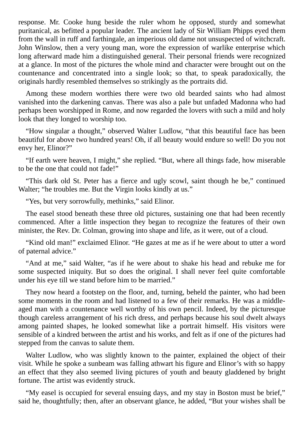response. Mr. Cooke hung beside the ruler whom he opposed, sturdy and somewhat puritanical, as befitted a popular leader. The ancient lady of Sir William Phipps eyed them from the wall in ruff and farthingale, an imperious old dame not unsuspected of witchcraft. John Winslow, then a very young man, wore the expression of warlike enterprise which long afterward made him a distinguished general. Their personal friends were recognized at a glance. In most of the pictures the whole mind and character were brought out on the countenance and concentrated into a single look; so that, to speak paradoxically, the originals hardly resembled themselves so strikingly as the portraits did.

Among these modern worthies there were two old bearded saints who had almost vanished into the darkening canvas. There was also a pale but unfaded Madonna who had perhaps been worshipped in Rome, and now regarded the lovers with such a mild and holy look that they longed to worship too.

"How singular a thought," observed Walter Ludlow, "that this beautiful face has been beautiful for above two hundred years! Oh, if all beauty would endure so well! Do you not envy her, Elinor?"

"If earth were heaven, I might," she replied. "But, where all things fade, how miserable to be the one that could not fade!"

"This dark old St. Peter has a fierce and ugly scowl, saint though he be," continued Walter; "he troubles me. But the Virgin looks kindly at us."

"Yes, but very sorrowfully, methinks," said Elinor.

The easel stood beneath these three old pictures, sustaining one that had been recently commenced. After a little inspection they began to recognize the features of their own minister, the Rev. Dr. Colman, growing into shape and life, as it were, out of a cloud.

"Kind old man!" exclaimed Elinor. "He gazes at me as if he were about to utter a word of paternal advice."

"And at me," said Walter, "as if he were about to shake his head and rebuke me for some suspected iniquity. But so does the original. I shall never feel quite comfortable under his eye till we stand before him to be married."

They now heard a footstep on the floor, and, turning, beheld the painter, who had been some moments in the room and had listened to a few of their remarks. He was a middleaged man with a countenance well worthy of his own pencil. Indeed, by the picturesque though careless arrangement of his rich dress, and perhaps because his soul dwelt always among painted shapes, he looked somewhat like a portrait himself. His visitors were sensible of a kindred between the artist and his works, and felt as if one of the pictures had stepped from the canvas to salute them.

Walter Ludlow, who was slightly known to the painter, explained the object of their visit. While he spoke a sunbeam was falling athwart his figure and Elinor's with so happy an effect that they also seemed living pictures of youth and beauty gladdened by bright fortune. The artist was evidently struck.

"My easel is occupied for several ensuing days, and my stay in Boston must be brief," said he, thoughtfully; then, after an observant glance, he added, "But your wishes shall be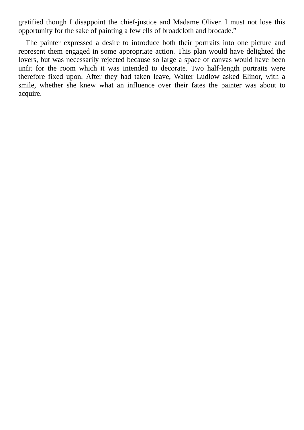gratified though I disappoint the chief-justice and Madame Oliver. I must not lose this opportunity for the sake of painting a few ells of broadcloth and brocade."

The painter expressed a desire to introduce both their portraits into one picture and represent them engaged in some appropriate action. This plan would have delighted the lovers, but was necessarily rejected because so large a space of canvas would have been unfit for the room which it was intended to decorate. Two half-length portraits were therefore fixed upon. After they had taken leave, Walter Ludlow asked Elinor, with a smile, whether she knew what an influence over their fates the painter was about to acquire.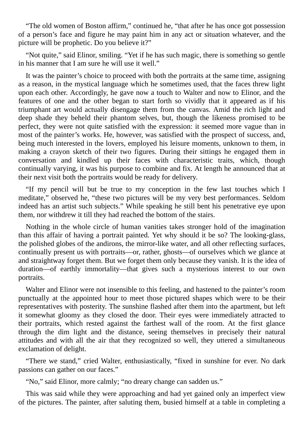"The old women of Boston affirm," continued he, "that after he has once got possession of a person's face and figure he may paint him in any act or situation whatever, and the picture will be prophetic. Do you believe it?"

"Not quite," said Elinor, smiling. "Yet if he has such magic, there is something so gentle in his manner that I am sure he will use it well."

It was the painter's choice to proceed with both the portraits at the same time, assigning as a reason, in the mystical language which he sometimes used, that the faces threw light upon each other. Accordingly, he gave now a touch to Walter and now to Elinor, and the features of one and the other began to start forth so vividly that it appeared as if his triumphant art would actually disengage them from the canvas. Amid the rich light and deep shade they beheld their phantom selves, but, though the likeness promised to be perfect, they were not quite satisfied with the expression: it seemed more vague than in most of the painter's works. He, however, was satisfied with the prospect of success, and, being much interested in the lovers, employed his leisure moments, unknown to them, in making a crayon sketch of their two figures. During their sittings he engaged them in conversation and kindled up their faces with characteristic traits, which, though continually varying, it was his purpose to combine and fix. At length he announced that at their next visit both the portraits would be ready for delivery.

"If my pencil will but be true to my conception in the few last touches which I meditate," observed he, "these two pictures will be my very best performances. Seldom indeed has an artist such subjects." While speaking he still bent his penetrative eye upon them, nor withdrew it till they had reached the bottom of the stairs.

Nothing in the whole circle of human vanities takes stronger hold of the imagination than this affair of having a portrait painted. Yet why should it be so? The looking-glass, the polished globes of the andirons, the mirror-like water, and all other reflecting surfaces, continually present us with portraits—or, rather, ghosts—of ourselves which we glance at and straightway forget them. But we forget them only because they vanish. It is the idea of duration—of earthly immortality—that gives such a mysterious interest to our own portraits.

Walter and Elinor were not insensible to this feeling, and hastened to the painter's room punctually at the appointed hour to meet those pictured shapes which were to be their representatives with posterity. The sunshine flashed after them into the apartment, but left it somewhat gloomy as they closed the door. Their eyes were immediately attracted to their portraits, which rested against the farthest wall of the room. At the first glance through the dim light and the distance, seeing themselves in precisely their natural attitudes and with all the air that they recognized so well, they uttered a simultaneous exclamation of delight.

"There we stand," cried Walter, enthusiastically, "fixed in sunshine for ever. No dark passions can gather on our faces."

"No," said Elinor, more calmly; "no dreary change can sadden us."

This was said while they were approaching and had yet gained only an imperfect view of the pictures. The painter, after saluting them, busied himself at a table in completing a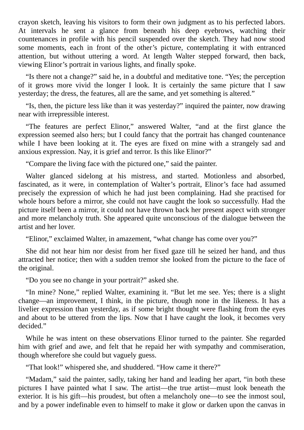crayon sketch, leaving his visitors to form their own judgment as to his perfected labors. At intervals he sent a glance from beneath his deep eyebrows, watching their countenances in profile with his pencil suspended over the sketch. They had now stood some moments, each in front of the other's picture, contemplating it with entranced attention, but without uttering a word. At length Walter stepped forward, then back, viewing Elinor's portrait in various lights, and finally spoke.

"Is there not a change?" said he, in a doubtful and meditative tone. "Yes; the perception of it grows more vivid the longer I look. It is certainly the same picture that I saw yesterday; the dress, the features, all are the same, and yet something is altered."

"Is, then, the picture less like than it was yesterday?" inquired the painter, now drawing near with irrepressible interest.

"The features are perfect Elinor," answered Walter, "and at the first glance the expression seemed also hers; but I could fancy that the portrait has changed countenance while I have been looking at it. The eyes are fixed on mine with a strangely sad and anxious expression. Nay, it is grief and terror. Is this like Elinor?"

"Compare the living face with the pictured one," said the painter.

Walter glanced sidelong at his mistress, and started. Motionless and absorbed, fascinated, as it were, in contemplation of Walter's portrait, Elinor's face had assumed precisely the expression of which he had just been complaining. Had she practised for whole hours before a mirror, she could not have caught the look so successfully. Had the picture itself been a mirror, it could not have thrown back her present aspect with stronger and more melancholy truth. She appeared quite unconscious of the dialogue between the artist and her lover.

"Elinor," exclaimed Walter, in amazement, "what change has come over you?"

She did not hear him nor desist from her fixed gaze till he seized her hand, and thus attracted her notice; then with a sudden tremor she looked from the picture to the face of the original.

"Do you see no change in your portrait?" asked she.

"In mine? None," replied Walter, examining it. "But let me see. Yes; there is a slight change—an improvement, I think, in the picture, though none in the likeness. It has a livelier expression than yesterday, as if some bright thought were flashing from the eyes and about to be uttered from the lips. Now that I have caught the look, it becomes very decided."

While he was intent on these observations Elinor turned to the painter. She regarded him with grief and awe, and felt that he repaid her with sympathy and commiseration, though wherefore she could but vaguely guess.

"That look!" whispered she, and shuddered. "How came it there?"

"Madam," said the painter, sadly, taking her hand and leading her apart, "in both these pictures I have painted what I saw. The artist—the true artist—must look beneath the exterior. It is his gift—his proudest, but often a melancholy one—to see the inmost soul, and by a power indefinable even to himself to make it glow or darken upon the canvas in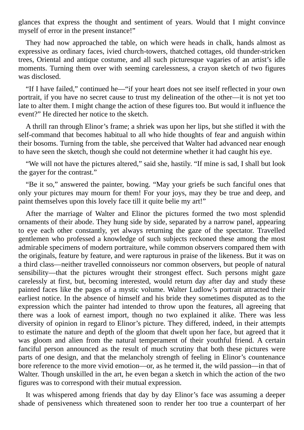glances that express the thought and sentiment of years. Would that I might convince myself of error in the present instance!"

They had now approached the table, on which were heads in chalk, hands almost as expressive as ordinary faces, ivied church-towers, thatched cottages, old thunder-stricken trees, Oriental and antique costume, and all such picturesque vagaries of an artist's idle moments. Turning them over with seeming carelessness, a crayon sketch of two figures was disclosed.

"If I have failed," continued he—"if your heart does not see itself reflected in your own portrait, if you have no secret cause to trust my delineation of the other—it is not yet too late to alter them. I might change the action of these figures too. But would it influence the event?" He directed her notice to the sketch.

A thrill ran through Elinor's frame; a shriek was upon her lips, but she stifled it with the self-command that becomes habitual to all who hide thoughts of fear and anguish within their bosoms. Turning from the table, she perceived that Walter had advanced near enough to have seen the sketch, though she could not determine whether it had caught his eye.

"We will not have the pictures altered," said she, hastily. "If mine is sad, I shall but look the gayer for the contrast."

"Be it so," answered the painter, bowing. "May your griefs be such fanciful ones that only your pictures may mourn for them! For your joys, may they be true and deep, and paint themselves upon this lovely face till it quite belie my art!"

After the marriage of Walter and Elinor the pictures formed the two most splendid ornaments of their abode. They hung side by side, separated by a narrow panel, appearing to eye each other constantly, yet always returning the gaze of the spectator. Travelled gentlemen who professed a knowledge of such subjects reckoned these among the most admirable specimens of modern portraiture, while common observers compared them with the originals, feature by feature, and were rapturous in praise of the likeness. But it was on a third class—neither travelled connoisseurs nor common observers, but people of natural sensibility—that the pictures wrought their strongest effect. Such persons might gaze carelessly at first, but, becoming interested, would return day after day and study these painted faces like the pages of a mystic volume. Walter Ludlow's portrait attracted their earliest notice. In the absence of himself and his bride they sometimes disputed as to the expression which the painter had intended to throw upon the features, all agreeing that there was a look of earnest import, though no two explained it alike. There was less diversity of opinion in regard to Elinor's picture. They differed, indeed, in their attempts to estimate the nature and depth of the gloom that dwelt upon her face, but agreed that it was gloom and alien from the natural temperament of their youthful friend. A certain fanciful person announced as the result of much scrutiny that both these pictures were parts of one design, and that the melancholy strength of feeling in Elinor's countenance bore reference to the more vivid emotion—or, as he termed it, the wild passion—in that of Walter. Though unskilled in the art, he even began a sketch in which the action of the two figures was to correspond with their mutual expression.

It was whispered among friends that day by day Elinor's face was assuming a deeper shade of pensiveness which threatened soon to render her too true a counterpart of her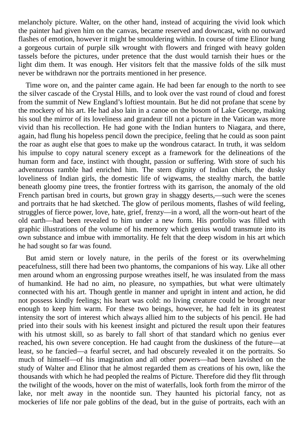melancholy picture. Walter, on the other hand, instead of acquiring the vivid look which the painter had given him on the canvas, became reserved and downcast, with no outward flashes of emotion, however it might be smouldering within. In course of time Elinor hung a gorgeous curtain of purple silk wrought with flowers and fringed with heavy golden tassels before the pictures, under pretence that the dust would tarnish their hues or the light dim them. It was enough. Her visitors felt that the massive folds of the silk must never be withdrawn nor the portraits mentioned in her presence.

Time wore on, and the painter came again. He had been far enough to the north to see the silver cascade of the Crystal Hills, and to look over the vast round of cloud and forest from the summit of New England's loftiest mountain. But he did not profane that scene by the mockery of his art. He had also lain in a canoe on the bosom of Lake George, making his soul the mirror of its loveliness and grandeur till not a picture in the Vatican was more vivid than his recollection. He had gone with the Indian hunters to Niagara, and there, again, had flung his hopeless pencil down the precipice, feeling that he could as soon paint the roar as aught else that goes to make up the wondrous cataract. In truth, it was seldom his impulse to copy natural scenery except as a framework for the delineations of the human form and face, instinct with thought, passion or suffering. With store of such his adventurous ramble had enriched him. The stern dignity of Indian chiefs, the dusky loveliness of Indian girls, the domestic life of wigwams, the stealthy march, the battle beneath gloomy pine trees, the frontier fortress with its garrison, the anomaly of the old French partisan bred in courts, but grown gray in shaggy deserts,—such were the scenes and portraits that he had sketched. The glow of perilous moments, flashes of wild feeling, struggles of fierce power, love, hate, grief, frenzy—in a word, all the worn-out heart of the old earth—had been revealed to him under a new form. His portfolio was filled with graphic illustrations of the volume of his memory which genius would transmute into its own substance and imbue with immortality. He felt that the deep wisdom in his art which he had sought so far was found.

But amid stern or lovely nature, in the perils of the forest or its overwhelming peacefulness, still there had been two phantoms, the companions of his way. Like all other men around whom an engrossing purpose wreathes itself, he was insulated from the mass of humankind. He had no aim, no pleasure, no sympathies, but what were ultimately connected with his art. Though gentle in manner and upright in intent and action, he did not possess kindly feelings; his heart was cold: no living creature could be brought near enough to keep him warm. For these two beings, however, he had felt in its greatest intensity the sort of interest which always allied him to the subjects of his pencil. He had pried into their souls with his keenest insight and pictured the result upon their features with his utmost skill, so as barely to fall short of that standard which no genius ever reached, his own severe conception. He had caught from the duskiness of the future—at least, so he fancied—a fearful secret, and had obscurely revealed it on the portraits. So much of himself—of his imagination and all other powers—had been lavished on the study of Walter and Elinor that he almost regarded them as creations of his own, like the thousands with which he had peopled the realms of Picture. Therefore did they flit through the twilight of the woods, hover on the mist of waterfalls, look forth from the mirror of the lake, nor melt away in the noontide sun. They haunted his pictorial fancy, not as mockeries of life nor pale goblins of the dead, but in the guise of portraits, each with an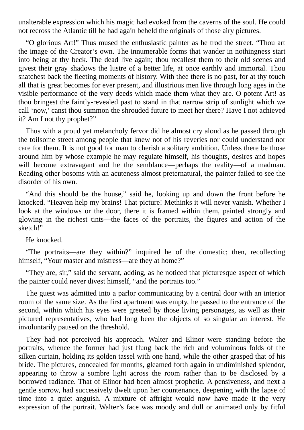unalterable expression which his magic had evoked from the caverns of the soul. He could not recross the Atlantic till he had again beheld the originals of those airy pictures.

"O glorious Art!" Thus mused the enthusiastic painter as he trod the street. "Thou art the image of the Creator's own. The innumerable forms that wander in nothingness start into being at thy beck. The dead live again; thou recallest them to their old scenes and givest their gray shadows the lustre of a better life, at once earthly and immortal. Thou snatchest back the fleeting moments of history. With thee there is no past, for at thy touch all that is great becomes for ever present, and illustrious men live through long ages in the visible performance of the very deeds which made them what they are. O potent Art! as thou bringest the faintly-revealed past to stand in that narrow strip of sunlight which we call 'now,' canst thou summon the shrouded future to meet her there? Have I not achieved it? Am I not thy prophet?"

Thus with a proud yet melancholy fervor did he almost cry aloud as he passed through the toilsome street among people that knew not of his reveries nor could understand nor care for them. It is not good for man to cherish a solitary ambition. Unless there be those around him by whose example he may regulate himself, his thoughts, desires and hopes will become extravagant and he the semblance—perhaps the reality—of a madman. Reading other bosoms with an acuteness almost preternatural, the painter failed to see the disorder of his own.

"And this should be the house," said he, looking up and down the front before he knocked. "Heaven help my brains! That picture! Methinks it will never vanish. Whether I look at the windows or the door, there it is framed within them, painted strongly and glowing in the richest tints—the faces of the portraits, the figures and action of the sketch!"

He knocked.

"The portraits—are they within?" inquired he of the domestic; then, recollecting himself, "Your master and mistress—are they at home?"

"They are, sir," said the servant, adding, as he noticed that picturesque aspect of which the painter could never divest himself, "and the portraits too."

The guest was admitted into a parlor communicating by a central door with an interior room of the same size. As the first apartment was empty, he passed to the entrance of the second, within which his eyes were greeted by those living personages, as well as their pictured representatives, who had long been the objects of so singular an interest. He involuntarily paused on the threshold.

They had not perceived his approach. Walter and Elinor were standing before the portraits, whence the former had just flung back the rich and voluminous folds of the silken curtain, holding its golden tassel with one hand, while the other grasped that of his bride. The pictures, concealed for months, gleamed forth again in undiminished splendor, appearing to throw a sombre light across the room rather than to be disclosed by a borrowed radiance. That of Elinor had been almost prophetic. A pensiveness, and next a gentle sorrow, had successively dwelt upon her countenance, deepening with the lapse of time into a quiet anguish. A mixture of affright would now have made it the very expression of the portrait. Walter's face was moody and dull or animated only by fitful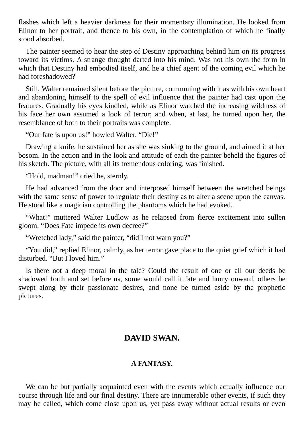flashes which left a heavier darkness for their momentary illumination. He looked from Elinor to her portrait, and thence to his own, in the contemplation of which he finally stood absorbed.

The painter seemed to hear the step of Destiny approaching behind him on its progress toward its victims. A strange thought darted into his mind. Was not his own the form in which that Destiny had embodied itself, and he a chief agent of the coming evil which he had foreshadowed?

Still, Walter remained silent before the picture, communing with it as with his own heart and abandoning himself to the spell of evil influence that the painter had cast upon the features. Gradually his eyes kindled, while as Elinor watched the increasing wildness of his face her own assumed a look of terror; and when, at last, he turned upon her, the resemblance of both to their portraits was complete.

"Our fate is upon us!" howled Walter. "Die!"

Drawing a knife, he sustained her as she was sinking to the ground, and aimed it at her bosom. In the action and in the look and attitude of each the painter beheld the figures of his sketch. The picture, with all its tremendous coloring, was finished.

"Hold, madman!" cried he, sternly.

He had advanced from the door and interposed himself between the wretched beings with the same sense of power to regulate their destiny as to alter a scene upon the canvas. He stood like a magician controlling the phantoms which he had evoked.

"What!" muttered Walter Ludlow as he relapsed from fierce excitement into sullen gloom. "Does Fate impede its own decree?"

"Wretched lady," said the painter, "did I not warn you?"

"You did," replied Elinor, calmly, as her terror gave place to the quiet grief which it had disturbed. "But I loved him."

Is there not a deep moral in the tale? Could the result of one or all our deeds be shadowed forth and set before us, some would call it fate and hurry onward, others be swept along by their passionate desires, and none be turned aside by the prophetic pictures.

## **DAVID SWAN.**

#### **A FANTASY.**

We can be but partially acquainted even with the events which actually influence our course through life and our final destiny. There are innumerable other events, if such they may be called, which come close upon us, yet pass away without actual results or even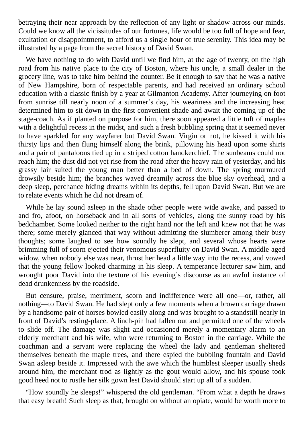betraying their near approach by the reflection of any light or shadow across our minds. Could we know all the vicissitudes of our fortunes, life would be too full of hope and fear, exultation or disappointment, to afford us a single hour of true serenity. This idea may be illustrated by a page from the secret history of David Swan.

We have nothing to do with David until we find him, at the age of twenty, on the high road from his native place to the city of Boston, where his uncle, a small dealer in the grocery line, was to take him behind the counter. Be it enough to say that he was a native of New Hampshire, born of respectable parents, and had received an ordinary school education with a classic finish by a year at Gilmanton Academy. After journeying on foot from sunrise till nearly noon of a summer's day, his weariness and the increasing heat determined him to sit down in the first convenient shade and await the coming up of the stage-coach. As if planted on purpose for him, there soon appeared a little tuft of maples with a delightful recess in the midst, and such a fresh bubbling spring that it seemed never to have sparkled for any wayfarer but David Swan. Virgin or not, he kissed it with his thirsty lips and then flung himself along the brink, pillowing his head upon some shirts and a pair of pantaloons tied up in a striped cotton handkerchief. The sunbeams could not reach him; the dust did not yet rise from the road after the heavy rain of yesterday, and his grassy lair suited the young man better than a bed of down. The spring murmured drowsily beside him; the branches waved dreamily across the blue sky overhead, and a deep sleep, perchance hiding dreams within its depths, fell upon David Swan. But we are to relate events which he did not dream of.

While he lay sound asleep in the shade other people were wide awake, and passed to and fro, afoot, on horseback and in all sorts of vehicles, along the sunny road by his bedchamber. Some looked neither to the right hand nor the left and knew not that he was there; some merely glanced that way without admitting the slumberer among their busy thoughts; some laughed to see how soundly he slept, and several whose hearts were brimming full of scorn ejected their venomous superfluity on David Swan. A middle-aged widow, when nobody else was near, thrust her head a little way into the recess, and vowed that the young fellow looked charming in his sleep. A temperance lecturer saw him, and wrought poor David into the texture of his evening's discourse as an awful instance of dead drunkenness by the roadside.

But censure, praise, merriment, scorn and indifference were all one—or, rather, all nothing—to David Swan. He had slept only a few moments when a brown carriage drawn by a handsome pair of horses bowled easily along and was brought to a standstill nearly in front of David's resting-place. A linch-pin had fallen out and permitted one of the wheels to slide off. The damage was slight and occasioned merely a momentary alarm to an elderly merchant and his wife, who were returning to Boston in the carriage. While the coachman and a servant were replacing the wheel the lady and gentleman sheltered themselves beneath the maple trees, and there espied the bubbling fountain and David Swan asleep beside it. Impressed with the awe which the humblest sleeper usually sheds around him, the merchant trod as lightly as the gout would allow, and his spouse took good heed not to rustle her silk gown lest David should start up all of a sudden.

"How soundly he sleeps!" whispered the old gentleman. "From what a depth he draws that easy breath! Such sleep as that, brought on without an opiate, would be worth more to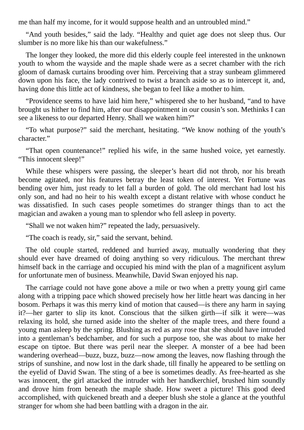me than half my income, for it would suppose health and an untroubled mind."

"And youth besides," said the lady. "Healthy and quiet age does not sleep thus. Our slumber is no more like his than our wakefulness."

The longer they looked, the more did this elderly couple feel interested in the unknown youth to whom the wayside and the maple shade were as a secret chamber with the rich gloom of damask curtains brooding over him. Perceiving that a stray sunbeam glimmered down upon his face, the lady contrived to twist a branch aside so as to intercept it, and, having done this little act of kindness, she began to feel like a mother to him.

"Providence seems to have laid him here," whispered she to her husband, "and to have brought us hither to find him, after our disappointment in our cousin's son. Methinks I can see a likeness to our departed Henry. Shall we waken him?"

"To what purpose?" said the merchant, hesitating. "We know nothing of the youth's character."

"That open countenance!" replied his wife, in the same hushed voice, yet earnestly. "This innocent sleep!"

While these whispers were passing, the sleeper's heart did not throb, nor his breath become agitated, nor his features betray the least token of interest. Yet Fortune was bending over him, just ready to let fall a burden of gold. The old merchant had lost his only son, and had no heir to his wealth except a distant relative with whose conduct he was dissatisfied. In such cases people sometimes do stranger things than to act the magician and awaken a young man to splendor who fell asleep in poverty.

"Shall we not waken him?" repeated the lady, persuasively.

"The coach is ready, sir," said the servant, behind.

The old couple started, reddened and hurried away, mutually wondering that they should ever have dreamed of doing anything so very ridiculous. The merchant threw himself back in the carriage and occupied his mind with the plan of a magnificent asylum for unfortunate men of business. Meanwhile, David Swan enjoyed his nap.

The carriage could not have gone above a mile or two when a pretty young girl came along with a tripping pace which showed precisely how her little heart was dancing in her bosom. Perhaps it was this merry kind of motion that caused—is there any harm in saying it?—her garter to slip its knot. Conscious that the silken girth—if silk it were—was relaxing its hold, she turned aside into the shelter of the maple trees, and there found a young man asleep by the spring. Blushing as red as any rose that she should have intruded into a gentleman's bedchamber, and for such a purpose too, she was about to make her escape on tiptoe. But there was peril near the sleeper. A monster of a bee had been wandering overhead—buzz, buzz, buzz—now among the leaves, now flashing through the strips of sunshine, and now lost in the dark shade, till finally he appeared to be settling on the eyelid of David Swan. The sting of a bee is sometimes deadly. As free-hearted as she was innocent, the girl attacked the intruder with her handkerchief, brushed him soundly and drove him from beneath the maple shade. How sweet a picture! This good deed accomplished, with quickened breath and a deeper blush she stole a glance at the youthful stranger for whom she had been battling with a dragon in the air.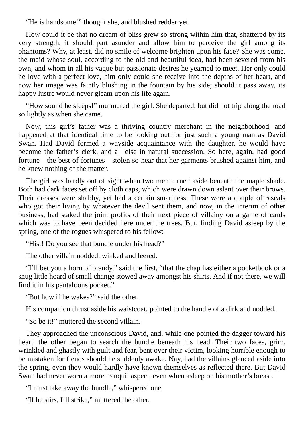"He is handsome!" thought she, and blushed redder yet.

How could it be that no dream of bliss grew so strong within him that, shattered by its very strength, it should part asunder and allow him to perceive the girl among its phantoms? Why, at least, did no smile of welcome brighten upon his face? She was come, the maid whose soul, according to the old and beautiful idea, had been severed from his own, and whom in all his vague but passionate desires he yearned to meet. Her only could he love with a perfect love, him only could she receive into the depths of her heart, and now her image was faintly blushing in the fountain by his side; should it pass away, its happy lustre would never gleam upon his life again.

"How sound he sleeps!" murmured the girl. She departed, but did not trip along the road so lightly as when she came.

Now, this girl's father was a thriving country merchant in the neighborhood, and happened at that identical time to be looking out for just such a young man as David Swan. Had David formed a wayside acquaintance with the daughter, he would have become the father's clerk, and all else in natural succession. So here, again, had good fortune—the best of fortunes—stolen so near that her garments brushed against him, and he knew nothing of the matter.

The girl was hardly out of sight when two men turned aside beneath the maple shade. Both had dark faces set off by cloth caps, which were drawn down aslant over their brows. Their dresses were shabby, yet had a certain smartness. These were a couple of rascals who got their living by whatever the devil sent them, and now, in the interim of other business, had staked the joint profits of their next piece of villainy on a game of cards which was to have been decided here under the trees. But, finding David asleep by the spring, one of the rogues whispered to his fellow:

"Hist! Do you see that bundle under his head?"

The other villain nodded, winked and leered.

"I'll bet you a horn of brandy," said the first, "that the chap has either a pocketbook or a snug little hoard of small change stowed away amongst his shirts. And if not there, we will find it in his pantaloons pocket."

"But how if he wakes?" said the other.

His companion thrust aside his waistcoat, pointed to the handle of a dirk and nodded.

"So be it!" muttered the second villain.

They approached the unconscious David, and, while one pointed the dagger toward his heart, the other began to search the bundle beneath his head. Their two faces, grim, wrinkled and ghastly with guilt and fear, bent over their victim, looking horrible enough to be mistaken for fiends should he suddenly awake. Nay, had the villains glanced aside into the spring, even they would hardly have known themselves as reflected there. But David Swan had never worn a more tranquil aspect, even when asleep on his mother's breast.

"I must take away the bundle," whispered one.

"If he stirs, I'll strike," muttered the other.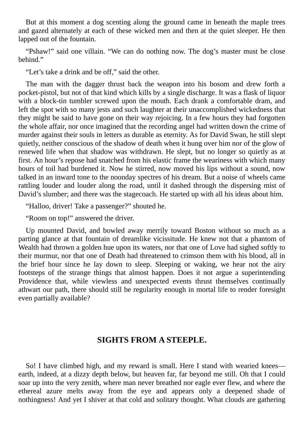But at this moment a dog scenting along the ground came in beneath the maple trees and gazed alternately at each of these wicked men and then at the quiet sleeper. He then lapped out of the fountain.

"Pshaw!" said one villain. "We can do nothing now. The dog's master must be close behind."

"Let's take a drink and be off," said the other.

The man with the dagger thrust back the weapon into his bosom and drew forth a pocket-pistol, but not of that kind which kills by a single discharge. It was a flask of liquor with a block-tin tumbler screwed upon the mouth. Each drank a comfortable dram, and left the spot with so many jests and such laughter at their unaccomplished wickedness that they might be said to have gone on their way rejoicing. In a few hours they had forgotten the whole affair, nor once imagined that the recording angel had written down the crime of murder against their souls in letters as durable as eternity. As for David Swan, he still slept quietly, neither conscious of the shadow of death when it hung over him nor of the glow of renewed life when that shadow was withdrawn. He slept, but no longer so quietly as at first. An hour's repose had snatched from his elastic frame the weariness with which many hours of toil had burdened it. Now he stirred, now moved his lips without a sound, now talked in an inward tone to the noonday spectres of his dream. But a noise of wheels came rattling louder and louder along the road, until it dashed through the dispersing mist of David's slumber; and there was the stagecoach. He started up with all his ideas about him.

"Halloo, driver! Take a passenger?" shouted he.

"Room on top!" answered the driver.

Up mounted David, and bowled away merrily toward Boston without so much as a parting glance at that fountain of dreamlike vicissitude. He knew not that a phantom of Wealth had thrown a golden hue upon its waters, nor that one of Love had sighed softly to their murmur, nor that one of Death had threatened to crimson them with his blood, all in the brief hour since he lay down to sleep. Sleeping or waking, we hear not the airy footsteps of the strange things that almost happen. Does it not argue a superintending Providence that, while viewless and unexpected events thrust themselves continually athwart our path, there should still be regularity enough in mortal life to render foresight even partially available?

### **SIGHTS FROM A STEEPLE.**

So! I have climbed high, and my reward is small. Here I stand with wearied knees earth, indeed, at a dizzy depth below, but heaven far, far beyond me still. Oh that I could soar up into the very zenith, where man never breathed nor eagle ever flew, and where the ethereal azure melts away from the eye and appears only a deepened shade of nothingness! And yet I shiver at that cold and solitary thought. What clouds are gathering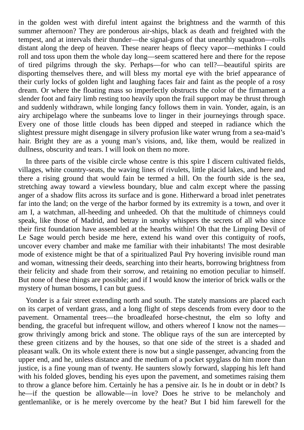in the golden west with direful intent against the brightness and the warmth of this summer afternoon? They are ponderous air-ships, black as death and freighted with the tempest, and at intervals their thunder—the signal-guns of that unearthly squadron—rolls distant along the deep of heaven. These nearer heaps of fleecy vapor—methinks I could roll and toss upon them the whole day long—seem scattered here and there for the repose of tired pilgrims through the sky. Perhaps—for who can tell?—beautiful spirits are disporting themselves there, and will bless my mortal eye with the brief appearance of their curly locks of golden light and laughing faces fair and faint as the people of a rosy dream. Or where the floating mass so imperfectly obstructs the color of the firmament a slender foot and fairy limb resting too heavily upon the frail support may be thrust through and suddenly withdrawn, while longing fancy follows them in vain. Yonder, again, is an airy archipelago where the sunbeams love to linger in their journeyings through space. Every one of those little clouds has been dipped and steeped in radiance which the slightest pressure might disengage in silvery profusion like water wrung from a sea-maid's hair. Bright they are as a young man's visions, and, like them, would be realized in dullness, obscurity and tears. I will look on them no more.

In three parts of the visible circle whose centre is this spire I discern cultivated fields, villages, white country-seats, the waving lines of rivulets, little placid lakes, and here and there a rising ground that would fain be termed a hill. On the fourth side is the sea, stretching away toward a viewless boundary, blue and calm except where the passing anger of a shadow flits across its surface and is gone. Hitherward a broad inlet penetrates far into the land; on the verge of the harbor formed by its extremity is a town, and over it am I, a watchman, all-heeding and unheeded. Oh that the multitude of chimneys could speak, like those of Madrid, and betray in smoky whispers the secrets of all who since their first foundation have assembled at the hearths within! Oh that the Limping Devil of Le Sage would perch beside me here, extend his wand over this contiguity of roofs, uncover every chamber and make me familiar with their inhabitants! The most desirable mode of existence might be that of a spiritualized Paul Pry hovering invisible round man and woman, witnessing their deeds, searching into their hearts, borrowing brightness from their felicity and shade from their sorrow, and retaining no emotion peculiar to himself. But none of these things are possible; and if I would know the interior of brick walls or the mystery of human bosoms, I can but guess.

Yonder is a fair street extending north and south. The stately mansions are placed each on its carpet of verdant grass, and a long flight of steps descends from every door to the pavement. Ornamental trees—the broadleafed horse-chestnut, the elm so lofty and bending, the graceful but infrequent willow, and others whereof I know not the names grow thrivingly among brick and stone. The oblique rays of the sun are intercepted by these green citizens and by the houses, so that one side of the street is a shaded and pleasant walk. On its whole extent there is now but a single passenger, advancing from the upper end, and he, unless distance and the medium of a pocket spyglass do him more than justice, is a fine young man of twenty. He saunters slowly forward, slapping his left hand with his folded gloves, bending his eyes upon the pavement, and sometimes raising them to throw a glance before him. Certainly he has a pensive air. Is he in doubt or in debt? Is he—if the question be allowable—in love? Does he strive to be melancholy and gentlemanlike, or is he merely overcome by the heat? But I bid him farewell for the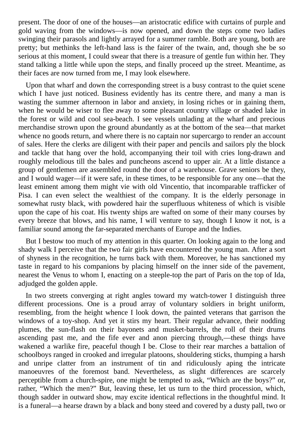present. The door of one of the houses—an aristocratic edifice with curtains of purple and gold waving from the windows—is now opened, and down the steps come two ladies swinging their parasols and lightly arrayed for a summer ramble. Both are young, both are pretty; but methinks the left-hand lass is the fairer of the twain, and, though she be so serious at this moment, I could swear that there is a treasure of gentle fun within her. They stand talking a little while upon the steps, and finally proceed up the street. Meantime, as their faces are now turned from me, I may look elsewhere.

Upon that wharf and down the corresponding street is a busy contrast to the quiet scene which I have just noticed. Business evidently has its centre there, and many a man is wasting the summer afternoon in labor and anxiety, in losing riches or in gaining them, when he would be wiser to flee away to some pleasant country village or shaded lake in the forest or wild and cool sea-beach. I see vessels unlading at the wharf and precious merchandise strown upon the ground abundantly as at the bottom of the sea—that market whence no goods return, and where there is no captain nor supercargo to render an account of sales. Here the clerks are diligent with their paper and pencils and sailors ply the block and tackle that hang over the hold, accompanying their toil with cries long-drawn and roughly melodious till the bales and puncheons ascend to upper air. At a little distance a group of gentlemen are assembled round the door of a warehouse. Grave seniors be they, and I would wager—if it were safe, in these times, to be responsible for any one—that the least eminent among them might vie with old Vincentio, that incomparable trafficker of Pisa. I can even select the wealthiest of the company. It is the elderly personage in somewhat rusty black, with powdered hair the superfluous whiteness of which is visible upon the cape of his coat. His twenty ships are wafted on some of their many courses by every breeze that blows, and his name, I will venture to say, though I know it not, is a familiar sound among the far-separated merchants of Europe and the Indies.

But I bestow too much of my attention in this quarter. On looking again to the long and shady walk I perceive that the two fair girls have encountered the young man. After a sort of shyness in the recognition, he turns back with them. Moreover, he has sanctioned my taste in regard to his companions by placing himself on the inner side of the pavement, nearest the Venus to whom I, enacting on a steeple-top the part of Paris on the top of Ida, adjudged the golden apple.

In two streets converging at right angles toward my watch-tower I distinguish three different processions. One is a proud array of voluntary soldiers in bright uniform, resembling, from the height whence I look down, the painted veterans that garrison the windows of a toy-shop. And yet it stirs my heart. Their regular advance, their nodding plumes, the sun-flash on their bayonets and musket-barrels, the roll of their drums ascending past me, and the fife ever and anon piercing through,—these things have wakened a warlike fire, peaceful though I be. Close to their rear marches a battalion of schoolboys ranged in crooked and irregular platoons, shouldering sticks, thumping a harsh and unripe clatter from an instrument of tin and ridiculously aping the intricate manoeuvres of the foremost band. Nevertheless, as slight differences are scarcely perceptible from a church-spire, one might be tempted to ask, "Which are the boys?" or, rather, "Which the men?" But, leaving these, let us turn to the third procession, which, though sadder in outward show, may excite identical reflections in the thoughtful mind. It is a funeral—a hearse drawn by a black and bony steed and covered by a dusty pall, two or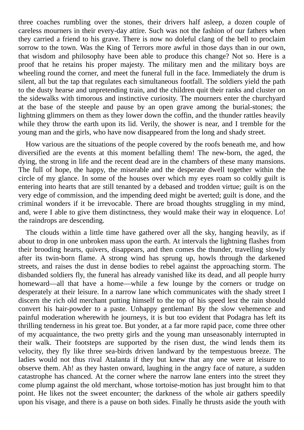three coaches rumbling over the stones, their drivers half asleep, a dozen couple of careless mourners in their every-day attire. Such was not the fashion of our fathers when they carried a friend to his grave. There is now no doleful clang of the bell to proclaim sorrow to the town. Was the King of Terrors more awful in those days than in our own, that wisdom and philosophy have been able to produce this change? Not so. Here is a proof that he retains his proper majesty. The military men and the military boys are wheeling round the corner, and meet the funeral full in the face. Immediately the drum is silent, all but the tap that regulates each simultaneous footfall. The soldiers yield the path to the dusty hearse and unpretending train, and the children quit their ranks and cluster on the sidewalks with timorous and instinctive curiosity. The mourners enter the churchyard at the base of the steeple and pause by an open grave among the burial-stones; the lightning glimmers on them as they lower down the coffin, and the thunder rattles heavily while they throw the earth upon its lid. Verily, the shower is near, and I tremble for the young man and the girls, who have now disappeared from the long and shady street.

How various are the situations of the people covered by the roofs beneath me, and how diversified are the events at this moment befalling them! The new-born, the aged, the dying, the strong in life and the recent dead are in the chambers of these many mansions. The full of hope, the happy, the miserable and the desperate dwell together within the circle of my glance. In some of the houses over which my eyes roam so coldly guilt is entering into hearts that are still tenanted by a debased and trodden virtue; guilt is on the very edge of commission, and the impending deed might be averted; guilt is done, and the criminal wonders if it be irrevocable. There are broad thoughts struggling in my mind, and, were I able to give them distinctness, they would make their way in eloquence. Lo! the raindrops are descending.

The clouds within a little time have gathered over all the sky, hanging heavily, as if about to drop in one unbroken mass upon the earth. At intervals the lightning flashes from their brooding hearts, quivers, disappears, and then comes the thunder, travelling slowly after its twin-born flame. A strong wind has sprung up, howls through the darkened streets, and raises the dust in dense bodies to rebel against the approaching storm. The disbanded soldiers fly, the funeral has already vanished like its dead, and all people hurry homeward—all that have a home—while a few lounge by the corners or trudge on desperately at their leisure. In a narrow lane which communicates with the shady street I discern the rich old merchant putting himself to the top of his speed lest the rain should convert his hair-powder to a paste. Unhappy gentleman! By the slow vehemence and painful moderation wherewith he journeys, it is but too evident that Podagra has left its thrilling tenderness in his great toe. But yonder, at a far more rapid pace, come three other of my acquaintance, the two pretty girls and the young man unseasonably interrupted in their walk. Their footsteps are supported by the risen dust, the wind lends them its velocity, they fly like three sea-birds driven landward by the tempestuous breeze. The ladies would not thus rival Atalanta if they but knew that any one were at leisure to observe them. Ah! as they hasten onward, laughing in the angry face of nature, a sudden catastrophe has chanced. At the corner where the narrow lane enters into the street they come plump against the old merchant, whose tortoise-motion has just brought him to that point. He likes not the sweet encounter; the darkness of the whole air gathers speedily upon his visage, and there is a pause on both sides. Finally he thrusts aside the youth with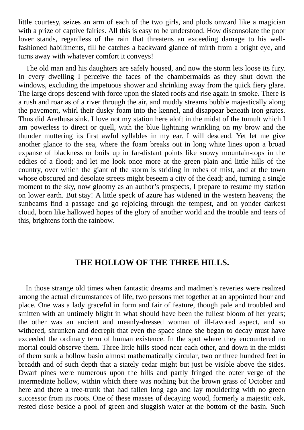little courtesy, seizes an arm of each of the two girls, and plods onward like a magician with a prize of captive fairies. All this is easy to be understood. How disconsolate the poor lover stands, regardless of the rain that threatens an exceeding damage to his wellfashioned habiliments, till he catches a backward glance of mirth from a bright eye, and turns away with whatever comfort it conveys!

The old man and his daughters are safely housed, and now the storm lets loose its fury. In every dwelling I perceive the faces of the chambermaids as they shut down the windows, excluding the impetuous shower and shrinking away from the quick fiery glare. The large drops descend with force upon the slated roofs and rise again in smoke. There is a rush and roar as of a river through the air, and muddy streams bubble majestically along the pavement, whirl their dusky foam into the kennel, and disappear beneath iron grates. Thus did Arethusa sink. I love not my station here aloft in the midst of the tumult which I am powerless to direct or quell, with the blue lightning wrinkling on my brow and the thunder muttering its first awful syllables in my ear. I will descend. Yet let me give another glance to the sea, where the foam breaks out in long white lines upon a broad expanse of blackness or boils up in far-distant points like snowy mountain-tops in the eddies of a flood; and let me look once more at the green plain and little hills of the country, over which the giant of the storm is striding in robes of mist, and at the town whose obscured and desolate streets might beseem a city of the dead; and, turning a single moment to the sky, now gloomy as an author's prospects, I prepare to resume my station on lower earth. But stay! A little speck of azure has widened in the western heavens; the sunbeams find a passage and go rejoicing through the tempest, and on yonder darkest cloud, born like hallowed hopes of the glory of another world and the trouble and tears of this, brightens forth the rainbow.

## **THE HOLLOW OF THE THREE HILLS.**

In those strange old times when fantastic dreams and madmen's reveries were realized among the actual circumstances of life, two persons met together at an appointed hour and place. One was a lady graceful in form and fair of feature, though pale and troubled and smitten with an untimely blight in what should have been the fullest bloom of her years; the other was an ancient and meanly-dressed woman of ill-favored aspect, and so withered, shrunken and decrepit that even the space since she began to decay must have exceeded the ordinary term of human existence. In the spot where they encountered no mortal could observe them. Three little hills stood near each other, and down in the midst of them sunk a hollow basin almost mathematically circular, two or three hundred feet in breadth and of such depth that a stately cedar might but just be visible above the sides. Dwarf pines were numerous upon the hills and partly fringed the outer verge of the intermediate hollow, within which there was nothing but the brown grass of October and here and there a tree-trunk that had fallen long ago and lay mouldering with no green successor from its roots. One of these masses of decaying wood, formerly a majestic oak, rested close beside a pool of green and sluggish water at the bottom of the basin. Such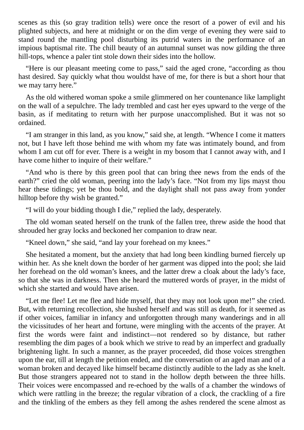scenes as this (so gray tradition tells) were once the resort of a power of evil and his plighted subjects, and here at midnight or on the dim verge of evening they were said to stand round the mantling pool disturbing its putrid waters in the performance of an impious baptismal rite. The chill beauty of an autumnal sunset was now gilding the three hill-tops, whence a paler tint stole down their sides into the hollow.

"Here is our pleasant meeting come to pass," said the aged crone, "according as thou hast desired. Say quickly what thou wouldst have of me, for there is but a short hour that we may tarry here."

As the old withered woman spoke a smile glimmered on her countenance like lamplight on the wall of a sepulchre. The lady trembled and cast her eyes upward to the verge of the basin, as if meditating to return with her purpose unaccomplished. But it was not so ordained.

"I am stranger in this land, as you know," said she, at length. "Whence I come it matters not, but I have left those behind me with whom my fate was intimately bound, and from whom I am cut off for ever. There is a weight in my bosom that I cannot away with, and I have come hither to inquire of their welfare."

"And who is there by this green pool that can bring thee news from the ends of the earth?" cried the old woman, peering into the lady's face. "Not from my lips mayst thou hear these tidings; yet be thou bold, and the daylight shall not pass away from yonder hilltop before thy wish be granted."

"I will do your bidding though I die," replied the lady, desperately.

The old woman seated herself on the trunk of the fallen tree, threw aside the hood that shrouded her gray locks and beckoned her companion to draw near.

"Kneel down," she said, "and lay your forehead on my knees."

She hesitated a moment, but the anxiety that had long been kindling burned fiercely up within her. As she knelt down the border of her garment was dipped into the pool; she laid her forehead on the old woman's knees, and the latter drew a cloak about the lady's face, so that she was in darkness. Then she heard the muttered words of prayer, in the midst of which she started and would have arisen.

"Let me flee! Let me flee and hide myself, that they may not look upon me!" she cried. But, with returning recollection, she hushed herself and was still as death, for it seemed as if other voices, familiar in infancy and unforgotten through many wanderings and in all the vicissitudes of her heart and fortune, were mingling with the accents of the prayer. At first the words were faint and indistinct—not rendered so by distance, but rather resembling the dim pages of a book which we strive to read by an imperfect and gradually brightening light. In such a manner, as the prayer proceeded, did those voices strengthen upon the ear, till at length the petition ended, and the conversation of an aged man and of a woman broken and decayed like himself became distinctly audible to the lady as she knelt. But those strangers appeared not to stand in the hollow depth between the three hills. Their voices were encompassed and re-echoed by the walls of a chamber the windows of which were rattling in the breeze; the regular vibration of a clock, the crackling of a fire and the tinkling of the embers as they fell among the ashes rendered the scene almost as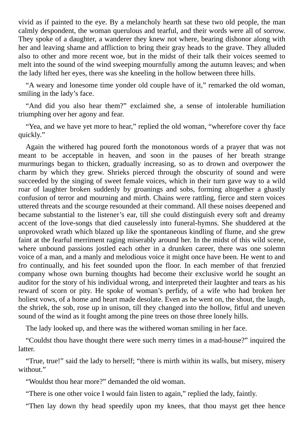vivid as if painted to the eye. By a melancholy hearth sat these two old people, the man calmly despondent, the woman querulous and tearful, and their words were all of sorrow. They spoke of a daughter, a wanderer they knew not where, bearing dishonor along with her and leaving shame and affliction to bring their gray heads to the grave. They alluded also to other and more recent woe, but in the midst of their talk their voices seemed to melt into the sound of the wind sweeping mournfully among the autumn leaves; and when the lady lifted her eyes, there was she kneeling in the hollow between three hills.

"A weary and lonesome time yonder old couple have of it," remarked the old woman, smiling in the lady's face.

"And did you also hear them?" exclaimed she, a sense of intolerable humiliation triumphing over her agony and fear.

"Yea, and we have yet more to hear," replied the old woman, "wherefore cover thy face quickly."

Again the withered hag poured forth the monotonous words of a prayer that was not meant to be acceptable in heaven, and soon in the pauses of her breath strange murmurings began to thicken, gradually increasing, so as to drown and overpower the charm by which they grew. Shrieks pierced through the obscurity of sound and were succeeded by the singing of sweet female voices, which in their turn gave way to a wild roar of laughter broken suddenly by groanings and sobs, forming altogether a ghastly confusion of terror and mourning and mirth. Chains were rattling, fierce and stern voices uttered threats and the scourge resounded at their command. All these noises deepened and became substantial to the listener's ear, till she could distinguish every soft and dreamy accent of the love-songs that died causelessly into funeral-hymns. She shuddered at the unprovoked wrath which blazed up like the spontaneous kindling of flume, and she grew faint at the fearful merriment raging miserably around her. In the midst of this wild scene, where unbound passions jostled each other in a drunken career, there was one solemn voice of a man, and a manly and melodious voice it might once have been. He went to and fro continually, and his feet sounded upon the floor. In each member of that frenzied company whose own burning thoughts had become their exclusive world he sought an auditor for the story of his individual wrong, and interpreted their laughter and tears as his reward of scorn or pity. He spoke of woman's perfidy, of a wife who had broken her holiest vows, of a home and heart made desolate. Even as he went on, the shout, the laugh, the shriek, the sob, rose up in unison, till they changed into the hollow, fitful and uneven sound of the wind as it fought among the pine trees on those three lonely hills.

The lady looked up, and there was the withered woman smiling in her face.

"Couldst thou have thought there were such merry times in a mad-house?" inquired the latter.

"True, true!" said the lady to herself; "there is mirth within its walls, but misery, misery without."

"Wouldst thou hear more?" demanded the old woman.

"There is one other voice I would fain listen to again," replied the lady, faintly.

"Then lay down thy head speedily upon my knees, that thou mayst get thee hence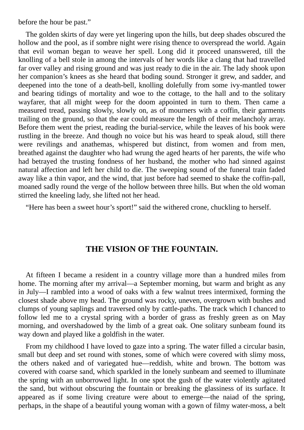before the hour be past."

The golden skirts of day were yet lingering upon the hills, but deep shades obscured the hollow and the pool, as if sombre night were rising thence to overspread the world. Again that evil woman began to weave her spell. Long did it proceed unanswered, till the knolling of a bell stole in among the intervals of her words like a clang that had travelled far over valley and rising ground and was just ready to die in the air. The lady shook upon her companion's knees as she heard that boding sound. Stronger it grew, and sadder, and deepened into the tone of a death-bell, knolling dolefully from some ivy-mantled tower and bearing tidings of mortality and woe to the cottage, to the hall and to the solitary wayfarer, that all might weep for the doom appointed in turn to them. Then came a measured tread, passing slowly, slowly on, as of mourners with a coffin, their garments trailing on the ground, so that the ear could measure the length of their melancholy array. Before them went the priest, reading the burial-service, while the leaves of his book were rustling in the breeze. And though no voice but his was heard to speak aloud, still there were revilings and anathemas, whispered but distinct, from women and from men, breathed against the daughter who had wrung the aged hearts of her parents, the wife who had betrayed the trusting fondness of her husband, the mother who had sinned against natural affection and left her child to die. The sweeping sound of the funeral train faded away like a thin vapor, and the wind, that just before had seemed to shake the coffin-pall, moaned sadly round the verge of the hollow between three hills. But when the old woman stirred the kneeling lady, she lifted not her head.

"Here has been a sweet hour's sport!" said the withered crone, chuckling to herself.

# **THE VISION OF THE FOUNTAIN.**

At fifteen I became a resident in a country village more than a hundred miles from home. The morning after my arrival—a September morning, but warm and bright as any in July—I rambled into a wood of oaks with a few walnut trees intermixed, forming the closest shade above my head. The ground was rocky, uneven, overgrown with bushes and clumps of young saplings and traversed only by cattle-paths. The track which I chanced to follow led me to a crystal spring with a border of grass as freshly green as on May morning, and overshadowed by the limb of a great oak. One solitary sunbeam found its way down and played like a goldfish in the water.

From my childhood I have loved to gaze into a spring. The water filled a circular basin, small but deep and set round with stones, some of which were covered with slimy moss, the others naked and of variegated hue—reddish, white and brown. The bottom was covered with coarse sand, which sparkled in the lonely sunbeam and seemed to illuminate the spring with an unborrowed light. In one spot the gush of the water violently agitated the sand, but without obscuring the fountain or breaking the glassiness of its surface. It appeared as if some living creature were about to emerge—the naiad of the spring, perhaps, in the shape of a beautiful young woman with a gown of filmy water-moss, a belt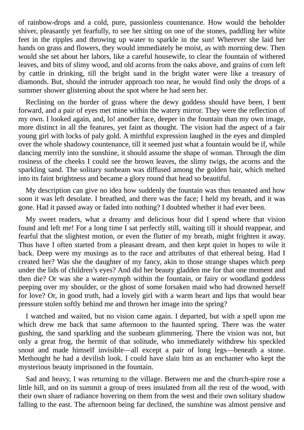of rainbow-drops and a cold, pure, passionless countenance. How would the beholder shiver, pleasantly yet fearfully, to see her sitting on one of the stones, paddling her white feet in the ripples and throwing up water to sparkle in the sun! Wherever she laid her hands on grass and flowers, they would immediately be moist, as with morning dew. Then would she set about her labors, like a careful housewife, to clear the fountain of withered leaves, and bits of slimy wood, and old acorns from the oaks above, and grains of corn left by cattle in drinking, till the bright sand in the bright water were like a treasury of diamonds. But, should the intruder approach too near, he would find only the drops of a summer shower glistening about the spot where he had seen her.

Reclining on the border of grass where the dewy goddess should have been, I bent forward, and a pair of eyes met mine within the watery mirror. They were the reflection of my own. I looked again, and, lo! another face, deeper in the fountain than my own image, more distinct in all the features, yet faint as thought. The vision had the aspect of a fair young girl with locks of paly gold. A mirthful expression laughed in the eyes and dimpled over the whole shadowy countenance, till it seemed just what a fountain would be if, while dancing merrily into the sunshine, it should assume the shape of woman. Through the dim rosiness of the cheeks I could see the brown leaves, the slimy twigs, the acorns and the sparkling sand. The solitary sunbeam was diffused among the golden hair, which melted into its faint brightness and became a glory round that head so beautiful.

My description can give no idea how suddenly the fountain was thus tenanted and how soon it was left desolate. I breathed, and there was the face; I held my breath, and it was gone. Had it passed away or faded into nothing? I doubted whether it had ever been.

My sweet readers, what a dreamy and delicious hour did I spend where that vision found and left me! For a long time I sat perfectly still, waiting till it should reappear, and fearful that the slightest motion, or even the flutter of my breath, might frighten it away. Thus have I often started from a pleasant dream, and then kept quiet in hopes to wile it back. Deep were my musings as to the race and attributes of that ethereal being. Had I created her? Was she the daughter of my fancy, akin to those strange shapes which peep under the lids of children's eyes? And did her beauty gladden me for that one moment and then die? Or was she a water-nymph within the fountain, or fairy or woodland goddess peeping over my shoulder, or the ghost of some forsaken maid who had drowned herself for love? Or, in good truth, had a lovely girl with a warm heart and lips that would bear pressure stolen softly behind me and thrown her image into the spring?

I watched and waited, but no vision came again. I departed, but with a spell upon me which drew me back that same afternoon to the haunted spring. There was the water gushing, the sand sparkling and the sunbeam glimmering. There the vision was not, but only a great frog, the hermit of that solitude, who immediately withdrew his speckled snout and made himself invisible—all except a pair of long legs—beneath a stone. Methought he had a devilish look. I could have slain him as an enchanter who kept the mysterious beauty imprisoned in the fountain.

Sad and heavy, I was returning to the village. Between me and the church-spire rose a little hill, and on its summit a group of trees insulated from all the rest of the wood, with their own share of radiance hovering on them from the west and their own solitary shadow falling to the east. The afternoon being far declined, the sunshine was almost pensive and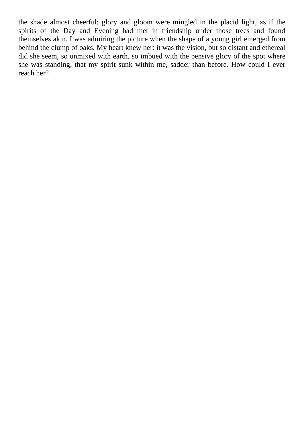the shade almost cheerful; glory and gloom were mingled in the placid light, as if the spirits of the Day and Evening had met in friendship under those trees and found themselves akin. I was admiring the picture when the shape of a young girl emerged from behind the clump of oaks. My heart knew her: it was the vision, but so distant and ethereal did she seem, so unmixed with earth, so imbued with the pensive glory of the spot where she was standing, that my spirit sunk within me, sadder than before. How could I ever reach her?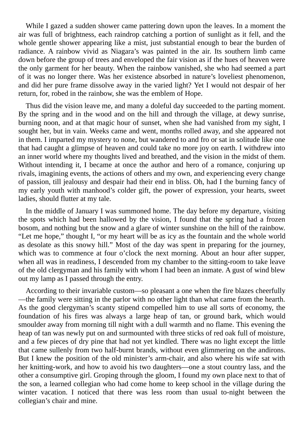While I gazed a sudden shower came pattering down upon the leaves. In a moment the air was full of brightness, each raindrop catching a portion of sunlight as it fell, and the whole gentle shower appearing like a mist, just substantial enough to bear the burden of radiance. A rainbow vivid as Niagara's was painted in the air. Its southern limb came down before the group of trees and enveloped the fair vision as if the hues of heaven were the only garment for her beauty. When the rainbow vanished, she who had seemed a part of it was no longer there. Was her existence absorbed in nature's loveliest phenomenon, and did her pure frame dissolve away in the varied light? Yet I would not despair of her return, for, robed in the rainbow, she was the emblem of Hope.

Thus did the vision leave me, and many a doleful day succeeded to the parting moment. By the spring and in the wood and on the hill and through the village, at dewy sunrise, burning noon, and at that magic hour of sunset, when she had vanished from my sight, I sought her, but in vain. Weeks came and went, months rolled away, and she appeared not in them. I imparted my mystery to none, but wandered to and fro or sat in solitude like one that had caught a glimpse of heaven and could take no more joy on earth. I withdrew into an inner world where my thoughts lived and breathed, and the vision in the midst of them. Without intending it, I became at once the author and hero of a romance, conjuring up rivals, imagining events, the actions of others and my own, and experiencing every change of passion, till jealousy and despair had their end in bliss. Oh, had I the burning fancy of my early youth with manhood's colder gift, the power of expression, your hearts, sweet ladies, should flutter at my tale.

In the middle of January I was summoned home. The day before my departure, visiting the spots which had been hallowed by the vision, I found that the spring had a frozen bosom, and nothing but the snow and a glare of winter sunshine on the hill of the rainbow. "Let me hope," thought I, "or my heart will be as icy as the fountain and the whole world as desolate as this snowy hill." Most of the day was spent in preparing for the journey, which was to commence at four o'clock the next morning. About an hour after supper, when all was in readiness, I descended from my chamber to the sitting-room to take leave of the old clergyman and his family with whom I had been an inmate. A gust of wind blew out my lamp as I passed through the entry.

According to their invariable custom—so pleasant a one when the fire blazes cheerfully —the family were sitting in the parlor with no other light than what came from the hearth. As the good clergyman's scanty stipend compelled him to use all sorts of economy, the foundation of his fires was always a large heap of tan, or ground bark, which would smoulder away from morning till night with a dull warmth and no flame. This evening the heap of tan was newly put on and surmounted with three sticks of red oak full of moisture, and a few pieces of dry pine that had not yet kindled. There was no light except the little that came sullenly from two half-burnt brands, without even glimmering on the andirons. But I knew the position of the old minister's arm-chair, and also where his wife sat with her knitting-work, and how to avoid his two daughters—one a stout country lass, and the other a consumptive girl. Groping through the gloom, I found my own place next to that of the son, a learned collegian who had come home to keep school in the village during the winter vacation. I noticed that there was less room than usual to-night between the collegian's chair and mine.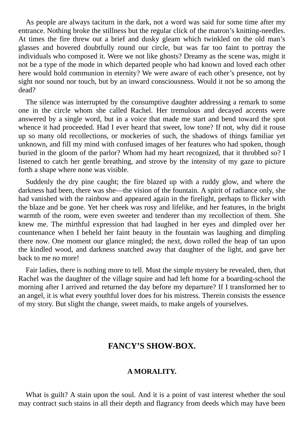As people are always taciturn in the dark, not a word was said for some time after my entrance. Nothing broke the stillness but the regular click of the matron's knitting-needles. At times the fire threw out a brief and dusky gleam which twinkled on the old man's glasses and hovered doubtfully round our circle, but was far too faint to portray the individuals who composed it. Were we not like ghosts? Dreamy as the scene was, might it not be a type of the mode in which departed people who had known and loved each other here would hold communion in eternity? We were aware of each other's presence, not by sight nor sound nor touch, but by an inward consciousness. Would it not be so among the dead?

The silence was interrupted by the consumptive daughter addressing a remark to some one in the circle whom she called Rachel. Her tremulous and decayed accents were answered by a single word, but in a voice that made me start and bend toward the spot whence it had proceeded. Had I ever heard that sweet, low tone? If not, why did it rouse up so many old recollections, or mockeries of such, the shadows of things familiar yet unknown, and fill my mind with confused images of her features who had spoken, though buried in the gloom of the parlor? Whom had my heart recognized, that it throbbed so? I listened to catch her gentle breathing, and strove by the intensity of my gaze to picture forth a shape where none was visible.

Suddenly the dry pine caught; the fire blazed up with a ruddy glow, and where the darkness had been, there was she—the vision of the fountain. A spirit of radiance only, she had vanished with the rainbow and appeared again in the firelight, perhaps to flicker with the blaze and be gone. Yet her cheek was rosy and lifelike, and her features, in the bright warmth of the room, were even sweeter and tenderer than my recollection of them. She knew me. The mirthful expression that had laughed in her eyes and dimpled over her countenance when I beheld her faint beauty in the fountain was laughing and dimpling there now. One moment our glance mingled; the next, down rolled the heap of tan upon the kindled wood, and darkness snatched away that daughter of the light, and gave her back to me no more!

Fair ladies, there is nothing more to tell. Must the simple mystery be revealed, then, that Rachel was the daughter of the village squire and had left home for a boarding-school the morning after I arrived and returned the day before my departure? If I transformed her to an angel, it is what every youthful lover does for his mistress. Therein consists the essence of my story. But slight the change, sweet maids, to make angels of yourselves.

### **FANCY'S SHOW-BOX.**

#### **A MORALITY.**

What is guilt? A stain upon the soul. And it is a point of vast interest whether the soul may contract such stains in all their depth and flagrancy from deeds which may have been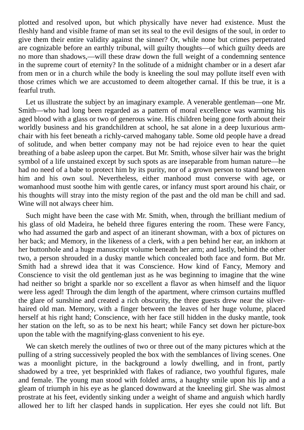plotted and resolved upon, but which physically have never had existence. Must the fleshly hand and visible frame of man set its seal to the evil designs of the soul, in order to give them their entire validity against the sinner? Or, while none but crimes perpetrated are cognizable before an earthly tribunal, will guilty thoughts—of which guilty deeds are no more than shadows,—will these draw down the full weight of a condemning sentence in the supreme court of eternity? In the solitude of a midnight chamber or in a desert afar from men or in a church while the body is kneeling the soul may pollute itself even with those crimes which we are accustomed to deem altogether carnal. If this be true, it is a fearful truth.

Let us illustrate the subject by an imaginary example. A venerable gentleman—one Mr. Smith—who had long been regarded as a pattern of moral excellence was warming his aged blood with a glass or two of generous wine. His children being gone forth about their worldly business and his grandchildren at school, he sat alone in a deep luxurious armchair with his feet beneath a richly-carved mahogany table. Some old people have a dread of solitude, and when better company may not be had rejoice even to hear the quiet breathing of a babe asleep upon the carpet. But Mr. Smith, whose silver hair was the bright symbol of a life unstained except by such spots as are inseparable from human nature—he had no need of a babe to protect him by its purity, nor of a grown person to stand between him and his own soul. Nevertheless, either manhood must converse with age, or womanhood must soothe him with gentle cares, or infancy must sport around his chair, or his thoughts will stray into the misty region of the past and the old man be chill and sad. Wine will not always cheer him.

Such might have been the case with Mr. Smith, when, through the brilliant medium of his glass of old Madeira, he beheld three figures entering the room. These were Fancy, who had assumed the garb and aspect of an itinerant showman, with a box of pictures on her back; and Memory, in the likeness of a clerk, with a pen behind her ear, an inkhorn at her buttonhole and a huge manuscript volume beneath her arm; and lastly, behind the other two, a person shrouded in a dusky mantle which concealed both face and form. But Mr. Smith had a shrewd idea that it was Conscience. How kind of Fancy, Memory and Conscience to visit the old gentleman just as he was beginning to imagine that the wine had neither so bright a sparkle nor so excellent a flavor as when himself and the liquor were less aged! Through the dim length of the apartment, where crimson curtains muffled the glare of sunshine and created a rich obscurity, the three guests drew near the silverhaired old man. Memory, with a finger between the leaves of her huge volume, placed herself at his right hand; Conscience, with her face still hidden in the dusky mantle, took her station on the left, so as to be next his heart; while Fancy set down her picture-box upon the table with the magnifying-glass convenient to his eye.

We can sketch merely the outlines of two or three out of the many pictures which at the pulling of a string successively peopled the box with the semblances of living scenes. One was a moonlight picture, in the background a lowly dwelling, and in front, partly shadowed by a tree, yet besprinkled with flakes of radiance, two youthful figures, male and female. The young man stood with folded arms, a haughty smile upon his lip and a gleam of triumph in his eye as he glanced downward at the kneeling girl. She was almost prostrate at his feet, evidently sinking under a weight of shame and anguish which hardly allowed her to lift her clasped hands in supplication. Her eyes she could not lift. But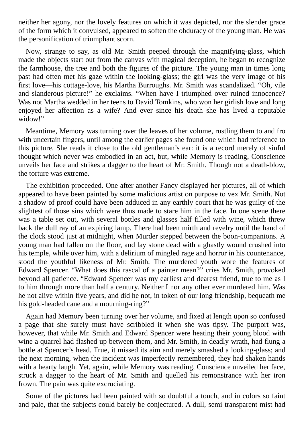neither her agony, nor the lovely features on which it was depicted, nor the slender grace of the form which it convulsed, appeared to soften the obduracy of the young man. He was the personification of triumphant scorn.

Now, strange to say, as old Mr. Smith peeped through the magnifying-glass, which made the objects start out from the canvas with magical deception, he began to recognize the farmhouse, the tree and both the figures of the picture. The young man in times long past had often met his gaze within the looking-glass; the girl was the very image of his first love—his cottage-love, his Martha Burroughs. Mr. Smith was scandalized. "Oh, vile and slanderous picture!" he exclaims. "When have I triumphed over ruined innocence? Was not Martha wedded in her teens to David Tomkins, who won her girlish love and long enjoyed her affection as a wife? And ever since his death she has lived a reputable widow!"

Meantime, Memory was turning over the leaves of her volume, rustling them to and fro with uncertain fingers, until among the earlier pages she found one which had reference to this picture. She reads it close to the old gentleman's ear: it is a record merely of sinful thought which never was embodied in an act, but, while Memory is reading, Conscience unveils her face and strikes a dagger to the heart of Mr. Smith. Though not a death-blow, the torture was extreme.

The exhibition proceeded. One after another Fancy displayed her pictures, all of which appeared to have been painted by some malicious artist on purpose to vex Mr. Smith. Not a shadow of proof could have been adduced in any earthly court that he was guilty of the slightest of those sins which were thus made to stare him in the face. In one scene there was a table set out, with several bottles and glasses half filled with wine, which threw back the dull ray of an expiring lamp. There had been mirth and revelry until the hand of the clock stood just at midnight, when Murder stepped between the boon-companions. A young man had fallen on the floor, and lay stone dead with a ghastly wound crushed into his temple, while over him, with a delirium of mingled rage and horror in his countenance, stood the youthful likeness of Mr. Smith. The murdered youth wore the features of Edward Spencer. "What does this rascal of a painter mean?" cries Mr. Smith, provoked beyond all patience. "Edward Spencer was my earliest and dearest friend, true to me as I to him through more than half a century. Neither I nor any other ever murdered him. Was he not alive within five years, and did he not, in token of our long friendship, bequeath me his gold-headed cane and a mourning-ring?"

Again had Memory been turning over her volume, and fixed at length upon so confused a page that she surely must have scribbled it when she was tipsy. The purport was, however, that while Mr. Smith and Edward Spencer were heating their young blood with wine a quarrel had flashed up between them, and Mr. Smith, in deadly wrath, had flung a bottle at Spencer's head. True, it missed its aim and merely smashed a looking-glass; and the next morning, when the incident was imperfectly remembered, they had shaken hands with a hearty laugh. Yet, again, while Memory was reading, Conscience unveiled her face, struck a dagger to the heart of Mr. Smith and quelled his remonstrance with her iron frown. The pain was quite excruciating.

Some of the pictures had been painted with so doubtful a touch, and in colors so faint and pale, that the subjects could barely be conjectured. A dull, semi-transparent mist had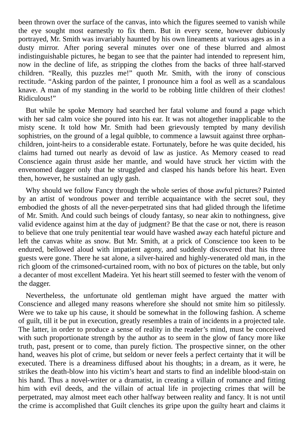been thrown over the surface of the canvas, into which the figures seemed to vanish while the eye sought most earnestly to fix them. But in every scene, however dubiously portrayed, Mr. Smith was invariably haunted by his own lineaments at various ages as in a dusty mirror. After poring several minutes over one of these blurred and almost indistinguishable pictures, he began to see that the painter had intended to represent him, now in the decline of life, as stripping the clothes from the backs of three half-starved children. "Really, this puzzles me!" quoth Mr. Smith, with the irony of conscious rectitude. "Asking pardon of the painter, I pronounce him a fool as well as a scandalous knave. A man of my standing in the world to be robbing little children of their clothes! Ridiculous!"

But while he spoke Memory had searched her fatal volume and found a page which with her sad calm voice she poured into his ear. It was not altogether inapplicable to the misty scene. It told how Mr. Smith had been grievously tempted by many devilish sophistries, on the ground of a legal quibble, to commence a lawsuit against three orphanchildren, joint-heirs to a considerable estate. Fortunately, before he was quite decided, his claims had turned out nearly as devoid of law as justice. As Memory ceased to read Conscience again thrust aside her mantle, and would have struck her victim with the envenomed dagger only that he struggled and clasped his hands before his heart. Even then, however, he sustained an ugly gash.

Why should we follow Fancy through the whole series of those awful pictures? Painted by an artist of wondrous power and terrible acquaintance with the secret soul, they embodied the ghosts of all the never-perpetrated sins that had glided through the lifetime of Mr. Smith. And could such beings of cloudy fantasy, so near akin to nothingness, give valid evidence against him at the day of judgment? Be that the case or not, there is reason to believe that one truly penitential tear would have washed away each hateful picture and left the canvas white as snow. But Mr. Smith, at a prick of Conscience too keen to be endured, bellowed aloud with impatient agony, and suddenly discovered that his three guests were gone. There he sat alone, a silver-haired and highly-venerated old man, in the rich gloom of the crimsoned-curtained room, with no box of pictures on the table, but only a decanter of most excellent Madeira. Yet his heart still seemed to fester with the venom of the dagger.

Nevertheless, the unfortunate old gentleman might have argued the matter with Conscience and alleged many reasons wherefore she should not smite him so pitilessly. Were we to take up his cause, it should be somewhat in the following fashion. A scheme of guilt, till it be put in execution, greatly resembles a train of incidents in a projected tale. The latter, in order to produce a sense of reality in the reader's mind, must be conceived with such proportionate strength by the author as to seem in the glow of fancy more like truth, past, present or to come, than purely fiction. The prospective sinner, on the other hand, weaves his plot of crime, but seldom or never feels a perfect certainty that it will be executed. There is a dreaminess diffused about his thoughts; in a dream, as it were, he strikes the death-blow into his victim's heart and starts to find an indelible blood-stain on his hand. Thus a novel-writer or a dramatist, in creating a villain of romance and fitting him with evil deeds, and the villain of actual life in projecting crimes that will be perpetrated, may almost meet each other halfway between reality and fancy. It is not until the crime is accomplished that Guilt clenches its gripe upon the guilty heart and claims it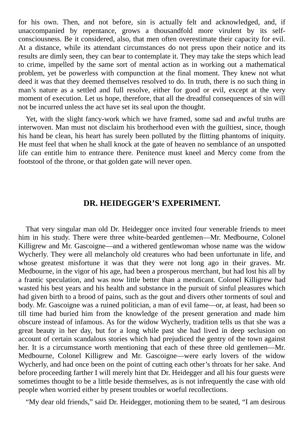for his own. Then, and not before, sin is actually felt and acknowledged, and, if unaccompanied by repentance, grows a thousandfold more virulent by its selfconsciousness. Be it considered, also, that men often overestimate their capacity for evil. At a distance, while its attendant circumstances do not press upon their notice and its results are dimly seen, they can bear to contemplate it. They may take the steps which lead to crime, impelled by the same sort of mental action as in working out a mathematical problem, yet be powerless with compunction at the final moment. They knew not what deed it was that they deemed themselves resolved to do. In truth, there is no such thing in man's nature as a settled and full resolve, either for good or evil, except at the very moment of execution. Let us hope, therefore, that all the dreadful consequences of sin will not be incurred unless the act have set its seal upon the thought.

Yet, with the slight fancy-work which we have framed, some sad and awful truths are interwoven. Man must not disclaim his brotherhood even with the guiltiest, since, though his hand be clean, his heart has surely been polluted by the flitting phantoms of iniquity. He must feel that when he shall knock at the gate of heaven no semblance of an unspotted life can entitle him to entrance there. Penitence must kneel and Mercy come from the footstool of the throne, or that golden gate will never open.

## **DR. HEIDEGGER'S EXPERIMENT.**

That very singular man old Dr. Heidegger once invited four venerable friends to meet him in his study. There were three white-bearded gentlemen—Mr. Medbourne, Colonel Killigrew and Mr. Gascoigne—and a withered gentlewoman whose name was the widow Wycherly. They were all melancholy old creatures who had been unfortunate in life, and whose greatest misfortune it was that they were not long ago in their graves. Mr. Medbourne, in the vigor of his age, had been a prosperous merchant, but had lost his all by a frantic speculation, and was now little better than a mendicant. Colonel Killigrew had wasted his best years and his health and substance in the pursuit of sinful pleasures which had given birth to a brood of pains, such as the gout and divers other torments of soul and body. Mr. Gascoigne was a ruined politician, a man of evil fame—or, at least, had been so till time had buried him from the knowledge of the present generation and made him obscure instead of infamous. As for the widow Wycherly, tradition tells us that she was a great beauty in her day, but for a long while past she had lived in deep seclusion on account of certain scandalous stories which had prejudiced the gentry of the town against her. It is a circumstance worth mentioning that each of these three old gentlemen—Mr. Medbourne, Colonel Killigrew and Mr. Gascoigne—were early lovers of the widow Wycherly, and had once been on the point of cutting each other's throats for her sake. And before proceeding farther I will merely hint that Dr. Heidegger and all his four guests were sometimes thought to be a little beside themselves, as is not infrequently the case with old people when worried either by present troubles or woeful recollections.

"My dear old friends," said Dr. Heidegger, motioning them to be seated, "I am desirous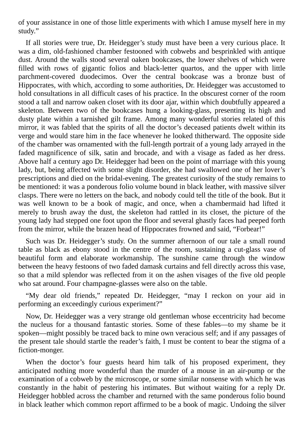of your assistance in one of those little experiments with which I amuse myself here in my study."

If all stories were true, Dr. Heidegger's study must have been a very curious place. It was a dim, old-fashioned chamber festooned with cobwebs and besprinkled with antique dust. Around the walls stood several oaken bookcases, the lower shelves of which were filled with rows of gigantic folios and black-letter quartos, and the upper with little parchment-covered duodecimos. Over the central bookcase was a bronze bust of Hippocrates, with which, according to some authorities, Dr. Heidegger was accustomed to hold consultations in all difficult cases of his practice. In the obscurest corner of the room stood a tall and narrow oaken closet with its door ajar, within which doubtfully appeared a skeleton. Between two of the bookcases hung a looking-glass, presenting its high and dusty plate within a tarnished gilt frame. Among many wonderful stories related of this mirror, it was fabled that the spirits of all the doctor's deceased patients dwelt within its verge and would stare him in the face whenever he looked thitherward. The opposite side of the chamber was ornamented with the full-length portrait of a young lady arrayed in the faded magnificence of silk, satin and brocade, and with a visage as faded as her dress. Above half a century ago Dr. Heidegger had been on the point of marriage with this young lady, but, being affected with some slight disorder, she had swallowed one of her lover's prescriptions and died on the bridal-evening. The greatest curiosity of the study remains to be mentioned: it was a ponderous folio volume bound in black leather, with massive silver clasps. There were no letters on the back, and nobody could tell the title of the book. But it was well known to be a book of magic, and once, when a chambermaid had lifted it merely to brush away the dust, the skeleton had rattled in its closet, the picture of the young lady had stepped one foot upon the floor and several ghastly faces had peeped forth from the mirror, while the brazen head of Hippocrates frowned and said, "Forbear!"

Such was Dr. Heidegger's study. On the summer afternoon of our tale a small round table as black as ebony stood in the centre of the room, sustaining a cut-glass vase of beautiful form and elaborate workmanship. The sunshine came through the window between the heavy festoons of two faded damask curtains and fell directly across this vase, so that a mild splendor was reflected from it on the ashen visages of the five old people who sat around. Four champagne-glasses were also on the table.

"My dear old friends," repeated Dr. Heidegger, "may I reckon on your aid in performing an exceedingly curious experiment?"

Now, Dr. Heidegger was a very strange old gentleman whose eccentricity had become the nucleus for a thousand fantastic stories. Some of these fables—to my shame be it spoken—might possibly be traced back to mine own veracious self; and if any passages of the present tale should startle the reader's faith, I must be content to bear the stigma of a fiction-monger.

When the doctor's four guests heard him talk of his proposed experiment, they anticipated nothing more wonderful than the murder of a mouse in an air-pump or the examination of a cobweb by the microscope, or some similar nonsense with which he was constantly in the habit of pestering his intimates. But without waiting for a reply Dr. Heidegger hobbled across the chamber and returned with the same ponderous folio bound in black leather which common report affirmed to be a book of magic. Undoing the silver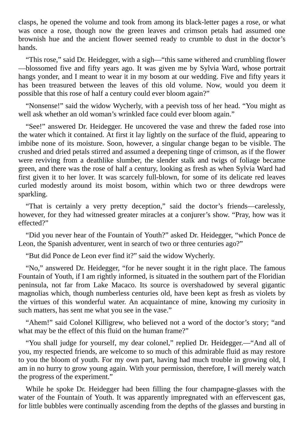clasps, he opened the volume and took from among its black-letter pages a rose, or what was once a rose, though now the green leaves and crimson petals had assumed one brownish hue and the ancient flower seemed ready to crumble to dust in the doctor's hands.

"This rose," said Dr. Heidegger, with a sigh—"this same withered and crumbling flower —blossomed five and fifty years ago. It was given me by Sylvia Ward, whose portrait hangs yonder, and I meant to wear it in my bosom at our wedding. Five and fifty years it has been treasured between the leaves of this old volume. Now, would you deem it possible that this rose of half a century could ever bloom again?"

"Nonsense!" said the widow Wycherly, with a peevish toss of her head. "You might as well ask whether an old woman's wrinkled face could ever bloom again."

"See!" answered Dr. Heidegger. He uncovered the vase and threw the faded rose into the water which it contained. At first it lay lightly on the surface of the fluid, appearing to imbibe none of its moisture. Soon, however, a singular change began to be visible. The crushed and dried petals stirred and assumed a deepening tinge of crimson, as if the flower were reviving from a deathlike slumber, the slender stalk and twigs of foliage became green, and there was the rose of half a century, looking as fresh as when Sylvia Ward had first given it to her lover. It was scarcely full-blown, for some of its delicate red leaves curled modestly around its moist bosom, within which two or three dewdrops were sparkling.

"That is certainly a very pretty deception," said the doctor's friends—carelessly, however, for they had witnessed greater miracles at a conjurer's show. "Pray, how was it effected?"

"Did you never hear of the Fountain of Youth?" asked Dr. Heidegger, "which Ponce de Leon, the Spanish adventurer, went in search of two or three centuries ago?"

"But did Ponce de Leon ever find it?" said the widow Wycherly.

"No," answered Dr. Heidegger, "for he never sought it in the right place. The famous Fountain of Youth, if I am rightly informed, is situated in the southern part of the Floridian peninsula, not far from Lake Macaco. Its source is overshadowed by several gigantic magnolias which, though numberless centuries old, have been kept as fresh as violets by the virtues of this wonderful water. An acquaintance of mine, knowing my curiosity in such matters, has sent me what you see in the vase."

"Ahem!" said Colonel Killigrew, who believed not a word of the doctor's story; "and what may be the effect of this fluid on the human frame?"

"You shall judge for yourself, my dear colonel," replied Dr. Heidegger.—"And all of you, my respected friends, are welcome to so much of this admirable fluid as may restore to you the bloom of youth. For my own part, having had much trouble in growing old, I am in no hurry to grow young again. With your permission, therefore, I will merely watch the progress of the experiment."

While he spoke Dr. Heidegger had been filling the four champagne-glasses with the water of the Fountain of Youth. It was apparently impregnated with an effervescent gas, for little bubbles were continually ascending from the depths of the glasses and bursting in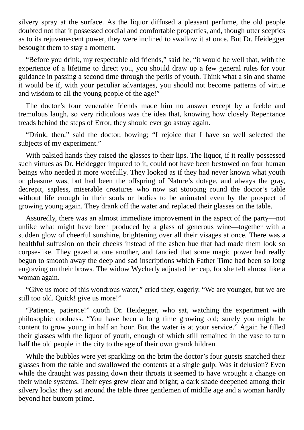silvery spray at the surface. As the liquor diffused a pleasant perfume, the old people doubted not that it possessed cordial and comfortable properties, and, though utter sceptics as to its rejuvenescent power, they were inclined to swallow it at once. But Dr. Heidegger besought them to stay a moment.

"Before you drink, my respectable old friends," said he, "it would be well that, with the experience of a lifetime to direct you, you should draw up a few general rules for your guidance in passing a second time through the perils of youth. Think what a sin and shame it would be if, with your peculiar advantages, you should not become patterns of virtue and wisdom to all the young people of the age!"

The doctor's four venerable friends made him no answer except by a feeble and tremulous laugh, so very ridiculous was the idea that, knowing how closely Repentance treads behind the steps of Error, they should ever go astray again.

"Drink, then," said the doctor, bowing; "I rejoice that I have so well selected the subjects of my experiment."

With palsied hands they raised the glasses to their lips. The liquor, if it really possessed such virtues as Dr. Heidegger imputed to it, could not have been bestowed on four human beings who needed it more woefully. They looked as if they had never known what youth or pleasure was, but had been the offspring of Nature's dotage, and always the gray, decrepit, sapless, miserable creatures who now sat stooping round the doctor's table without life enough in their souls or bodies to be animated even by the prospect of growing young again. They drank off the water and replaced their glasses on the table.

Assuredly, there was an almost immediate improvement in the aspect of the party—not unlike what might have been produced by a glass of generous wine—together with a sudden glow of cheerful sunshine, brightening over all their visages at once. There was a healthful suffusion on their cheeks instead of the ashen hue that had made them look so corpse-like. They gazed at one another, and fancied that some magic power had really begun to smooth away the deep and sad inscriptions which Father Time had been so long engraving on their brows. The widow Wycherly adjusted her cap, for she felt almost like a woman again.

"Give us more of this wondrous water," cried they, eagerly. "We are younger, but we are still too old. Quick! give us more!"

"Patience, patience!" quoth Dr. Heidegger, who sat, watching the experiment with philosophic coolness. "You have been a long time growing old; surely you might be content to grow young in half an hour. But the water is at your service." Again he filled their glasses with the liquor of youth, enough of which still remained in the vase to turn half the old people in the city to the age of their own grandchildren.

While the bubbles were yet sparkling on the brim the doctor's four guests snatched their glasses from the table and swallowed the contents at a single gulp. Was it delusion? Even while the draught was passing down their throats it seemed to have wrought a change on their whole systems. Their eyes grew clear and bright; a dark shade deepened among their silvery locks: they sat around the table three gentlemen of middle age and a woman hardly beyond her buxom prime.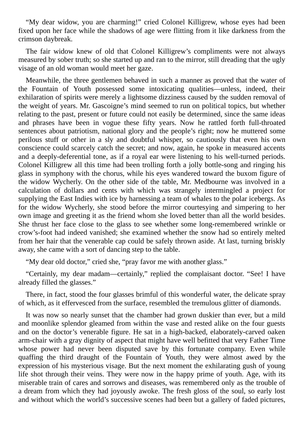"My dear widow, you are charming!" cried Colonel Killigrew, whose eyes had been fixed upon her face while the shadows of age were flitting from it like darkness from the crimson daybreak.

The fair widow knew of old that Colonel Killigrew's compliments were not always measured by sober truth; so she started up and ran to the mirror, still dreading that the ugly visage of an old woman would meet her gaze.

Meanwhile, the three gentlemen behaved in such a manner as proved that the water of the Fountain of Youth possessed some intoxicating qualities—unless, indeed, their exhilaration of spirits were merely a lightsome dizziness caused by the sudden removal of the weight of years. Mr. Gascoigne's mind seemed to run on political topics, but whether relating to the past, present or future could not easily be determined, since the same ideas and phrases have been in vogue these fifty years. Now he rattled forth full-throated sentences about patriotism, national glory and the people's right; now he muttered some perilous stuff or other in a sly and doubtful whisper, so cautiously that even his own conscience could scarcely catch the secret; and now, again, he spoke in measured accents and a deeply-deferential tone, as if a royal ear were listening to his well-turned periods. Colonel Killigrew all this time had been trolling forth a jolly bottle-song and ringing his glass in symphony with the chorus, while his eyes wandered toward the buxom figure of the widow Wycherly. On the other side of the table, Mr. Medbourne was involved in a calculation of dollars and cents with which was strangely intermingled a project for supplying the East Indies with ice by harnessing a team of whales to the polar icebergs. As for the widow Wycherly, she stood before the mirror courtesying and simpering to her own image and greeting it as the friend whom she loved better than all the world besides. She thrust her face close to the glass to see whether some long-remembered wrinkle or crow's-foot had indeed vanished; she examined whether the snow had so entirely melted from her hair that the venerable cap could be safely thrown aside. At last, turning briskly away, she came with a sort of dancing step to the table.

"My dear old doctor," cried she, "pray favor me with another glass."

"Certainly, my dear madam—certainly," replied the complaisant doctor. "See! I have already filled the glasses."

There, in fact, stood the four glasses brimful of this wonderful water, the delicate spray of which, as it effervesced from the surface, resembled the tremulous glitter of diamonds.

It was now so nearly sunset that the chamber had grown duskier than ever, but a mild and moonlike splendor gleamed from within the vase and rested alike on the four guests and on the doctor's venerable figure. He sat in a high-backed, elaborately-carved oaken arm-chair with a gray dignity of aspect that might have well befitted that very Father Time whose power had never been disputed save by this fortunate company. Even while quaffing the third draught of the Fountain of Youth, they were almost awed by the expression of his mysterious visage. But the next moment the exhilarating gush of young life shot through their veins. They were now in the happy prime of youth. Age, with its miserable train of cares and sorrows and diseases, was remembered only as the trouble of a dream from which they had joyously awoke. The fresh gloss of the soul, so early lost and without which the world's successive scenes had been but a gallery of faded pictures,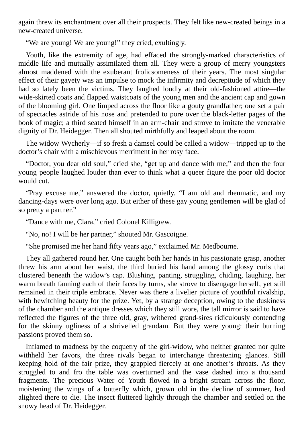again threw its enchantment over all their prospects. They felt like new-created beings in a new-created universe.

"We are young! We are young!" they cried, exultingly.

Youth, like the extremity of age, had effaced the strongly-marked characteristics of middle life and mutually assimilated them all. They were a group of merry youngsters almost maddened with the exuberant frolicsomeness of their years. The most singular effect of their gayety was an impulse to mock the infirmity and decrepitude of which they had so lately been the victims. They laughed loudly at their old-fashioned attire—the wide-skirted coats and flapped waistcoats of the young men and the ancient cap and gown of the blooming girl. One limped across the floor like a gouty grandfather; one set a pair of spectacles astride of his nose and pretended to pore over the black-letter pages of the book of magic; a third seated himself in an arm-chair and strove to imitate the venerable dignity of Dr. Heidegger. Then all shouted mirthfully and leaped about the room.

The widow Wycherly—if so fresh a damsel could be called a widow—tripped up to the doctor's chair with a mischievous merriment in her rosy face.

"Doctor, you dear old soul," cried she, "get up and dance with me;" and then the four young people laughed louder than ever to think what a queer figure the poor old doctor would cut.

"Pray excuse me," answered the doctor, quietly. "I am old and rheumatic, and my dancing-days were over long ago. But either of these gay young gentlemen will be glad of so pretty a partner."

"Dance with me, Clara," cried Colonel Killigrew.

"No, no! I will be her partner," shouted Mr. Gascoigne.

"She promised me her hand fifty years ago," exclaimed Mr. Medbourne.

They all gathered round her. One caught both her hands in his passionate grasp, another threw his arm about her waist, the third buried his hand among the glossy curls that clustered beneath the widow's cap. Blushing, panting, struggling, chiding, laughing, her warm breath fanning each of their faces by turns, she strove to disengage herself, yet still remained in their triple embrace. Never was there a livelier picture of youthful rivalship, with bewitching beauty for the prize. Yet, by a strange deception, owing to the duskiness of the chamber and the antique dresses which they still wore, the tall mirror is said to have reflected the figures of the three old, gray, withered grand-sires ridiculously contending for the skinny ugliness of a shrivelled grandam. But they were young: their burning passions proved them so.

Inflamed to madness by the coquetry of the girl-widow, who neither granted nor quite withheld her favors, the three rivals began to interchange threatening glances. Still keeping hold of the fair prize, they grappled fiercely at one another's throats. As they struggled to and fro the table was overturned and the vase dashed into a thousand fragments. The precious Water of Youth flowed in a bright stream across the floor, moistening the wings of a butterfly which, grown old in the decline of summer, had alighted there to die. The insect fluttered lightly through the chamber and settled on the snowy head of Dr. Heidegger.